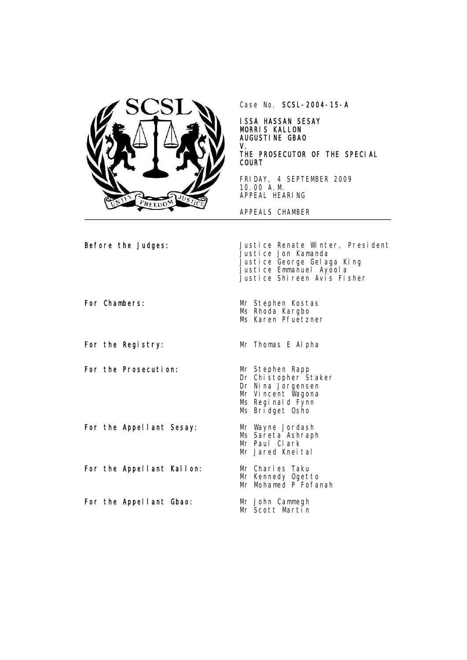

Case No. SCSL-2004-15-A

ISSA HASSAN SESAY MORRIS KALLON AUGUSTINE GBAO V. THE PROSECUTOR OF THE SPECIAL COURT

FRIDAY, 4 SEPTEMBER 2009 10.00 A.M. APPEAL HEARING

APPEALS CHAMBER

Before the Judges: Justice Renate Winter, President Justice Jon Kamanda Justice George Gelaga King Justice Emmanuel Ayoola Justice Shireen Avis Fisher For Chambers: Mr Stephen Kostas Ms Rhoda Kargbo Ms Karen Pfuetzner For the Registry: Mr Thomas E Alpha

For the Prosecution: Mr Stephen Rapp<br>Dr Chistopher Staker Dr Nina Jorgensen Mr Vincent Wagona Ms Reginald Fynn Ms Bridget Osho For the Appellant Sesay: For the Appellant Kallon: For the Appellant Gbao: Mr Wayne Jordash Ms Sareta Ashraph Mr Paul Clark Mr Jared Kneital Mr Charles Taku Mr Kennedy Ogetto Mr Mohamed P Fofanah Mr John Cammegh Mr Scott Martin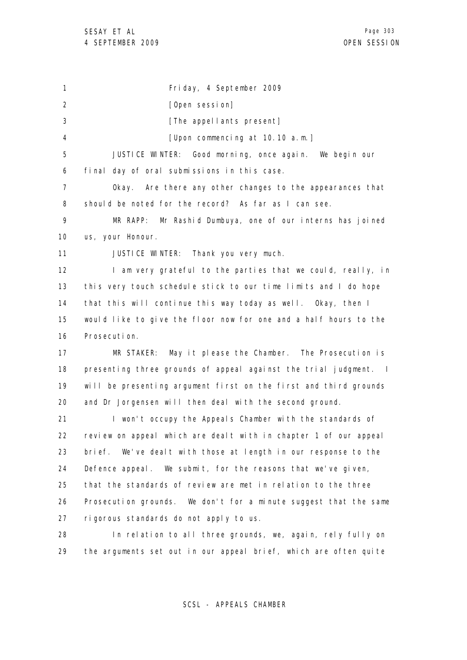1 2 3 4 5 6 7 8 9 10 11 12 13 14 15 16 17 18 19 20 21 22 23 24 25 26 27 28 Friday, 4 September 2009 [Open session] [The appellants present] [Upon commencing at 10.10 a.m.] JUSTICE WINTER: Good morning, once again. We begin our final day of oral submissions in this case. Okay. Are there any other changes to the appearances that should be noted for the record? As far as I can see. MR RAPP: Mr Rashid Dumbuya, one of our interns has joined us, your Honour. JUSTICE WINTER: Thank you very much. I am very grateful to the parties that we could, really, in this very touch schedule stick to our time limits and I do hope that this will continue this way today as well. Okay, then I would like to give the floor now for one and a half hours to the Prosecution. MR STAKER: May it please the Chamber. The Prosecution is presenting three grounds of appeal against the trial judgment. I will be presenting argument first on the first and third grounds and Dr Jorgensen will then deal with the second ground. I won't occupy the Appeals Chamber with the standards of review on appeal which are dealt with in chapter 1 of our appeal brief. We've dealt with those at length in our response to the Defence appeal. We submit, for the reasons that we've given, that the standards of review are met in relation to the three Prosecution grounds. We don't for a minute suggest that the same rigorous standards do not apply to us. In relation to all three grounds, we, again, rely fully on

29 the arguments set out in our appeal brief, which are often quite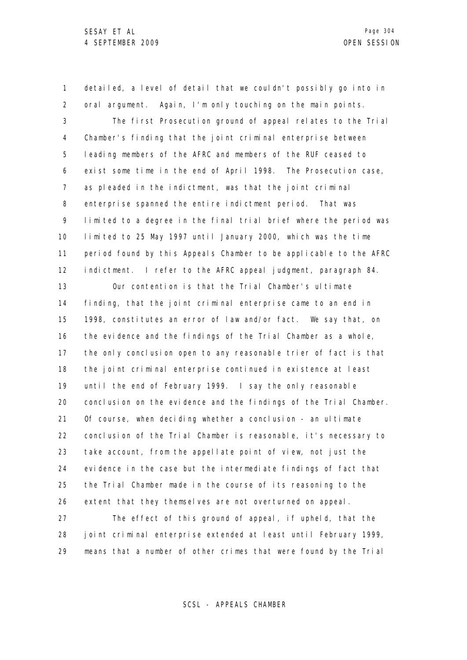1 2 3 4 5 detailed, a level of detail that we couldn't possibly go into in oral argument. Again, I'm only touching on the main points. The first Prosecution ground of appeal relates to the Trial Chamber's finding that the joint criminal enterprise between leading members of the AFRC and members of the RUF ceased to

6 7 8 9 10 11 12 exist some time in the end of April 1998. The Prosecution case, as pleaded in the indictment, was that the joint criminal enterprise spanned the entire indictment period. That was limited to a degree in the final trial brief where the period was limited to 25 May 1997 until January 2000, which was the time period found by this Appeals Chamber to be applicable to the AFRC indictment. I refer to the AFRC appeal judgment, paragraph 84.

13 14 15 16 17 18 19 20 21 22 23 24 25 26 Our contention is that the Trial Chamber's ultimate finding, that the joint criminal enterprise came to an end in 1998, constitutes an error of law and/or fact. We say that, on the evidence and the findings of the Trial Chamber as a whole, the only conclusion open to any reasonable trier of fact is that the joint criminal enterprise continued in existence at least until the end of February 1999. I say the only reasonable conclusion on the evidence and the findings of the Trial Chamber. Of course, when deciding whether a conclusion - an ultimate conclusion of the Trial Chamber is reasonable, it's necessary to take account, from the appellate point of view, not just the evidence in the case but the intermediate findings of fact that the Trial Chamber made in the course of its reasoning to the extent that they themselves are not overturned on appeal.

27 28 29 The effect of this ground of appeal, if upheld, that the joint criminal enterprise extended at least until February 1999, means that a number of other crimes that were found by the Trial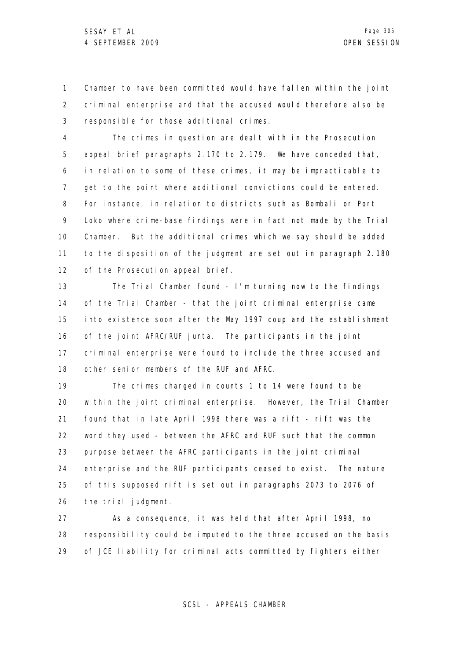1 2 3 Chamber to have been committed would have fallen within the joint criminal enterprise and that the accused would therefore also be responsible for those additional crimes.

4 5 6 7 8 9 10 11 12 The crimes in question are dealt with in the Prosecution appeal brief paragraphs 2.170 to 2.179. We have conceded that, in relation to some of these crimes, it may be impracticable to get to the point where additional convictions could be entered. For instance, in relation to districts such as Bombali or Port Loko where crime-base findings were in fact not made by the Trial Chamber. But the additional crimes which we say should be added to the disposition of the judgment are set out in paragraph 2.180 of the Prosecution appeal brief.

13 14 15 16 17 18 The Trial Chamber found - I'm turning now to the findings of the Trial Chamber - that the joint criminal enterprise came into existence soon after the May 1997 coup and the establishment of the joint AFRC/RUF junta. The participants in the joint criminal enterprise were found to include the three accused and other senior members of the RUF and AFRC.

19 20 21 22 23 24 25 26 The crimes charged in counts 1 to 14 were found to be within the joint criminal enterprise. However, the Trial Chamber found that in late April 1998 there was a rift - rift was the word they used - between the AFRC and RUF such that the common purpose between the AFRC participants in the joint criminal enterprise and the RUF participants ceased to exist. The nature of this supposed rift is set out in paragraphs 2073 to 2076 of the trial judgment.

27 28 29 As a consequence, it was held that after April 1998, no responsibility could be imputed to the three accused on the basis of JCE liability for criminal acts committed by fighters either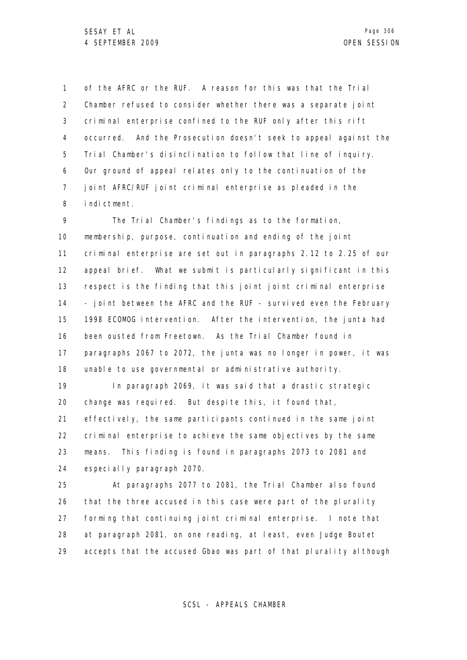1 2 3 4 5 6 7 8 of the AFRC or the RUF. A reason for this was that the Trial Chamber refused to consider whether there was a separate joint criminal enterprise confined to the RUF only after this rift occurred. And the Prosecution doesn't seek to appeal against the Trial Chamber's disinclination to follow that line of inquiry. Our ground of appeal relates only to the continuation of the joint AFRC/RUF joint criminal enterprise as pleaded in the indictment.

9 10 11 12 13 14 15 16 17 18 The Trial Chamber's findings as to the formation, membership, purpose, continuation and ending of the joint criminal enterprise are set out in paragraphs 2.12 to 2.25 of our appeal brief. What we submit is particularly significant in this respect is the finding that this joint joint criminal enterprise - joint between the AFRC and the RUF - survived even the February 1998 ECOMOG intervention. After the intervention, the junta had been ousted from Freetown. As the Trial Chamber found in paragraphs 2067 to 2072, the junta was no longer in power, it was unable to use governmental or administrative authority.

19 20 21 22 23 24 In paragraph 2069, it was said that a drastic strategic change was required. But despite this, it found that, effectively, the same participants continued in the same joint criminal enterprise to achieve the same objectives by the same means. This finding is found in paragraphs 2073 to 2081 and especially paragraph 2070.

25 26 27 28 29 At paragraphs 2077 to 2081, the Trial Chamber also found that the three accused in this case were part of the plurality forming that continuing joint criminal enterprise. I note that at paragraph 2081, on one reading, at least, even Judge Boutet accepts that the accused Gbao was part of that plurality although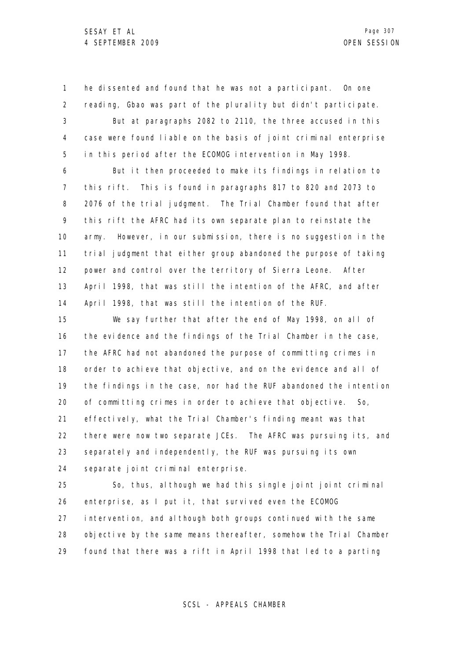1 2 3 4 5 he dissented and found that he was not a participant. On one reading, Gbao was part of the plurality but didn't participate. But at paragraphs 2082 to 2110, the three accused in this case were found liable on the basis of joint criminal enterprise in this period after the ECOMOG intervention in May 1998.

6 7 8 9 10 11 12 13 14 But it then proceeded to make its findings in relation to this rift. This is found in paragraphs 817 to 820 and 2073 to 2076 of the trial judgment. The Trial Chamber found that after this rift the AFRC had its own separate plan to reinstate the army. However, in our submission, there is no suggestion in the trial judgment that either group abandoned the purpose of taking power and control over the territory of Sierra Leone. After April 1998, that was still the intention of the AFRC, and after April 1998, that was still the intention of the RUF.

15 16 17 18 19 20 21 22 23 24 We say further that after the end of May 1998, on all of the evidence and the findings of the Trial Chamber in the case, the AFRC had not abandoned the purpose of committing crimes in order to achieve that objective, and on the evidence and all of the findings in the case, nor had the RUF abandoned the intention of committing crimes in order to achieve that objective. So, effectively, what the Trial Chamber's finding meant was that there were now two separate JCEs. The AFRC was pursuing its, and separately and independently, the RUF was pursuing its own separate joint criminal enterprise.

25 26 27 28 29 So, thus, although we had this single joint joint criminal enterprise, as I put it, that survived even the ECOMOG intervention, and although both groups continued with the same objective by the same means thereafter, somehow the Trial Chamber found that there was a rift in April 1998 that led to a parting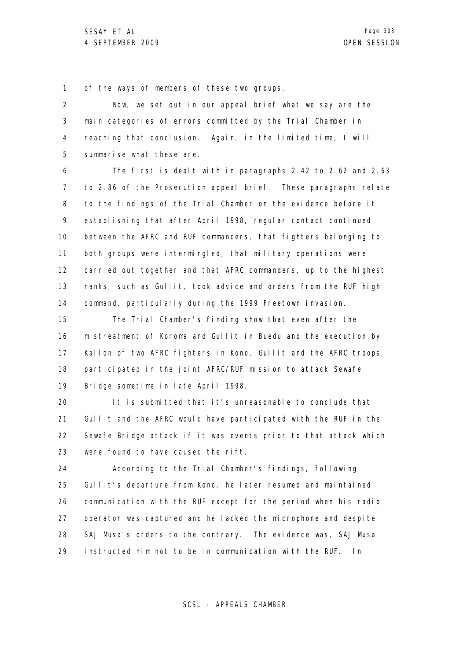1 of the ways of members of these two groups.

2 3 4 5 Now, we set out in our appeal brief what we say are the main categories of errors committed by the Trial Chamber in reaching that conclusion. Again, in the limited time, I will summarise what these are.

6 7 8 9 10 11 12 13 14 The first is dealt with in paragraphs 2.42 to 2.62 and 2.63 to 2.86 of the Prosecution appeal brief. These paragraphs relate to the findings of the Trial Chamber on the evidence before it establishing that after April 1998, regular contact continued between the AFRC and RUF commanders, that fighters belonging to both groups were intermingled, that military operations were carried out together and that AFRC commanders, up to the highest ranks, such as Gullit, took advice and orders from the RUF high command, particularly during the 1999 Freetown invasion.

15 16 17 18 19 The Trial Chamber's finding show that even after the mistreatment of Koroma and Gullit in Buedu and the execution by Kallon of two AFRC fighters in Kono, Gullit and the AFRC troops participated in the joint AFRC/RUF mission to attack Sewafe Bridge sometime in late April 1998.

20 21 22 23 It is submitted that it's unreasonable to conclude that Gullit and the AFRC would have participated with the RUF in the Sewafe Bridge attack if it was events prior to that attack which were found to have caused the rift.

24 25 26 27 28 29 According to the Trial Chamber's findings, following Gullit's departure from Kono, he later resumed and maintained communication with the RUF except for the period when his radio operator was captured and he lacked the microphone and despite SAJ Musa's orders to the contrary. The evidence was, SAJ Musa instructed him not to be in communication with the RUF. In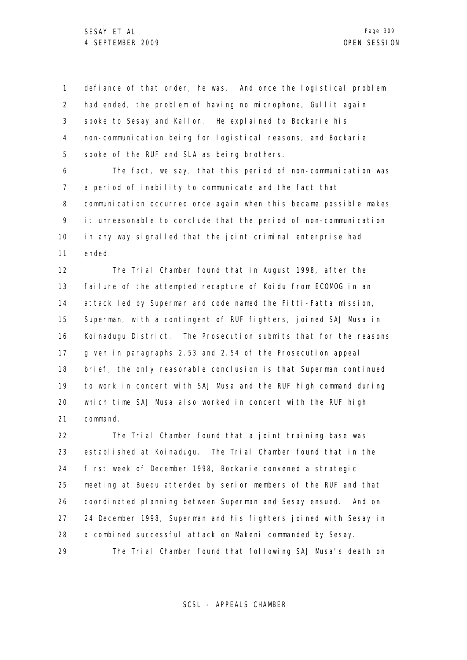1 2 3 4 5 defiance of that order, he was. And once the logistical problem had ended, the problem of having no microphone, Gullit again spoke to Sesay and Kallon. He explained to Bockarie his non-communication being for logistical reasons, and Bockarie spoke of the RUF and SLA as being brothers.

6 7 8 9 10 11 The fact, we say, that this period of non-communication was a period of inability to communicate and the fact that communication occurred once again when this became possible makes it unreasonable to conclude that the period of non-communication in any way signalled that the joint criminal enterprise had ended.

12 13 14 15 16 17 18 19 20 21 The Trial Chamber found that in August 1998, after the failure of the attempted recapture of Koidu from ECOMOG in an attack led by Superman and code named the Fitti-Fatta mission, Superman, with a contingent of RUF fighters, joined SAJ Musa in Koinadugu District. The Prosecution submits that for the reasons given in paragraphs 2.53 and 2.54 of the Prosecution appeal brief, the only reasonable conclusion is that Superman continued to work in concert with SAJ Musa and the RUF high command during which time SAJ Musa also worked in concert with the RUF high command.

22 23 24 25 26 27 28 29 The Trial Chamber found that a joint training base was established at Koinadugu. The Trial Chamber found that in the first week of December 1998, Bockarie convened a strategic meeting at Buedu attended by senior members of the RUF and that coordinated planning between Superman and Sesay ensued. And on 24 December 1998, Superman and his fighters joined with Sesay in a combined successful attack on Makeni commanded by Sesay. The Trial Chamber found that following SAJ Musa's death on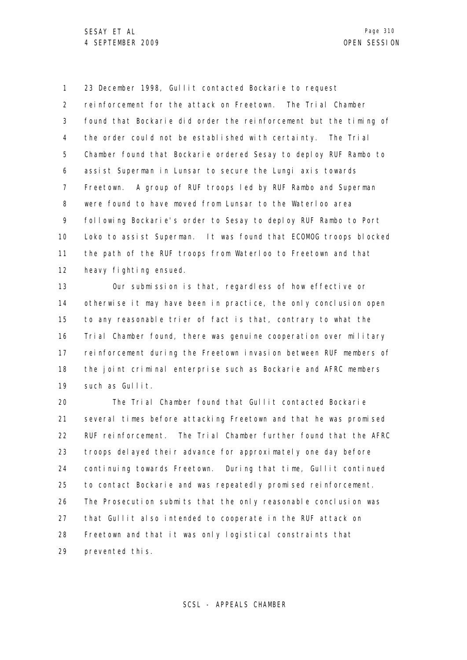1 2 3 4 5 6 7 8 9 10 11 12 23 December 1998, Gullit contacted Bockarie to request reinforcement for the attack on Freetown. The Trial Chamber found that Bockarie did order the reinforcement but the timing of the order could not be established with certainty. The Trial Chamber found that Bockarie ordered Sesay to deploy RUF Rambo to assist Superman in Lunsar to secure the Lungi axis towards Freetown. A group of RUF troops led by RUF Rambo and Superman were found to have moved from Lunsar to the Waterloo area following Bockarie's order to Sesay to deploy RUF Rambo to Port Loko to assist Superman. It was found that ECOMOG troops blocked the path of the RUF troops from Waterloo to Freetown and that heavy fighting ensued.

13 14 15 16 17 18 19 Our submission is that, regardless of how effective or otherwise it may have been in practice, the only conclusion open to any reasonable trier of fact is that, contrary to what the Trial Chamber found, there was genuine cooperation over military reinforcement during the Freetown invasion between RUF members of the joint criminal enterprise such as Bockarie and AFRC members such as Gullit.

20 21 22 23 24 25 26 27 28 29 The Trial Chamber found that Gullit contacted Bockarie several times before attacking Freetown and that he was promised RUF reinforcement. The Trial Chamber further found that the AFRC troops delayed their advance for approximately one day before continuing towards Freetown. During that time, Gullit continued to contact Bockarie and was repeatedly promised reinforcement. The Prosecution submits that the only reasonable conclusion was that Gullit also intended to cooperate in the RUF attack on Freetown and that it was only logistical constraints that prevented this.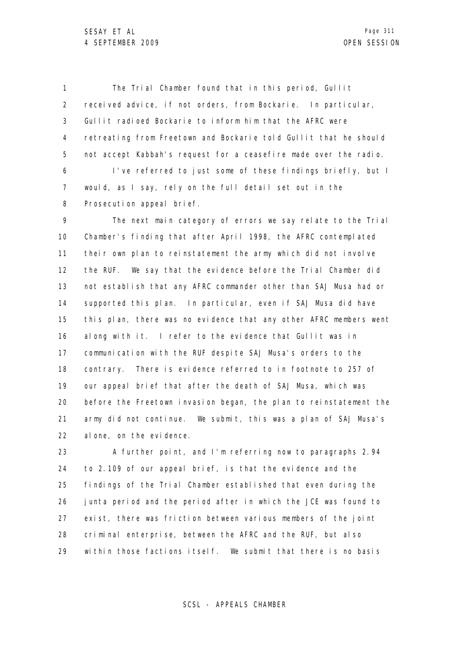1 2 3 4 5 6 The Trial Chamber found that in this period, Gullit received advice, if not orders, from Bockarie. In particular, Gullit radioed Bockarie to inform him that the AFRC were retreating from Freetown and Bockarie told Gullit that he should not accept Kabbah's request for a ceasefire made over the radio. I've referred to just some of these findings briefly, but I

7 8 would, as I say, rely on the full detail set out in the Prosecution appeal brief.

9 10 11 12 13 14 15 16 17 18 19 20 21 22 The next main category of errors we say relate to the Trial Chamber's finding that after April 1998, the AFRC contemplated their own plan to reinstatement the army which did not involve the RUF. We say that the evidence before the Trial Chamber did not establish that any AFRC commander other than SAJ Musa had or supported this plan. In particular, even if SAJ Musa did have this plan, there was no evidence that any other AFRC members went along with it. I refer to the evidence that Gullit was in communication with the RUF despite SAJ Musa's orders to the contrary. There is evidence referred to in footnote to 257 of our appeal brief that after the death of SAJ Musa, which was before the Freetown invasion began, the plan to reinstatement the army did not continue. We submit, this was a plan of SAJ Musa's alone, on the evidence.

23 24 25 26 27 28 29 A further point, and I'm referring now to paragraphs 2.94 to 2.109 of our appeal brief, is that the evidence and the findings of the Trial Chamber established that even during the junta period and the period after in which the JCE was found to exist, there was friction between various members of the joint criminal enterprise, between the AFRC and the RUF, but also within those factions itself. We submit that there is no basis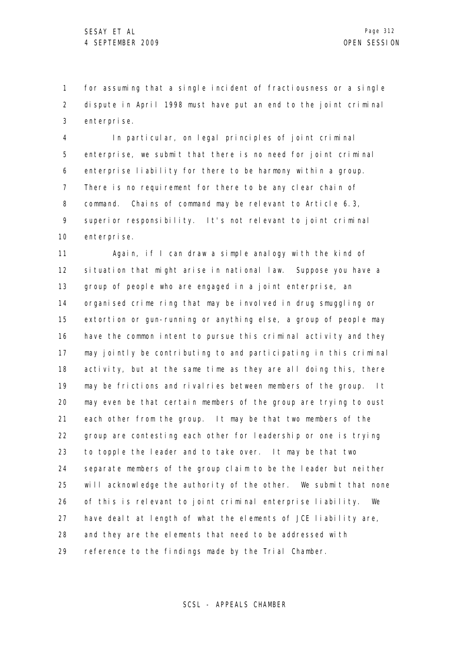1 2 3 for assuming that a single incident of fractiousness or a single dispute in April 1998 must have put an end to the joint criminal enterprise.

4 5 6 7 8 9 10 In particular, on legal principles of joint criminal enterprise, we submit that there is no need for joint criminal enterprise liability for there to be harmony within a group. There is no requirement for there to be any clear chain of command. Chains of command may be relevant to Article 6.3, superior responsibility. It's not relevant to joint criminal enterprise.

11 12 13 14 15 16 17 18 19 20 21 22 23 24 25 26 27 28 29 Again, if I can draw a simple analogy with the kind of situation that might arise in national law. Suppose you have a group of people who are engaged in a joint enterprise, an organised crime ring that may be involved in drug smuggling or extortion or gun-running or anything else, a group of people may have the common intent to pursue this criminal activity and they may jointly be contributing to and participating in this criminal activity, but at the same time as they are all doing this, there may be frictions and rivalries between members of the group. It may even be that certain members of the group are trying to oust each other from the group. It may be that two members of the group are contesting each other for leadership or one is trying to topple the leader and to take over. It may be that two separate members of the group claim to be the leader but neither will acknowledge the authority of the other. We submit that none of this is relevant to joint criminal enterprise liability. We have dealt at length of what the elements of JCE liability are, and they are the elements that need to be addressed with reference to the findings made by the Trial Chamber.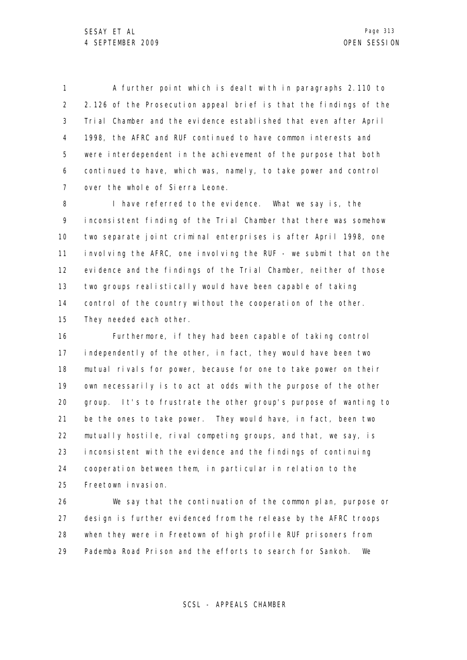1 2 3 4 5 6 7 A further point which is dealt with in paragraphs 2.110 to 2.126 of the Prosecution appeal brief is that the findings of the Trial Chamber and the evidence established that even after April 1998, the AFRC and RUF continued to have common interests and were interdependent in the achievement of the purpose that both continued to have, which was, namely, to take power and control over the whole of Sierra Leone.

8 9 10 11 12 13 14 15 I have referred to the evidence. What we say is, the inconsistent finding of the Trial Chamber that there was somehow two separate joint criminal enterprises is after April 1998, one involving the AFRC, one involving the RUF - we submit that on the evidence and the findings of the Trial Chamber, neither of those two groups realistically would have been capable of taking control of the country without the cooperation of the other. They needed each other.

16 17 18 19 20 21 22 23 24 25 Furthermore, if they had been capable of taking control independently of the other, in fact, they would have been two mutual rivals for power, because for one to take power on their own necessarily is to act at odds with the purpose of the other group. It's to frustrate the other group's purpose of wanting to be the ones to take power. They would have, in fact, been two mutually hostile, rival competing groups, and that, we say, is inconsistent with the evidence and the findings of continuing cooperation between them, in particular in relation to the Freetown invasion.

26 27 28 29 We say that the continuation of the common plan, purpose or design is further evidenced from the release by the AFRC troops when they were in Freetown of high profile RUF prisoners from Pademba Road Prison and the efforts to search for Sankoh. We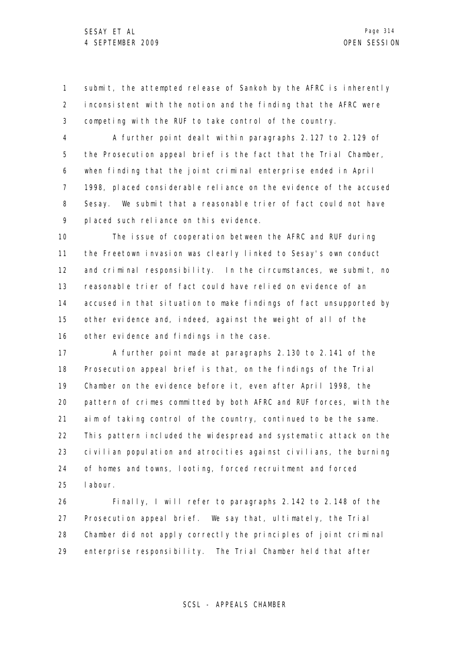1 2 3 submit, the attempted release of Sankoh by the AFRC is inherently inconsistent with the notion and the finding that the AFRC were competing with the RUF to take control of the country.

4 5 6 7 8 9 A further point dealt within paragraphs 2.127 to 2.129 of the Prosecution appeal brief is the fact that the Trial Chamber, when finding that the joint criminal enterprise ended in April 1998, placed considerable reliance on the evidence of the accused Sesay. We submit that a reasonable trier of fact could not have placed such reliance on this evidence.

10 11 12 13 14 15 16 The issue of cooperation between the AFRC and RUF during the Freetown invasion was clearly linked to Sesay's own conduct and criminal responsibility. In the circumstances, we submit, no reasonable trier of fact could have relied on evidence of an accused in that situation to make findings of fact unsupported by other evidence and, indeed, against the weight of all of the other evidence and findings in the case.

17 18 19 20 21 22 23 24 25 A further point made at paragraphs 2.130 to 2.141 of the Prosecution appeal brief is that, on the findings of the Trial Chamber on the evidence before it, even after April 1998, the pattern of crimes committed by both AFRC and RUF forces, with the aim of taking control of the country, continued to be the same. This pattern included the widespread and systematic attack on the civilian population and atrocities against civilians, the burning of homes and towns, looting, forced recruitment and forced labour.

26 27 28 29 Finally, I will refer to paragraphs 2.142 to 2.148 of the Prosecution appeal brief. We say that, ultimately, the Trial Chamber did not apply correctly the principles of joint criminal enterprise responsibility. The Trial Chamber held that after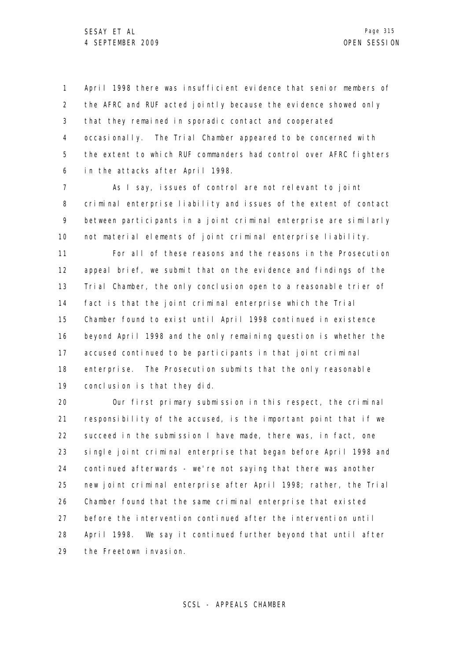1 2 3 4 5 6 April 1998 there was insufficient evidence that senior members of the AFRC and RUF acted jointly because the evidence showed only that they remained in sporadic contact and cooperated occasionally. The Trial Chamber appeared to be concerned with the extent to which RUF commanders had control over AFRC fighters in the attacks after April 1998.

7 8 9 10 As I say, issues of control are not relevant to joint criminal enterprise liability and issues of the extent of contact between participants in a joint criminal enterprise are similarly not material elements of joint criminal enterprise liability.

11 12 13 14 15 16 17 18 19 For all of these reasons and the reasons in the Prosecution appeal brief, we submit that on the evidence and findings of the Trial Chamber, the only conclusion open to a reasonable trier of fact is that the joint criminal enterprise which the Trial Chamber found to exist until April 1998 continued in existence beyond April 1998 and the only remaining question is whether the accused continued to be participants in that joint criminal enterprise. The Prosecution submits that the only reasonable conclusion is that they did.

20 21 22 23 24 25 26 27 28 29 Our first primary submission in this respect, the criminal responsibility of the accused, is the important point that if we succeed in the submission I have made, there was, in fact, one single joint criminal enterprise that began before April 1998 and continued afterwards - we're not saying that there was another new joint criminal enterprise after April 1998; rather, the Trial Chamber found that the same criminal enterprise that existed before the intervention continued after the intervention until April 1998. We say it continued further beyond that until after the Freetown invasion.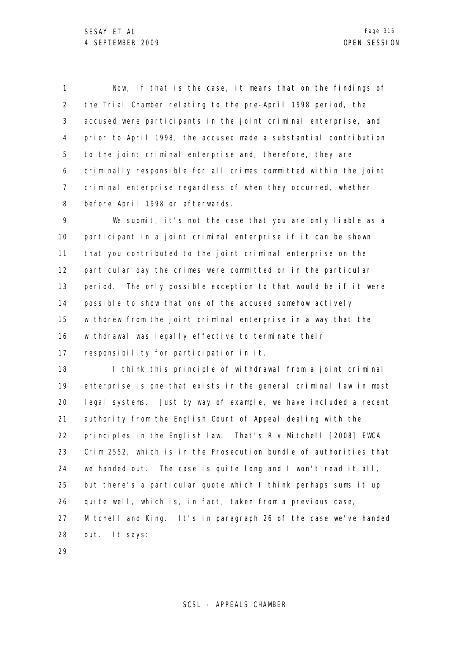1 2 3 4 5 6 7 8 Now, if that is the case, it means that on the findings of the Trial Chamber relating to the pre-April 1998 period, the accused were participants in the joint criminal enterprise, and prior to April 1998, the accused made a substantial contribution to the joint criminal enterprise and, therefore, they are criminally responsible for all crimes committed within the joint criminal enterprise regardless of when they occurred, whether before April 1998 or afterwards.

9 10 11 12 13 14 15 16 17 We submit, it's not the case that you are only liable as a participant in a joint criminal enterprise if it can be shown that you contributed to the joint criminal enterprise on the particular day the crimes were committed or in the particular period. The only possible exception to that would be if it were possible to show that one of the accused somehow actively withdrew from the joint criminal enterprise in a way that the withdrawal was legally effective to terminate their responsibility for participation in it.

18 19 20 21 22 23 24 25 26 27 28 I think this principle of withdrawal from a joint criminal enterprise is one that exists in the general criminal law in most legal systems. Just by way of example, we have included a recent authority from the English Court of Appeal dealing with the principles in the English law. That's R v Mitchell [2008] EWCA Crim 2552, which is in the Prosecution bundle of authorities that we handed out. The case is quite long and I won't read it all, but there's a particular quote which I think perhaps sums it up quite well, which is, in fact, taken from a previous case, Mitchell and King. It's in paragraph 26 of the case we've handed out. It says:

29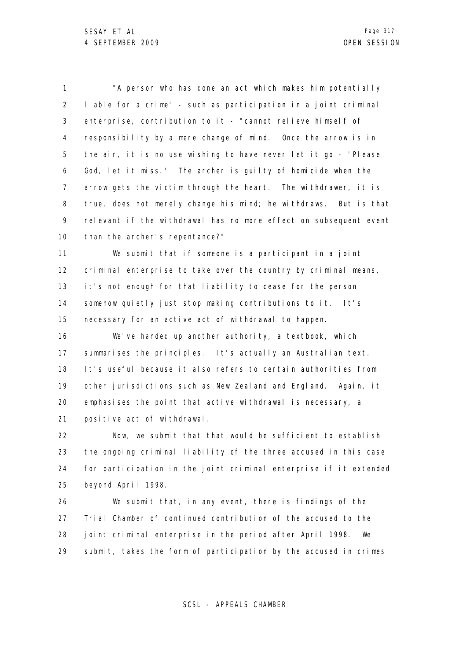1 2 3 4 5 6 7 8 9 10 "A person who has done an act which makes him potentially liable for a crime" - such as participation in a joint criminal enterprise, contribution to it - "cannot relieve himself of responsibility by a mere change of mind. Once the arrow is in the air, it is no use wishing to have never let it go - 'Please God, let it miss.' The archer is guilty of homicide when the arrow gets the victim through the heart. The withdrawer, it is true, does not merely change his mind; he withdraws. But is that relevant if the withdrawal has no more effect on subsequent event than the archer's repentance?"

11 12 13 14 15 We submit that if someone is a participant in a joint criminal enterprise to take over the country by criminal means, it's not enough for that liability to cease for the person somehow quietly just stop making contributions to it. It's necessary for an active act of withdrawal to happen.

16 17 18 19 20 21 We've handed up another authority, a textbook, which summarises the principles. It's actually an Australian text. It's useful because it also refers to certain authorities from other jurisdictions such as New Zealand and England. Again, it emphasises the point that active withdrawal is necessary, a positive act of withdrawal.

22 23 24 25 Now, we submit that that would be sufficient to establish the ongoing criminal liability of the three accused in this case for participation in the joint criminal enterprise if it extended beyond April 1998.

26 27 28 29 We submit that, in any event, there is findings of the Trial Chamber of continued contribution of the accused to the joint criminal enterprise in the period after April 1998. We submit, takes the form of participation by the accused in crimes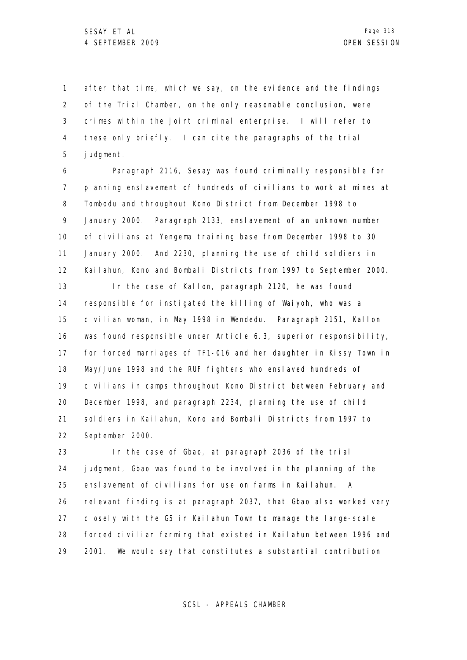1 2 3 4 5 after that time, which we say, on the evidence and the findings of the Trial Chamber, on the only reasonable conclusion, were crimes within the joint criminal enterprise. I will refer to these only briefly. I can cite the paragraphs of the trial judgment.

6 7 8 9 10 11 12 13 14 15 16 Paragraph 2116, Sesay was found criminally responsible for planning enslavement of hundreds of civilians to work at mines at Tombodu and throughout Kono District from December 1998 to January 2000. Paragraph 2133, enslavement of an unknown number of civilians at Yengema training base from December 1998 to 30 January 2000. And 2230, planning the use of child soldiers in Kailahun, Kono and Bombali Districts from 1997 to September 2000. In the case of Kallon, paragraph 2120, he was found responsible for instigated the killing of Waiyoh, who was a civilian woman, in May 1998 in Wendedu. Paragraph 2151, Kallon was found responsible under Article 6.3, superior responsibility,

17 18 19 20 21 22 for forced marriages of TF1-016 and her daughter in Kissy Town in May/June 1998 and the RUF fighters who enslaved hundreds of civilians in camps throughout Kono District between February and December 1998, and paragraph 2234, planning the use of child soldiers in Kailahun, Kono and Bombali Districts from 1997 to September 2000.

23 24 25 26 27 28 29 In the case of Gbao, at paragraph 2036 of the trial judgment, Gbao was found to be involved in the planning of the enslavement of civilians for use on farms in Kailahun. A relevant finding is at paragraph 2037, that Gbao also worked very closely with the G5 in Kailahun Town to manage the large-scale forced civilian farming that existed in Kailahun between 1996 and 2001. We would say that constitutes a substantial contribution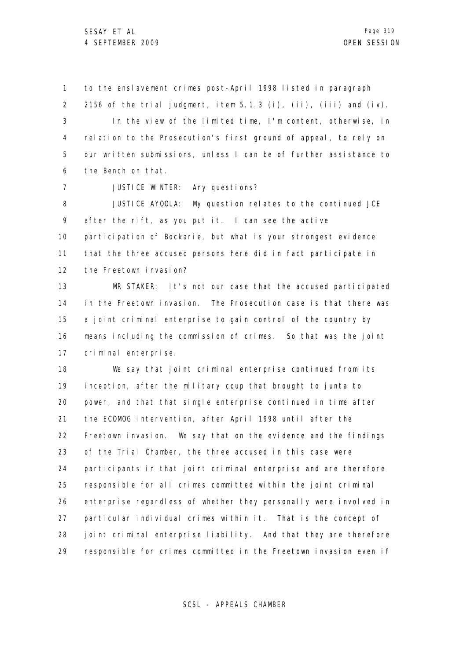7

1 2 3 4 5 6 to the enslavement crimes post-April 1998 listed in paragraph 2156 of the trial judgment, item 5.1.3 (i), (ii), (iii) and (iv). In the view of the limited time, I'm content, otherwise, in relation to the Prosecution's first ground of appeal, to rely on our written submissions, unless I can be of further assistance to the Bench on that.

JUSTICE WINTER: Any questions?

8 9 10 11 12 JUSTICE AYOOLA: My question relates to the continued JCE after the rift, as you put it. I can see the active participation of Bockarie, but what is your strongest evidence that the three accused persons here did in fact participate in the Freetown invasion?

13 14 15 16 17 MR STAKER: It's not our case that the accused participated in the Freetown invasion. The Prosecution case is that there was a joint criminal enterprise to gain control of the country by means including the commission of crimes. So that was the joint criminal enterprise.

18 19 20 21 22 23 24 25 26 27 28 29 We say that joint criminal enterprise continued from its inception, after the military coup that brought to junta to power, and that that single enterprise continued in time after the ECOMOG intervention, after April 1998 until after the Freetown invasion. We say that on the evidence and the findings of the Trial Chamber, the three accused in this case were participants in that joint criminal enterprise and are therefore responsible for all crimes committed within the joint criminal enterprise regardless of whether they personally were involved in particular individual crimes within it. That is the concept of joint criminal enterprise liability. And that they are therefore responsible for crimes committed in the Freetown invasion even if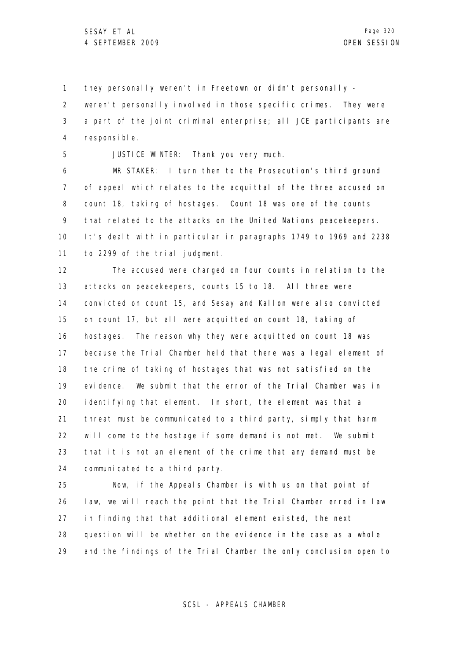1 they personally weren't in Freetown or didn't personally -

2 3 4 weren't personally involved in those specific crimes. They were a part of the joint criminal enterprise; all JCE participants are responsible.

5

JUSTICE WINTER: Thank you very much.

6 7 8 9 10 11 MR STAKER: I turn then to the Prosecution's third ground of appeal which relates to the acquittal of the three accused on count 18, taking of hostages. Count 18 was one of the counts that related to the attacks on the United Nations peacekeepers. It's dealt with in particular in paragraphs 1749 to 1969 and 2238 to 2299 of the trial judgment.

12 13 14 15 16 17 18 19 20 21 22 23 24 The accused were charged on four counts in relation to the attacks on peacekeepers, counts 15 to 18. All three were convicted on count 15, and Sesay and Kallon were also convicted on count 17, but all were acquitted on count 18, taking of hostages. The reason why they were acquitted on count 18 was because the Trial Chamber held that there was a legal element of the crime of taking of hostages that was not satisfied on the evidence. We submit that the error of the Trial Chamber was in identifying that element. In short, the element was that a threat must be communicated to a third party, simply that harm will come to the hostage if some demand is not met. We submit that it is not an element of the crime that any demand must be communicated to a third party.

25 26 27 28 29 Now, if the Appeals Chamber is with us on that point of law, we will reach the point that the Trial Chamber erred in law in finding that that additional element existed, the next question will be whether on the evidence in the case as a whole and the findings of the Trial Chamber the only conclusion open to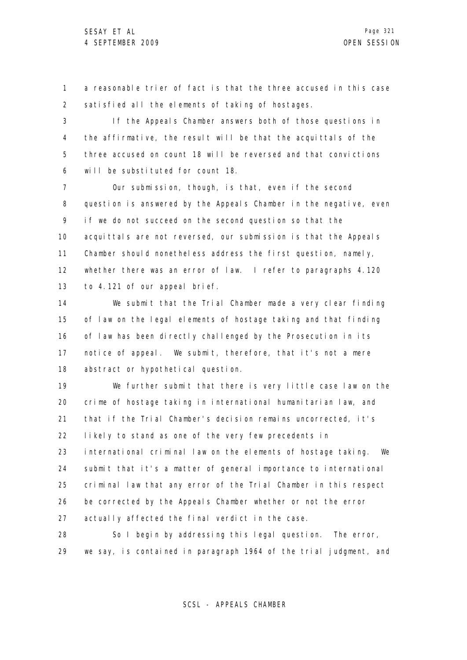1 2 a reasonable trier of fact is that the three accused in this case satisfied all the elements of taking of hostages.

3 4 5 6 If the Appeals Chamber answers both of those questions in the affirmative, the result will be that the acquittals of the three accused on count 18 will be reversed and that convictions will be substituted for count 18.

7 8 9 10 11 12 13 Our submission, though, is that, even if the second question is answered by the Appeals Chamber in the negative, even if we do not succeed on the second question so that the acquittals are not reversed, our submission is that the Appeals Chamber should nonetheless address the first question, namely, whether there was an error of law. I refer to paragraphs 4.120 to 4.121 of our appeal brief.

14 15 16 17 18 We submit that the Trial Chamber made a very clear finding of law on the legal elements of hostage taking and that finding of law has been directly challenged by the Prosecution in its notice of appeal. We submit, therefore, that it's not a mere abstract or hypothetical question.

19 20 21 22 23 24 25 26 27 We further submit that there is very little case law on the crime of hostage taking in international humanitarian law, and that if the Trial Chamber's decision remains uncorrected, it's likely to stand as one of the very few precedents in international criminal law on the elements of hostage taking. We submit that it's a matter of general importance to international criminal law that any error of the Trial Chamber in this respect be corrected by the Appeals Chamber whether or not the error actually affected the final verdict in the case.

28 29 So I begin by addressing this legal question. The error, we say, is contained in paragraph 1964 of the trial judgment, and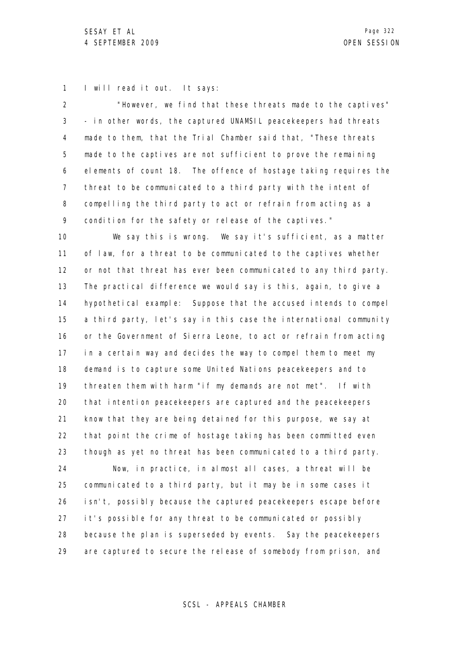1 I will read it out. It says:

| $\overline{2}$    | "However, we find that these threats made to the captives"        |
|-------------------|-------------------------------------------------------------------|
| 3                 | - in other words, the captured UNAMSIL peacekeepers had threats   |
| 4                 | made to them, that the Trial Chamber said that, "These threats    |
| 5                 | made to the captives are not sufficient to prove the remaining    |
| 6                 | elements of count 18. The offence of hostage taking requires the  |
| $\overline{7}$    | threat to be communicated to a third party with the intent of     |
| 8                 | compelling the third party to act or refrain from acting as a     |
| 9                 | condition for the safety or release of the captives."             |
| 10                | We say this is wrong. We say it's sufficient, as a matter         |
| 11                | of law, for a threat to be communicated to the captives whether   |
| $12 \overline{ }$ | or not that threat has ever been communicated to any third party. |
| 13                | The practical difference we would say is this, again, to give a   |
| 14                | hypothetical example: Suppose that the accused intends to compel  |
| 15                | a third party, let's say in this case the international community |
| 16                | or the Government of Sierra Leone, to act or refrain from acting  |
| 17                | in a certain way and decides the way to compel them to meet my    |
| 18                | demand is to capture some United Nations peacekeepers and to      |
| 19                | threaten them with harm "if my demands are not met". If with      |
| 20                | that intention peacekeepers are captured and the peacekeepers     |
| 21                | know that they are being detained for this purpose, we say at     |
| 22                | that point the crime of hostage taking has been committed even    |
| 23                | though as yet no threat has been communicated to a third party.   |
| 24                | Now, in practice, in almost all cases, a threat will be           |
| 25                | communicated to a third party, but it may be in some cases it     |
| 26                | isn't, possibly because the captured peacekeepers escape before   |
| 27                | it's possible for any threat to be communicated or possibly       |
| 28                | because the plan is superseded by events. Say the peacekeepers    |
| 29                | are captured to secure the release of somebody from prison, and   |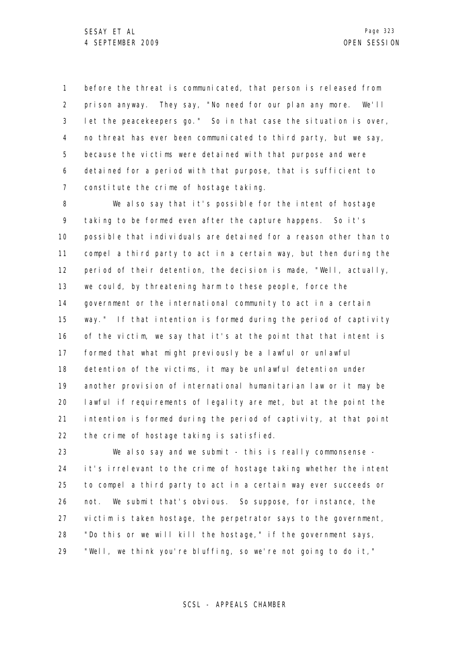1 2 3 4 5 6 7 before the threat is communicated, that person is released from prison anyway. They say, "No need for our plan any more. We'll let the peacekeepers go." So in that case the situation is over, no threat has ever been communicated to third party, but we say, because the victims were detained with that purpose and were detained for a period with that purpose, that is sufficient to constitute the crime of hostage taking.

8 9 10 11 12 13 14 15 16 17 18 19 20 21 22 We also say that it's possible for the intent of hostage taking to be formed even after the capture happens. So it's possible that individuals are detained for a reason other than to compel a third party to act in a certain way, but then during the period of their detention, the decision is made, "Well, actually, we could, by threatening harm to these people, force the government or the international community to act in a certain way." If that intention is formed during the period of captivity of the victim, we say that it's at the point that that intent is formed that what might previously be a lawful or unlawful detention of the victims, it may be unlawful detention under another provision of international humanitarian law or it may be lawful if requirements of legality are met, but at the point the intention is formed during the period of captivity, at that point the crime of hostage taking is satisfied.

23 24 25 26 27 28 29 We also say and we submit - this is really commonsense it's irrelevant to the crime of hostage taking whether the intent to compel a third party to act in a certain way ever succeeds or not. We submit that's obvious. So suppose, for instance, the victim is taken hostage, the perpetrator says to the government, "Do this or we will kill the hostage," if the government says, "Well, we think you're bluffing, so we're not going to do it,"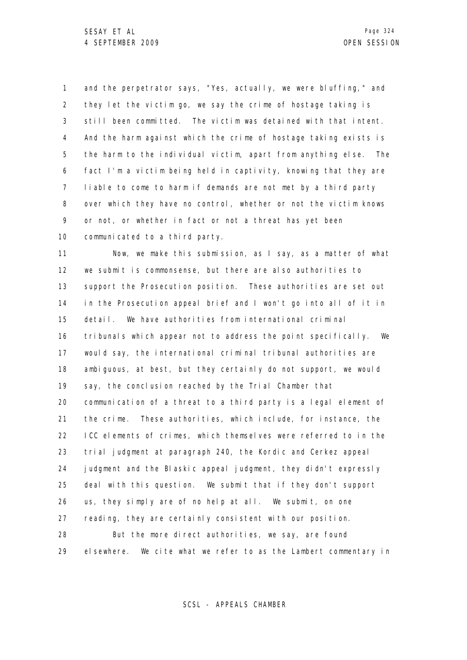1 2 3 4 5 6 7 8 9 10 and the perpetrator says, "Yes, actually, we were bluffing," and they let the victim go, we say the crime of hostage taking is still been committed. The victim was detained with that intent. And the harm against which the crime of hostage taking exists is the harm to the individual victim, apart from anything else. The fact I'm a victim being held in captivity, knowing that they are liable to come to harm if demands are not met by a third party over which they have no control, whether or not the victim knows or not, or whether in fact or not a threat has yet been communicated to a third party.

11 12 13 14 15 16 17 18 19 20 21 22 23 24 25 26 27 28 29 Now, we make this submission, as I say, as a matter of what we submit is commonsense, but there are also authorities to support the Prosecution position. These authorities are set out in the Prosecution appeal brief and I won't go into all of it in detail. We have authorities from international criminal tribunals which appear not to address the point specifically. We would say, the international criminal tribunal authorities are ambiguous, at best, but they certainly do not support, we would say, the conclusion reached by the Trial Chamber that communication of a threat to a third party is a legal element of the crime. These authorities, which include, for instance, the ICC elements of crimes, which themselves were referred to in the trial judgment at paragraph 240, the Kordic and Cerkez appeal judgment and the Blaskic appeal judgment, they didn't expressly deal with this question. We submit that if they don't support us, they simply are of no help at all. We submit, on one reading, they are certainly consistent with our position. But the more direct authorities, we say, are found elsewhere. We cite what we refer to as the Lambert commentary in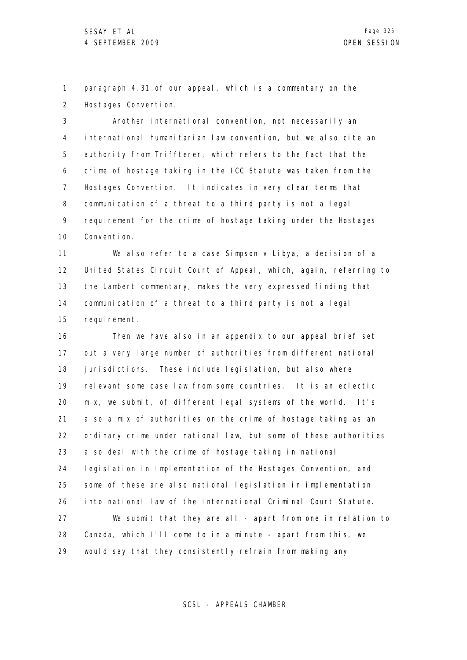1 2 paragraph 4.31 of our appeal, which is a commentary on the Hostages Convention.

3 4 5 6 7 8 9 10 Another international convention, not necessarily an international humanitarian law convention, but we also cite an authority from Triffterer, which refers to the fact that the crime of hostage taking in the ICC Statute was taken from the Hostages Convention. It indicates in very clear terms that communication of a threat to a third party is not a legal requirement for the crime of hostage taking under the Hostages Convention.

11 12 13 14 15 We also refer to a case Simpson v Libya, a decision of a United States Circuit Court of Appeal, which, again, referring to the Lambert commentary, makes the very expressed finding that communication of a threat to a third party is not a legal requirement.

16 17 18 19 20 21 22 23 24 25 26 27 28 29 Then we have also in an appendix to our appeal brief set out a very large number of authorities from different national jurisdictions. These include legislation, but also where relevant some case law from some countries. It is an eclectic mix, we submit, of different legal systems of the world. It's also a mix of authorities on the crime of hostage taking as an ordinary crime under national law, but some of these authorities also deal with the crime of hostage taking in national legislation in implementation of the Hostages Convention, and some of these are also national legislation in implementation into national law of the International Criminal Court Statute. We submit that they are all - apart from one in relation to Canada, which I'll come to in a minute - apart from this, we would say that they consistently refrain from making any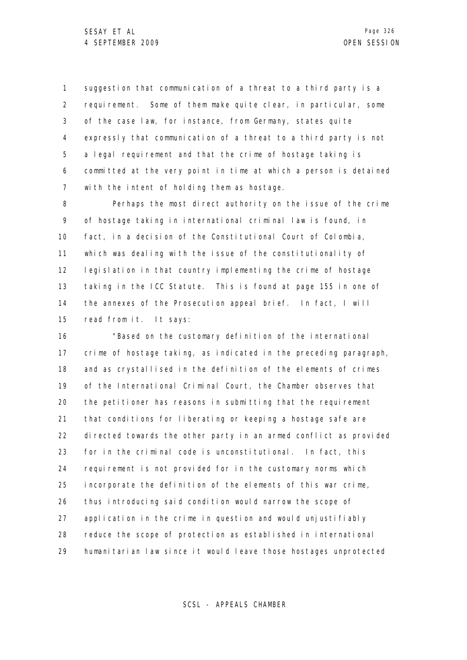1 2 3 4 5 6 7 suggestion that communication of a threat to a third party is a requirement. Some of them make quite clear, in particular, some of the case law, for instance, from Germany, states quite expressly that communication of a threat to a third party is not a legal requirement and that the crime of hostage taking is committed at the very point in time at which a person is detained with the intent of holding them as hostage.

8 9 10 11 12 13 14 15 Perhaps the most direct authority on the issue of the crime of hostage taking in international criminal law is found, in fact, in a decision of the Constitutional Court of Colombia, which was dealing with the issue of the constitutionality of legislation in that country implementing the crime of hostage taking in the ICC Statute. This is found at page 155 in one of the annexes of the Prosecution appeal brief. In fact, I will read from it. It says:

16 17 18 19 20 21 22 23 24 25 26 27 28 29 "Based on the customary definition of the international crime of hostage taking, as indicated in the preceding paragraph, and as crystallised in the definition of the elements of crimes of the International Criminal Court, the Chamber observes that the petitioner has reasons in submitting that the requirement that conditions for liberating or keeping a hostage safe are directed towards the other party in an armed conflict as provided for in the criminal code is unconstitutional. In fact, this requirement is not provided for in the customary norms which incorporate the definition of the elements of this war crime, thus introducing said condition would narrow the scope of application in the crime in question and would unjustifiably reduce the scope of protection as established in international humanitarian law since it would leave those hostages unprotected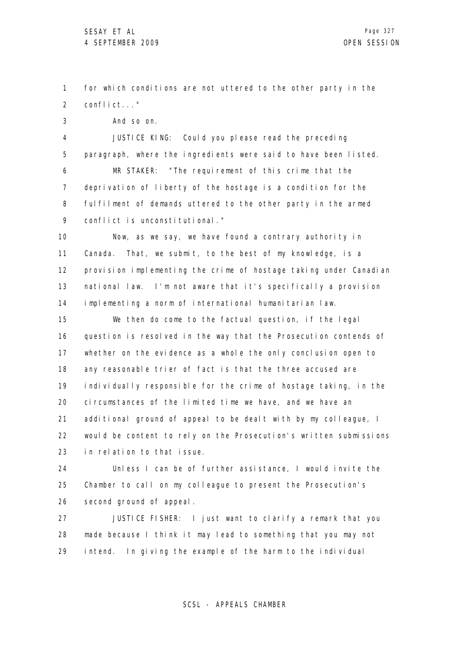1 2 for which conditions are not uttered to the other party in the conflict..."

3 And so on.

4 5 6 7 8 9 JUSTICE KING: Could you please read the preceding paragraph, where the ingredients were said to have been listed. MR STAKER: "The requirement of this crime that the deprivation of liberty of the hostage is a condition for the fulfilment of demands uttered to the other party in the armed conflict is unconstitutional."

10 11 12 13 14 Now, as we say, we have found a contrary authority in Canada. That, we submit, to the best of my knowledge, is a provision implementing the crime of hostage taking under Canadian national law. I'm not aware that it's specifically a provision implementing a norm of international humanitarian law.

15 16 17 18 19 20 21 22 23 We then do come to the factual question, if the legal question is resolved in the way that the Prosecution contends of whether on the evidence as a whole the only conclusion open to any reasonable trier of fact is that the three accused are individually responsible for the crime of hostage taking, in the circumstances of the limited time we have, and we have an additional ground of appeal to be dealt with by my colleague, I would be content to rely on the Prosecution's written submissions in relation to that issue.

24 25 26 Unless I can be of further assistance, I would invite the Chamber to call on my colleague to present the Prosecution's second ground of appeal.

27 28 29 JUSTICE FISHER: I just want to clarify a remark that you made because I think it may lead to something that you may not intend. In giving the example of the harm to the individual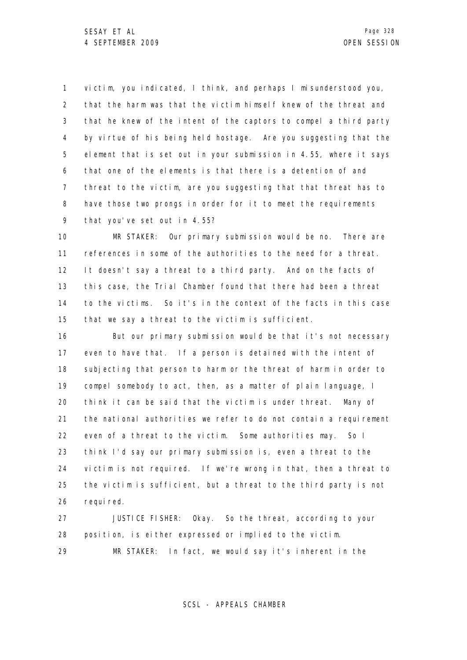1 2 3 4 5 6 7 8 9 victim, you indicated, I think, and perhaps I misunderstood you, that the harm was that the victim himself knew of the threat and that he knew of the intent of the captors to compel a third party by virtue of his being held hostage. Are you suggesting that the element that is set out in your submission in 4.55, where it says that one of the elements is that there is a detention of and threat to the victim, are you suggesting that that threat has to have those two prongs in order for it to meet the requirements that you've set out in 4.55?

10 11 12 13 14 15 MR STAKER: Our primary submission would be no. There are references in some of the authorities to the need for a threat. It doesn't say a threat to a third party. And on the facts of this case, the Trial Chamber found that there had been a threat to the victims. So it's in the context of the facts in this case that we say a threat to the victim is sufficient.

16 17 18 19 20 21 22 23 24 25 26 But our primary submission would be that it's not necessary even to have that. If a person is detained with the intent of subjecting that person to harm or the threat of harm in order to compel somebody to act, then, as a matter of plain language, I think it can be said that the victim is under threat. Many of the national authorities we refer to do not contain a requirement even of a threat to the victim. Some authorities may. So I think I'd say our primary submission is, even a threat to the victim is not required. If we're wrong in that, then a threat to the victim is sufficient, but a threat to the third party is not requi red.

27 28 29 JUSTICE FISHER: Okay. So the threat, according to your position, is either expressed or implied to the victim. MR STAKER: In fact, we would say it's inherent in the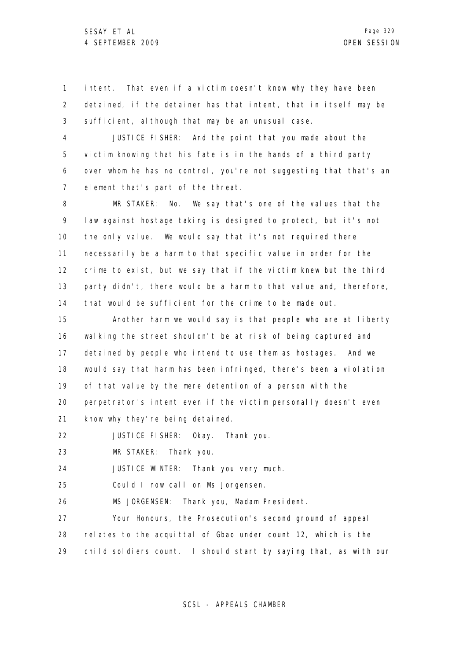1 2 3 intent. That even if a victim doesn't know why they have been detained, if the detainer has that intent, that in itself may be sufficient, although that may be an unusual case.

4 5 6 7 JUSTICE FISHER: And the point that you made about the victim knowing that his fate is in the hands of a third party over whom he has no control, you're not suggesting that that's an element that's part of the threat.

8 9 10 11 12 13 14 MR STAKER: No. We say that's one of the values that the law against hostage taking is designed to protect, but it's not the only value. We would say that it's not required there necessarily be a harm to that specific value in order for the crime to exist, but we say that if the victim knew but the third party didn't, there would be a harm to that value and, therefore, that would be sufficient for the crime to be made out.

15 16 17 18 19 20 21 Another harm we would say is that people who are at liberty walking the street shouldn't be at risk of being captured and detained by people who intend to use them as hostages. And we would say that harm has been infringed, there's been a violation of that value by the mere detention of a person with the perpetrator's intent even if the victim personally doesn't even know why they're being detained.

22 JUSTICE FISHER: Okay. Thank you.

23 MR STAKER: Thank you.

24 JUSTICE WINTER: Thank you very much.

25 Could I now call on Ms Jorgensen.

26 MS JORGENSEN: Thank you, Madam President.

27 28 29 Your Honours, the Prosecution's second ground of appeal relates to the acquittal of Gbao under count 12, which is the child soldiers count. I should start by saying that, as with our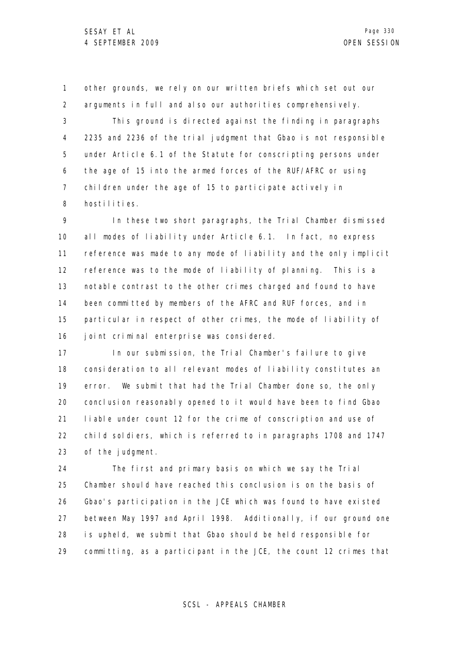1 2 3 4 5 6 7 8 other grounds, we rely on our written briefs which set out our arguments in full and also our authorities comprehensively. This ground is directed against the finding in paragraphs 2235 and 2236 of the trial judgment that Gbao is not responsible under Article 6.1 of the Statute for conscripting persons under the age of 15 into the armed forces of the RUF/AFRC or using children under the age of 15 to participate actively in hostilities.

9 10 11 12 13 14 15 16 In these two short paragraphs, the Trial Chamber dismissed all modes of liability under Article 6.1. In fact, no express reference was made to any mode of liability and the only implicit reference was to the mode of liability of planning. This is a notable contrast to the other crimes charged and found to have been committed by members of the AFRC and RUF forces, and in particular in respect of other crimes, the mode of liability of joint criminal enterprise was considered.

17 18 19 20 21 22 23 In our submission, the Trial Chamber's failure to give consideration to all relevant modes of liability constitutes an error. We submit that had the Trial Chamber done so, the only conclusion reasonably opened to it would have been to find Gbao liable under count 12 for the crime of conscription and use of child soldiers, which is referred to in paragraphs 1708 and 1747 of the judgment.

24 25 26 27 28 29 The first and primary basis on which we say the Trial Chamber should have reached this conclusion is on the basis of Gbao's participation in the JCE which was found to have existed between May 1997 and April 1998. Additionally, if our ground one is upheld, we submit that Gbao should be held responsible for committing, as a participant in the JCE, the count 12 crimes that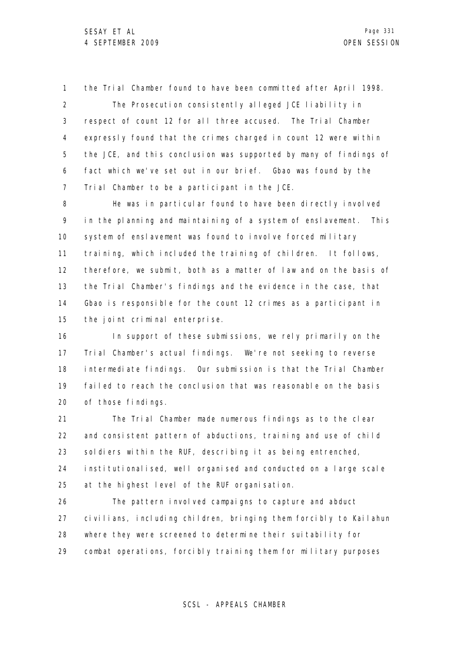1 2 3 4 5 6 7 the Trial Chamber found to have been committed after April 1998. The Prosecution consistently alleged JCE liability in respect of count 12 for all three accused. The Trial Chamber expressly found that the crimes charged in count 12 were within the JCE, and this conclusion was supported by many of findings of fact which we've set out in our brief. Gbao was found by the Trial Chamber to be a participant in the JCE.

8 9 10 11 12 13 14 15 He was in particular found to have been directly involved in the planning and maintaining of a system of enslavement. This system of enslavement was found to involve forced military training, which included the training of children. It follows, therefore, we submit, both as a matter of law and on the basis of the Trial Chamber's findings and the evidence in the case, that Gbao is responsible for the count 12 crimes as a participant in the joint criminal enterprise.

16 17 18 19 20 In support of these submissions, we rely primarily on the Trial Chamber's actual findings. We're not seeking to reverse intermediate findings. Our submission is that the Trial Chamber failed to reach the conclusion that was reasonable on the basis of those findings.

21 22 23 24 25 The Trial Chamber made numerous findings as to the clear and consistent pattern of abductions, training and use of child soldiers within the RUF, describing it as being entrenched, institutionalised, well organised and conducted on a large scale at the highest level of the RUF organisation.

26 27 28 29 The pattern involved campaigns to capture and abduct civilians, including children, bringing them forcibly to Kailahun where they were screened to determine their suitability for combat operations, forcibly training them for military purposes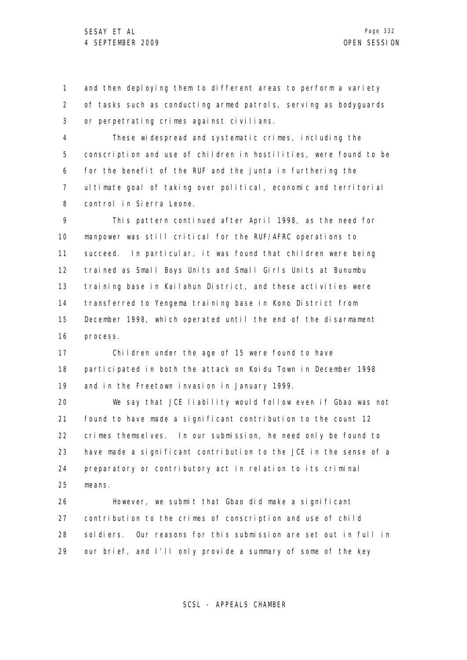1 2 3 and then deploying them to different areas to perform a variety of tasks such as conducting armed patrols, serving as bodyguards or perpetrating crimes against civilians.

4 5 6 7 8 These widespread and systematic crimes, including the conscription and use of children in hostilities, were found to be for the benefit of the RUF and the junta in furthering the ultimate goal of taking over political, economic and territorial control in Sierra Leone.

9 10 11 12 13 14 15 16 This pattern continued after April 1998, as the need for manpower was still critical for the RUF/AFRC operations to succeed. In particular, it was found that children were being trained as Small Boys Units and Small Girls Units at Bunumbu training base in Kailahun District, and these activities were transferred to Yengema training base in Kono District from December 1998, which operated until the end of the disarmament process.

17 18 19 Children under the age of 15 were found to have participated in both the attack on Koidu Town in December 1998 and in the Freetown invasion in January 1999.

20 21 22 23 24 25 We say that JCE liability would follow even if Gbao was not found to have made a significant contribution to the count 12 crimes themselves. In our submission, he need only be found to have made a significant contribution to the JCE in the sense of a preparatory or contributory act in relation to its criminal means.

26 27 28 29 However, we submit that Gbao did make a significant contribution to the crimes of conscription and use of child soldiers. Our reasons for this submission are set out in full in our brief, and I'll only provide a summary of some of the key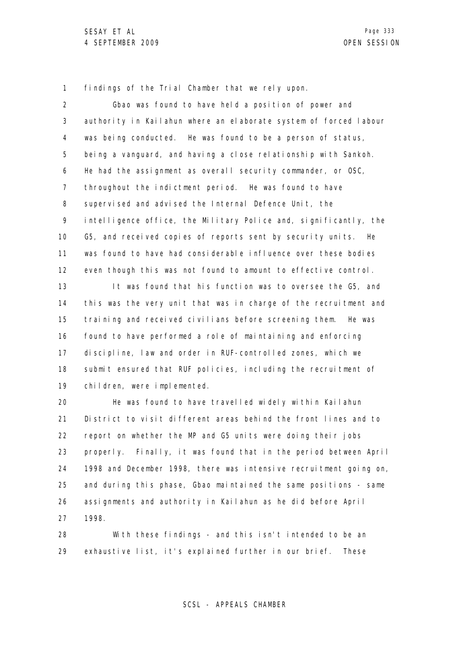1 findings of the Trial Chamber that we rely upon.

2 3 4 5 6 7 8 9 10 11 12 13 14 15 16 17 18 19 20 21 22 23 24 25 26 27 Gbao was found to have held a position of power and authority in Kailahun where an elaborate system of forced labour was being conducted. He was found to be a person of status, being a vanguard, and having a close relationship with Sankoh. He had the assignment as overall security commander, or OSC, throughout the indictment period. He was found to have supervised and advised the Internal Defence Unit, the intelligence office, the Military Police and, significantly, the G5, and received copies of reports sent by security units. He was found to have had considerable influence over these bodies even though this was not found to amount to effective control. It was found that his function was to oversee the G5, and this was the very unit that was in charge of the recruitment and training and received civilians before screening them. He was found to have performed a role of maintaining and enforcing discipline, law and order in RUF-controlled zones, which we submit ensured that RUF policies, including the recruitment of children, were implemented. He was found to have travelled widely within Kailahun District to visit different areas behind the front lines and to report on whether the MP and G5 units were doing their jobs properly. Finally, it was found that in the period between April 1998 and December 1998, there was intensive recruitment going on, and during this phase, Gbao maintained the same positions - same assignments and authority in Kailahun as he did before April 1998.

28 29 With these findings - and this isn't intended to be an exhaustive list, it's explained further in our brief. These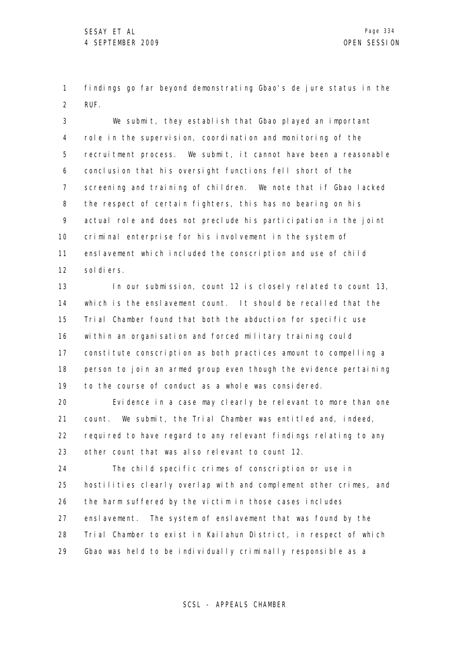1 2 findings go far beyond demonstrating Gbao's de jure status in the RUF.

3 4 5 6 7 8 9 10 11 12 We submit, they establish that Gbao played an important role in the supervision, coordination and monitoring of the recruitment process. We submit, it cannot have been a reasonable conclusion that his oversight functions fell short of the screening and training of children. We note that if Gbao lacked the respect of certain fighters, this has no bearing on his actual role and does not preclude his participation in the joint criminal enterprise for his involvement in the system of enslavement which included the conscription and use of child sol di ers.

13 14 15 16 17 18 19 In our submission, count 12 is closely related to count 13, which is the enslavement count. It should be recalled that the Trial Chamber found that both the abduction for specific use within an organisation and forced military training could constitute conscription as both practices amount to compelling a person to join an armed group even though the evidence pertaining to the course of conduct as a whole was considered.

20 21 22 23 Evidence in a case may clearly be relevant to more than one count. We submit, the Trial Chamber was entitled and, indeed, required to have regard to any relevant findings relating to any other count that was also relevant to count 12.

24 25 26 27 28 29 The child specific crimes of conscription or use in hostilities clearly overlap with and complement other crimes, and the harm suffered by the victim in those cases includes enslavement. The system of enslavement that was found by the Trial Chamber to exist in Kailahun District, in respect of which Gbao was held to be individually criminally responsible as a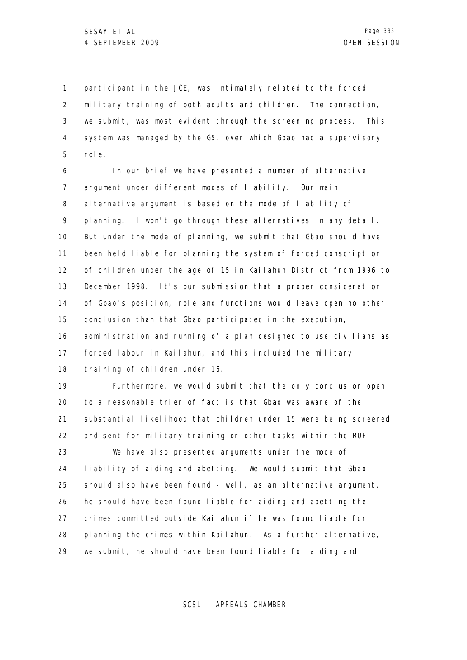1 2 3 4 5 participant in the JCE, was intimately related to the forced military training of both adults and children. The connection, we submit, was most evident through the screening process. This system was managed by the G5, over which Gbao had a supervisory role.

6 7 8 9 10 11 12 13 14 15 16 17 18 In our brief we have presented a number of alternative argument under different modes of liability. Our main alternative argument is based on the mode of liability of planning. I won't go through these alternatives in any detail. But under the mode of planning, we submit that Gbao should have been held liable for planning the system of forced conscription of children under the age of 15 in Kailahun District from 1996 to December 1998. It's our submission that a proper consideration of Gbao's position, role and functions would leave open no other conclusion than that Gbao participated in the execution, administration and running of a plan designed to use civilians as forced labour in Kailahun, and this included the military training of children under 15.

19 20 21 22 23 24 25 26 27 28 29 Furthermore, we would submit that the only conclusion open to a reasonable trier of fact is that Gbao was aware of the substantial likelihood that children under 15 were being screened and sent for military training or other tasks within the RUF. We have also presented arguments under the mode of liability of aiding and abetting. We would submit that Gbao should also have been found - well, as an alternative argument, he should have been found liable for aiding and abetting the crimes committed outside Kailahun if he was found liable for planning the crimes within Kailahun. As a further alternative, we submit, he should have been found liable for aiding and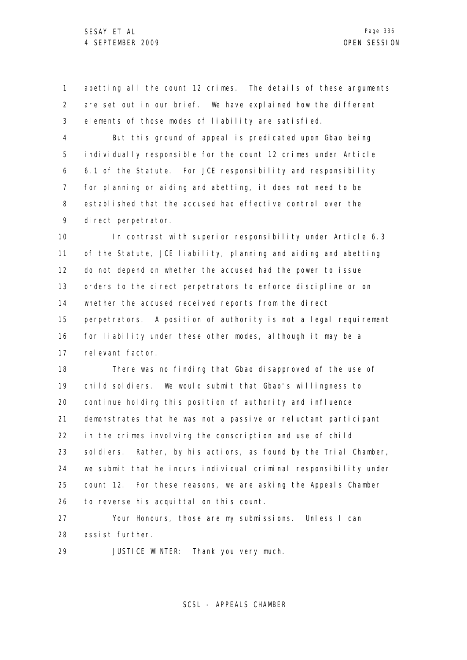1 2 3 abetting all the count 12 crimes. The details of these arguments are set out in our brief. We have explained how the different elements of those modes of liability are satisfied.

4 5 6 7 8 9 But this ground of appeal is predicated upon Gbao being individually responsible for the count 12 crimes under Article 6.1 of the Statute. For JCE responsibility and responsibility for planning or aiding and abetting, it does not need to be established that the accused had effective control over the direct perpetrator.

10 11 12 13 14 15 16 17 In contrast with superior responsibility under Article 6.3 of the Statute, JCE liability, planning and aiding and abetting do not depend on whether the accused had the power to issue orders to the direct perpetrators to enforce discipline or on whether the accused received reports from the direct perpetrators. A position of authority is not a legal requirement for liability under these other modes, although it may be a relevant factor.

18 19 20 21 22 23 24 25 26 There was no finding that Gbao disapproved of the use of child soldiers. We would submit that Gbao's willingness to continue holding this position of authority and influence demonstrates that he was not a passive or reluctant participant in the crimes involving the conscription and use of child soldiers. Rather, by his actions, as found by the Trial Chamber, we submit that he incurs individual criminal responsibility under count 12. For these reasons, we are asking the Appeals Chamber to reverse his acquittal on this count.

27 28 Your Honours, those are my submissions. Unless I can assist further.

29 JUSTICE WINTER: Thank you very much.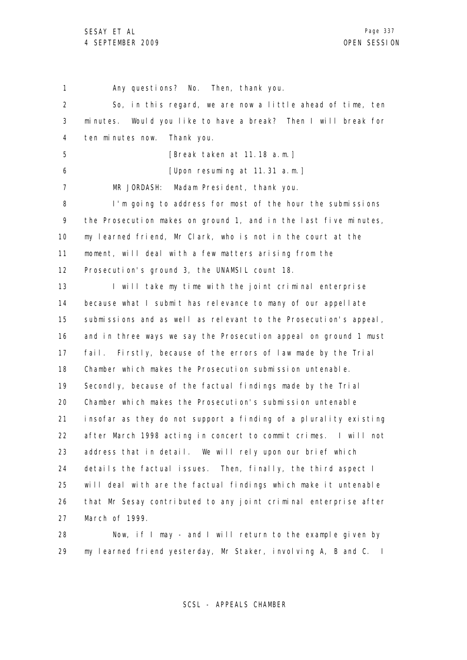1 2 3 4 5 6 7 8 9 10 11 12 13 14 15 16 17 18 19 20 21 22 23 24 25 26 27 Any questions? No. Then, thank you. So, in this regard, we are now a little ahead of time, ten minutes. Would you like to have a break? Then I will break for ten minutes now. Thank you. [Break taken at 11.18 a.m.] [Upon resuming at 11.31 a.m.] MR JORDASH: Madam President, thank you. I'm going to address for most of the hour the submissions the Prosecution makes on ground 1, and in the last five minutes, my learned friend, Mr Clark, who is not in the court at the moment, will deal with a few matters arising from the Prosecution's ground 3, the UNAMSIL count 18. I will take my time with the joint criminal enterprise because what I submit has relevance to many of our appellate submissions and as well as relevant to the Prosecution's appeal, and in three ways we say the Prosecution appeal on ground 1 must fail. Firstly, because of the errors of law made by the Trial Chamber which makes the Prosecution submission untenable. Secondly, because of the factual findings made by the Trial Chamber which makes the Prosecution's submission untenable insofar as they do not support a finding of a plurality existing after March 1998 acting in concert to commit crimes. I will not address that in detail. We will rely upon our brief which details the factual issues. Then, finally, the third aspect I will deal with are the factual findings which make it untenable that Mr Sesay contributed to any joint criminal enterprise after March of 1999.

28 29 Now, if I may - and I will return to the example given by my learned friend yesterday, Mr Staker, involving A, B and C. I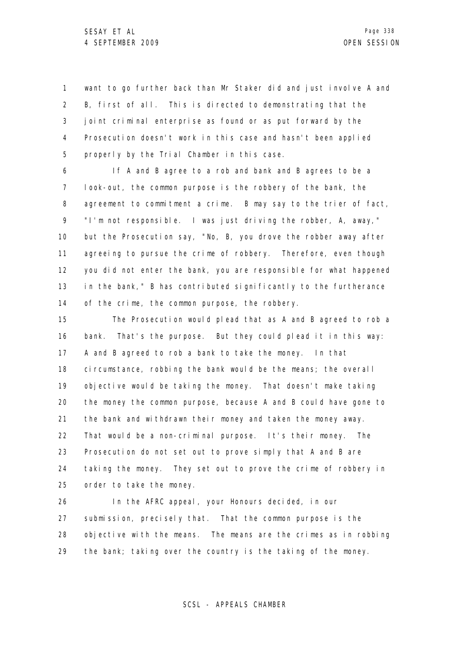1 2 3 4 5 want to go further back than Mr Staker did and just involve A and B, first of all. This is directed to demonstrating that the joint criminal enterprise as found or as put forward by the Prosecution doesn't work in this case and hasn't been applied properly by the Trial Chamber in this case.

6 7 8 9 10 11 12 13 14 If A and B agree to a rob and bank and B agrees to be a look-out, the common purpose is the robbery of the bank, the agreement to commitment a crime. B may say to the trier of fact, "I'm not responsible. I was just driving the robber, A, away," but the Prosecution say, "No, B, you drove the robber away after agreeing to pursue the crime of robbery. Therefore, even though you did not enter the bank, you are responsible for what happened in the bank," B has contributed significantly to the furtherance of the crime, the common purpose, the robbery.

15 16 17 18 19 20 21 22 23 24 25 The Prosecution would plead that as A and B agreed to rob a bank. That's the purpose. But they could plead it in this way: A and B agreed to rob a bank to take the money. In that circumstance, robbing the bank would be the means; the overall objective would be taking the money. That doesn't make taking the money the common purpose, because A and B could have gone to the bank and withdrawn their money and taken the money away. That would be a non-criminal purpose. It's their money. The Prosecution do not set out to prove simply that A and B are taking the money. They set out to prove the crime of robbery in order to take the money.

26 27 28 29 In the AFRC appeal, your Honours decided, in our submission, precisely that. That the common purpose is the objective with the means. The means are the crimes as in robbing the bank; taking over the country is the taking of the money.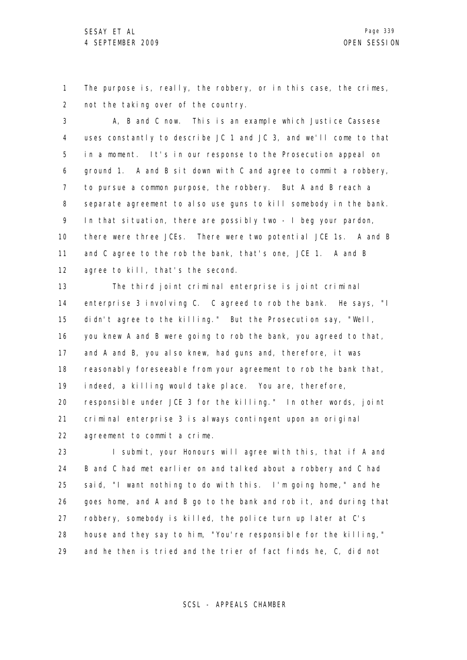1 2 The purpose is, really, the robbery, or in this case, the crimes, not the taking over of the country.

3 4 5 6 7 8 9 10 11 12 A, B and C now. This is an example which Justice Cassese uses constantly to describe JC 1 and JC 3, and we'll come to that in a moment. It's in our response to the Prosecution appeal on ground 1. A and B sit down with C and agree to commit a robbery, to pursue a common purpose, the robbery. But A and B reach a separate agreement to also use guns to kill somebody in the bank. In that situation, there are possibly two - I beg your pardon, there were three JCEs. There were two potential JCE 1s. A and B and C agree to the rob the bank, that's one, JCE 1. A and B agree to kill, that's the second.

13 14 15 16 17 18 19 20 21 22 The third joint criminal enterprise is joint criminal enterprise 3 involving C. C agreed to rob the bank. He says, "I didn't agree to the killing." But the Prosecution say, "Well, you knew A and B were going to rob the bank, you agreed to that, and A and B, you also knew, had guns and, therefore, it was reasonably foreseeable from your agreement to rob the bank that, indeed, a killing would take place. You are, therefore, responsible under JCE 3 for the killing." In other words, joint criminal enterprise 3 is always contingent upon an original agreement to commit a crime.

23 24 25 26 27 28 29 I submit, your Honours will agree with this, that if A and B and C had met earlier on and talked about a robbery and C had said, "I want nothing to do with this. I'm going home," and he goes home, and A and B go to the bank and rob it, and during that robbery, somebody is killed, the police turn up later at C's house and they say to him, "You're responsible for the killing," and he then is tried and the trier of fact finds he, C, did not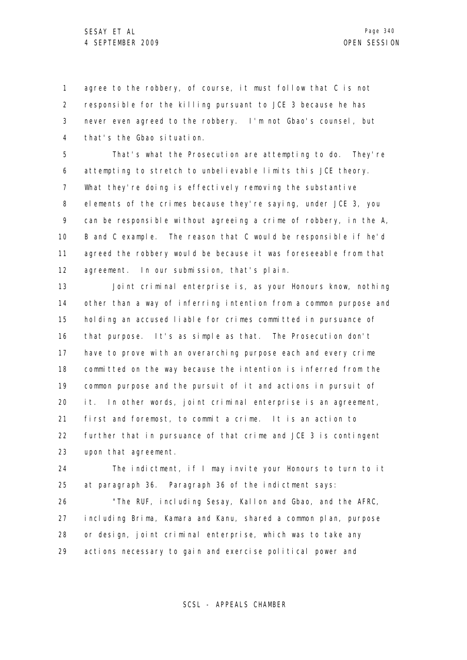1 2 3 4 agree to the robbery, of course, it must follow that C is not responsible for the killing pursuant to JCE 3 because he has never even agreed to the robbery. I'm not Gbao's counsel, but that's the Gbao situation.

5 6 7 8 9 10 11 12 That's what the Prosecution are attempting to do. They're attempting to stretch to unbelievable limits this JCE theory. What they're doing is effectively removing the substantive elements of the crimes because they're saying, under JCE 3, you can be responsible without agreeing a crime of robbery, in the A, B and C example. The reason that C would be responsible if he'd agreed the robbery would be because it was foreseeable from that agreement. In our submission, that's plain.

13 14 15 16 17 18 19 20 21 22 23 Joint criminal enterprise is, as your Honours know, nothing other than a way of inferring intention from a common purpose and holding an accused liable for crimes committed in pursuance of that purpose. It's as simple as that. The Prosecution don't have to prove with an overarching purpose each and every crime committed on the way because the intention is inferred from the common purpose and the pursuit of it and actions in pursuit of it. In other words, joint criminal enterprise is an agreement, first and foremost, to commit a crime. It is an action to further that in pursuance of that crime and JCE 3 is contingent upon that agreement.

24 25 The indictment, if I may invite your Honours to turn to it at paragraph 36. Paragraph 36 of the indictment says:

26 27 28 29 "The RUF, including Sesay, Kallon and Gbao, and the AFRC, including Brima, Kamara and Kanu, shared a common plan, purpose or design, joint criminal enterprise, which was to take any actions necessary to gain and exercise political power and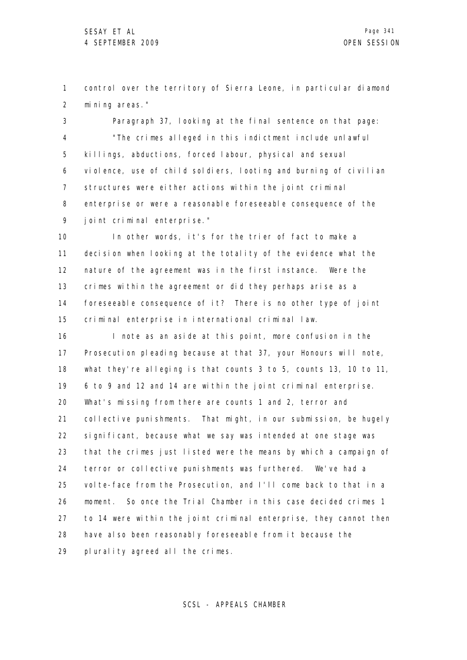1 2 control over the territory of Sierra Leone, in particular diamond mining areas."

3 4 5 6 7 8 9 Paragraph 37, looking at the final sentence on that page: "The crimes alleged in this indictment include unlawful killings, abductions, forced labour, physical and sexual violence, use of child soldiers, looting and burning of civilian structures were either actions within the joint criminal enterprise or were a reasonable foreseeable consequence of the joint criminal enterprise."

10 11 12 13 14 15 In other words, it's for the trier of fact to make a decision when looking at the totality of the evidence what the nature of the agreement was in the first instance. Were the crimes within the agreement or did they perhaps arise as a foreseeable consequence of it? There is no other type of joint criminal enterprise in international criminal law.

16 17 18 19 20 21 22 23 24 25 26 27 28 29 I note as an aside at this point, more confusion in the Prosecution pleading because at that 37, your Honours will note, what they're alleging is that counts  $3$  to  $5$ , counts  $13$ ,  $10$  to  $11$ , 6 to 9 and 12 and 14 are within the joint criminal enterprise. What's missing from there are counts 1 and 2, terror and collective punishments. That might, in our submission, be hugely significant, because what we say was intended at one stage was that the crimes just listed were the means by which a campaign of terror or collective punishments was furthered. We've had a volte-face from the Prosecution, and I'll come back to that in a moment. So once the Trial Chamber in this case decided crimes 1 to 14 were within the joint criminal enterprise, they cannot then have also been reasonably foreseeable from it because the plurality agreed all the crimes.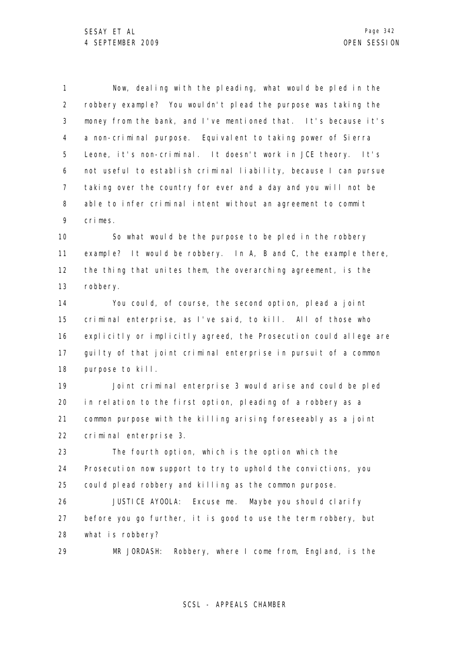1 2 3 4 5 6 7 8 9 Now, dealing with the pleading, what would be pled in the robbery example? You wouldn't plead the purpose was taking the money from the bank, and I've mentioned that. It's because it's a non-criminal purpose. Equivalent to taking power of Sierra Leone, it's non-criminal. It doesn't work in JCE theory. It's not useful to establish criminal liability, because I can pursue taking over the country for ever and a day and you will not be able to infer criminal intent without an agreement to commit crimes.

10 11 12 13 So what would be the purpose to be pled in the robbery example? It would be robbery. In A, B and C, the example there, the thing that unites them, the overarching agreement, is the robbery.

14 15 16 17 18 You could, of course, the second option, plead a joint criminal enterprise, as I've said, to kill. All of those who explicitly or implicitly agreed, the Prosecution could allege are guilty of that joint criminal enterprise in pursuit of a common purpose to kill.

19 20 21 22 Joint criminal enterprise 3 would arise and could be pled in relation to the first option, pleading of a robbery as a common purpose with the killing arising foreseeably as a joint criminal enterprise 3.

23 24 25 The fourth option, which is the option which the Prosecution now support to try to uphold the convictions, you could plead robbery and killing as the common purpose.

26 27 28 JUSTICE AYOOLA: Excuse me. Maybe you should clarify before you go further, it is good to use the term robbery, but what is robbery?

29 MR JORDASH: Robbery, where I come from, England, is the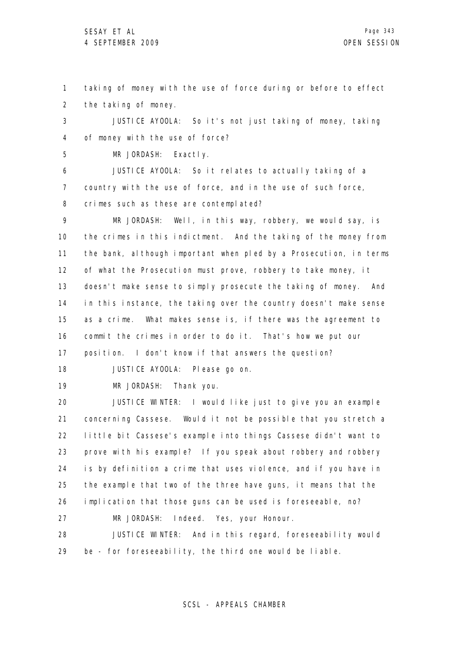1 2 taking of money with the use of force during or before to effect the taking of money.

3 4 JUSTICE AYOOLA: So it's not just taking of money, taking of money with the use of force?

5 MR JORDASH: Exactly.

6 7 8 JUSTICE AYOOLA: So it relates to actually taking of a country with the use of force, and in the use of such force, crimes such as these are contemplated?

9 10 11 12 13 14 15 16 17 MR JORDASH: Well, in this way, robbery, we would say, is the crimes in this indictment. And the taking of the money from the bank, although important when pled by a Prosecution, in terms of what the Prosecution must prove, robbery to take money, it doesn't make sense to simply prosecute the taking of money. And in this instance, the taking over the country doesn't make sense as a crime. What makes sense is, if there was the agreement to commit the crimes in order to do it. That's how we put our position. I don't know if that answers the question?

18 JUSTICE AYOOLA: Please go on.

19

MR JORDASH: Thank you.

20 21 22 23 24 25 26 JUSTICE WINTER: I would like just to give you an example concerning Cassese. Would it not be possible that you stretch a little bit Cassese's example into things Cassese didn't want to prove with his example? If you speak about robbery and robbery is by definition a crime that uses violence, and if you have in the example that two of the three have guns, it means that the implication that those guns can be used is foreseeable, no?

27 MR JORDASH: Indeed. Yes, your Honour.

28 29 JUSTICE WINTER: And in this regard, foreseeability would be - for foreseeability, the third one would be liable.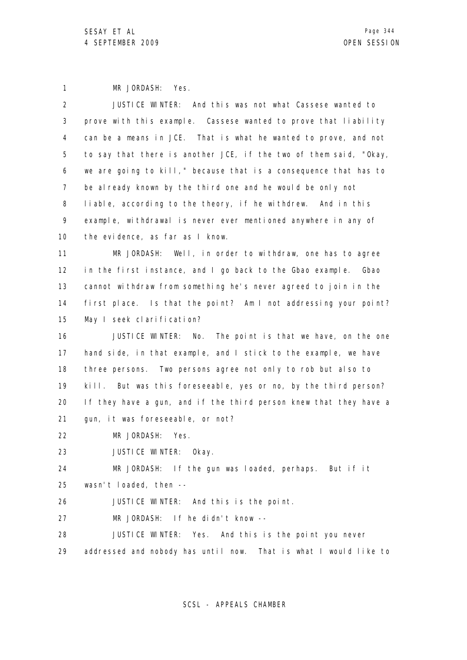1 2 3 4 5 6 7 8 9 10 11 12 13 14 15 16 17 18 19 20 21 22 23 24 25 26 27 28 29 MR JORDASH: Yes. JUSTICE WINTER: And this was not what Cassese wanted to prove with this example. Cassese wanted to prove that liability can be a means in JCE. That is what he wanted to prove, and not to say that there is another JCE, if the two of them said, "Okay, we are going to kill," because that is a consequence that has to be already known by the third one and he would be only not liable, according to the theory, if he withdrew. And in this example, withdrawal is never ever mentioned anywhere in any of the evidence, as far as I know. MR JORDASH: Well, in order to withdraw, one has to agree in the first instance, and I go back to the Gbao example. Gbao cannot withdraw from something he's never agreed to join in the first place. Is that the point? Am I not addressing your point? May I seek clarification? JUSTICE WINTER: No. The point is that we have, on the one hand side, in that example, and I stick to the example, we have three persons. Two persons agree not only to rob but also to kill. But was this foreseeable, yes or no, by the third person? If they have a gun, and if the third person knew that they have a gun, it was foreseeable, or not? MR JORDASH: Yes. JUSTICE WINTER: Okay. MR JORDASH: If the gun was loaded, perhaps. But if it wasn't loaded, then --JUSTICE WINTER: And this is the point. MR JORDASH: If he didn't know -- JUSTICE WINTER: Yes. And this is the point you never addressed and nobody has until now. That is what I would like to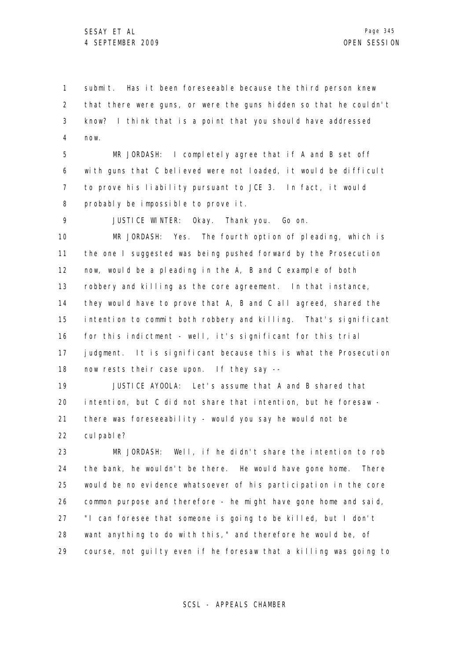1 2 3 4 submit. Has it been foreseeable because the third person knew that there were guns, or were the guns hidden so that he couldn't know? I think that is a point that you should have addressed now.

5 6 7 8 MR JORDASH: I completely agree that if A and B set off with guns that C believed were not loaded, it would be difficult to prove his liability pursuant to JCE 3. In fact, it would probably be impossible to prove it.

9 JUSTICE WINTER: Okay. Thank you. Go on.

10 11 12 13 14 15 16 17 18 MR JORDASH: Yes. The fourth option of pleading, which is the one I suggested was being pushed forward by the Prosecution now, would be a pleading in the A, B and C example of both robbery and killing as the core agreement. In that instance, they would have to prove that A, B and C all agreed, shared the intention to commit both robbery and killing. That's significant for this indictment - well, it's significant for this trial judgment. It is significant because this is what the Prosecution now rests their case upon. If they say --

19 20 21 22 JUSTICE AYOOLA: Let's assume that A and B shared that intention, but C did not share that intention, but he foresaw there was foreseeability - would you say he would not be cul pabl e?

23 24 25 26 27 28 29 MR JORDASH: Well, if he didn't share the intention to rob the bank, he wouldn't be there. He would have gone home. There would be no evidence whatsoever of his participation in the core common purpose and therefore - he might have gone home and said, "I can foresee that someone is going to be killed, but I don't want anything to do with this," and therefore he would be, of course, not guilty even if he foresaw that a killing was going to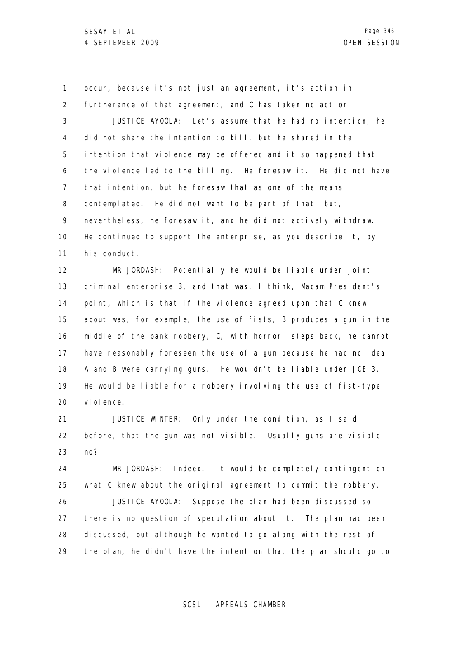1 2 3 4 5 6 7 8 9 10 11 occur, because it's not just an agreement, it's action in furtherance of that agreement, and C has taken no action. JUSTICE AYOOLA: Let's assume that he had no intention, he did not share the intention to kill, but he shared in the intention that violence may be offered and it so happened that the violence led to the killing. He foresaw it. He did not have that intention, but he foresaw that as one of the means contemplated. He did not want to be part of that, but, nevertheless, he foresaw it, and he did not actively withdraw. He continued to support the enterprise, as you describe it, by his conduct.

12 13 14 15 16 17 18 19 20 MR JORDASH: Potentially he would be liable under joint criminal enterprise 3, and that was, I think, Madam President's point, which is that if the violence agreed upon that C knew about was, for example, the use of fists, B produces a gun in the middle of the bank robbery, C, with horror, steps back, he cannot have reasonably foreseen the use of a gun because he had no idea A and B were carrying guns. He wouldn't be liable under JCE 3. He would be liable for a robbery involving the use of fist-type vi ol ence.

21 22 23 JUSTICE WINTER: Only under the condition, as I said before, that the gun was not visible. Usually guns are visible, no?

24 25 26 27 28 29 MR JORDASH: Indeed. It would be completely contingent on what C knew about the original agreement to commit the robbery. JUSTICE AYOOLA: Suppose the plan had been discussed so there is no question of speculation about it. The plan had been discussed, but although he wanted to go along with the rest of the plan, he didn't have the intention that the plan should go to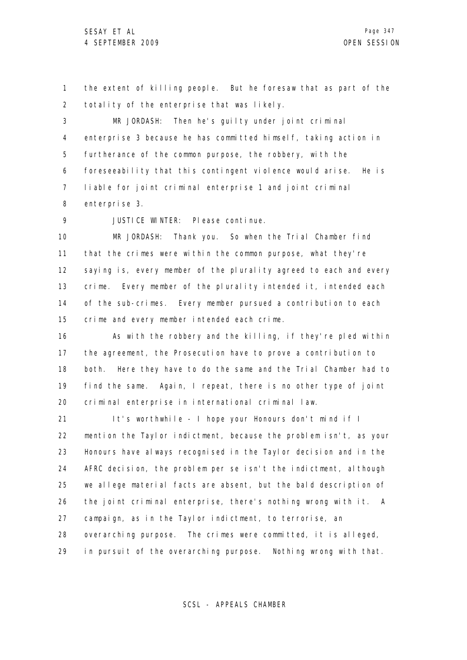1 2 the extent of killing people. But he foresaw that as part of the totality of the enterprise that was likely.

3 4 5 6 7 8 MR JORDASH: Then he's guilty under joint criminal enterprise 3 because he has committed himself, taking action in furtherance of the common purpose, the robbery, with the foreseeability that this contingent violence would arise. He is liable for joint criminal enterprise 1 and joint criminal enterprise 3.

9 JUSTICE WINTER: Please continue.

10 11 12 13 14 15 MR JORDASH: Thank you. So when the Trial Chamber find that the crimes were within the common purpose, what they're saying is, every member of the plurality agreed to each and every crime. Every member of the plurality intended it, intended each of the sub-crimes. Every member pursued a contribution to each crime and every member intended each crime.

16 17 18 19 20 As with the robbery and the killing, if they're pled within the agreement, the Prosecution have to prove a contribution to both. Here they have to do the same and the Trial Chamber had to find the same. Again, I repeat, there is no other type of joint criminal enterprise in international criminal law.

21 22 23 24 25 26 27 28 29 It's worthwhile - I hope your Honours don't mind if I mention the Taylor indictment, because the problem isn't, as your Honours have always recognised in the Taylor decision and in the AFRC decision, the problem per se isn't the indictment, although we allege material facts are absent, but the bald description of the joint criminal enterprise, there's nothing wrong with it. A campaign, as in the Taylor indictment, to terrorise, an overarching purpose. The crimes were committed, it is alleged, in pursuit of the overarching purpose. Nothing wrong with that.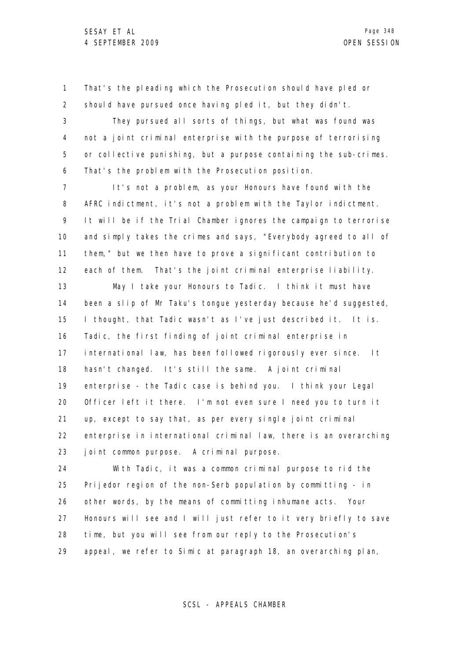1 2 That's the pleading which the Prosecution should have pled or should have pursued once having pled it, but they didn't.

3 4 5 6 They pursued all sorts of things, but what was found was not a joint criminal enterprise with the purpose of terrorising or collective punishing, but a purpose containing the sub-crimes. That's the problem with the Prosecution position.

7 8 9 10 11 12 It's not a problem, as your Honours have found with the AFRC indictment, it's not a problem with the Taylor indictment. It will be if the Trial Chamber ignores the campaign to terrorise and simply takes the crimes and says, "Everybody agreed to all of them," but we then have to prove a significant contribution to each of them. That's the joint criminal enterprise liability.

13 14 15 16 17 18 19 20 21 22 23 May I take your Honours to Tadic. I think it must have been a slip of Mr Taku's tongue yesterday because he'd suggested, I thought, that Tadic wasn't as I've just described it. It is. Tadic, the first finding of joint criminal enterprise in international law, has been followed rigorously ever since. It hasn't changed. It's still the same. A joint criminal enterprise - the Tadic case is behind you. I think your Legal Officer left it there. I'm not even sure I need you to turn it up, except to say that, as per every single joint criminal enterprise in international criminal law, there is an overarching joint common purpose. A criminal purpose.

24 25 26 27 28 29 With Tadic, it was a common criminal purpose to rid the Prijedor region of the non-Serb population by committing - in other words, by the means of committing inhumane acts. Your Honours will see and I will just refer to it very briefly to save time, but you will see from our reply to the Prosecution's appeal, we refer to Simic at paragraph 18, an overarching plan,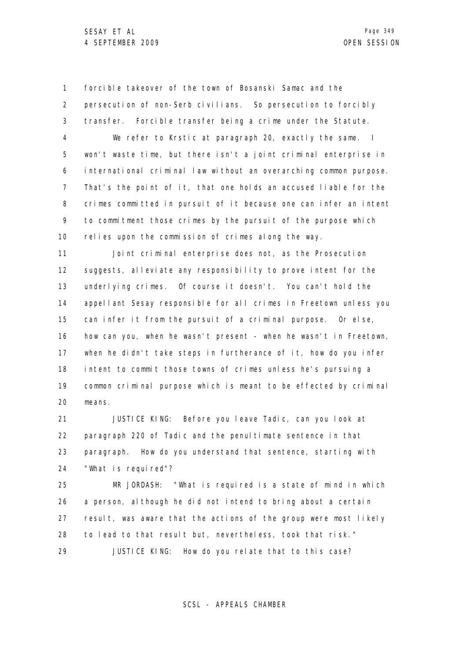1 2 3 4 5 6 7 8 9 10 forcible takeover of the town of Bosanski Samac and the persecution of non-Serb civilians. So persecution to forcibly transfer. Forcible transfer being a crime under the Statute. We refer to Krstic at paragraph 20, exactly the same. I won't waste time, but there isn't a joint criminal enterprise in international criminal law without an overarching common purpose. That's the point of it, that one holds an accused liable for the crimes committed in pursuit of it because one can infer an intent to commitment those crimes by the pursuit of the purpose which relies upon the commission of crimes along the way.

11 12 13 14 15 16 17 18 19 20 Joint criminal enterprise does not, as the Prosecution suggests, alleviate any responsibility to prove intent for the underlying crimes. Of course it doesn't. You can't hold the appellant Sesay responsible for all crimes in Freetown unless you can infer it from the pursuit of a criminal purpose. Or else, how can you, when he wasn't present - when he wasn't in Freetown, when he didn't take steps in furtherance of it, how do you infer intent to commit those towns of crimes unless he's pursuing a common criminal purpose which is meant to be effected by criminal means.

21 22 23 24 JUSTICE KING: Before you leave Tadic, can you look at paragraph 220 of Tadic and the penultimate sentence in that paragraph. How do you understand that sentence, starting with "What is required"?

25 26 27 28 29 MR JORDASH: "What is required is a state of mind in which a person, although he did not intend to bring about a certain result, was aware that the actions of the group were most likely to lead to that result but, nevertheless, took that risk." JUSTICE KING: How do you relate that to this case?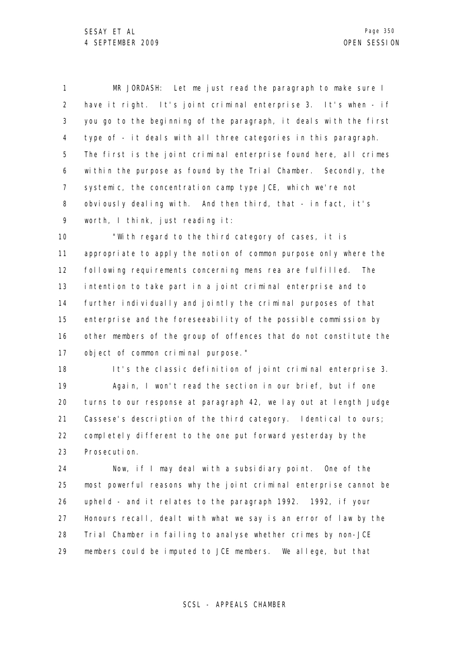1 2 3 4 5 6 7 8 9 MR JORDASH: Let me just read the paragraph to make sure I have it right. It's joint criminal enterprise 3. It's when - if you go to the beginning of the paragraph, it deals with the first type of - it deals with all three categories in this paragraph. The first is the joint criminal enterprise found here, all crimes within the purpose as found by the Trial Chamber. Secondly, the systemic, the concentration camp type JCE, which we're not obviously dealing with. And then third, that - in fact, it's worth, I think, just reading it:

10 11 12 13 14 15 16 17 "With regard to the third category of cases, it is appropriate to apply the notion of common purpose only where the following requirements concerning mens rea are fulfilled. The intention to take part in a joint criminal enterprise and to further individually and jointly the criminal purposes of that enterprise and the foreseeability of the possible commission by other members of the group of offences that do not constitute the object of common criminal purpose."

18 19 20 21 22 23 It's the classic definition of joint criminal enterprise 3. Again, I won't read the section in our brief, but if one turns to our response at paragraph 42, we lay out at length Judge Cassese's description of the third category. Identical to ours; completely different to the one put forward yesterday by the Prosecution.

24 25 26 27 28 29 Now, if I may deal with a subsidiary point. One of the most powerful reasons why the joint criminal enterprise cannot be upheld - and it relates to the paragraph 1992. 1992, if your Honours recall, dealt with what we say is an error of law by the Trial Chamber in failing to analyse whether crimes by non-JCE members could be imputed to JCE members. We allege, but that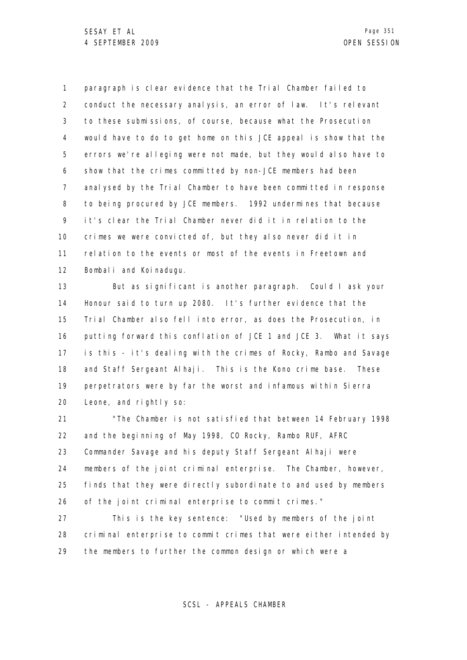1 2 3 4 5 6 7 8 9 10 11 12 paragraph is clear evidence that the Trial Chamber failed to conduct the necessary analysis, an error of law. It's relevant to these submissions, of course, because what the Prosecution would have to do to get home on this JCE appeal is show that the errors we're alleging were not made, but they would also have to show that the crimes committed by non-JCE members had been analysed by the Trial Chamber to have been committed in response to being procured by JCE members. 1992 undermines that because it's clear the Trial Chamber never did it in relation to the crimes we were convicted of, but they also never did it in relation to the events or most of the events in Freetown and Bombali and Koinadugu.

13 14 15 16 17 18 19 20 But as significant is another paragraph. Could I ask your Honour said to turn up 2080. It's further evidence that the Trial Chamber also fell into error, as does the Prosecution, in putting forward this conflation of JCE 1 and JCE 3. What it says is this - it's dealing with the crimes of Rocky, Rambo and Savage and Staff Sergeant Alhaji. This is the Kono crime base. These perpetrators were by far the worst and infamous within Sierra Leone, and rightly so:

21 22 23 24 25 26 "The Chamber is not satisfied that between 14 February 1998 and the beginning of May 1998, CO Rocky, Rambo RUF, AFRC Commander Savage and his deputy Staff Sergeant Alhaji were members of the joint criminal enterprise. The Chamber, however, finds that they were directly subordinate to and used by members of the joint criminal enterprise to commit crimes."

27 28 29 This is the key sentence: "Used by members of the joint criminal enterprise to commit crimes that were either intended by the members to further the common design or which were a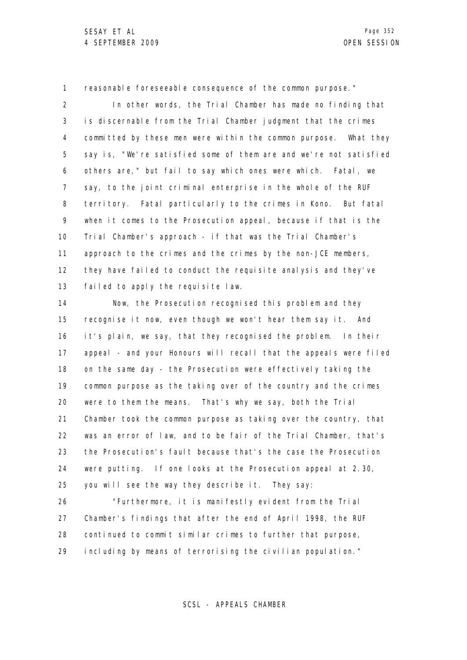1 reasonable foreseeable consequence of the common purpose."

2 3 4 5 6 7 8 9 10 11 12 13 In other words, the Trial Chamber has made no finding that is discernable from the Trial Chamber judgment that the crimes committed by these men were within the common purpose. What they say is, "We're satisfied some of them are and we're not satisfied others are," but fail to say which ones were which. Fatal, we say, to the joint criminal enterprise in the whole of the RUF territory. Fatal particularly to the crimes in Kono. But fatal when it comes to the Prosecution appeal, because if that is the Trial Chamber's approach - if that was the Trial Chamber's approach to the crimes and the crimes by the non-JCE members, they have failed to conduct the requisite analysis and they've failed to apply the requisite law.

14 15 16 17 18 19 20 21 22 23 24 25 Now, the Prosecution recognised this problem and they recognise it now, even though we won't hear them say it. And it's plain, we say, that they recognised the problem. In their appeal - and your Honours will recall that the appeals were filed on the same day - the Prosecution were effectively taking the common purpose as the taking over of the country and the crimes were to them the means. That's why we say, both the Trial Chamber took the common purpose as taking over the country, that was an error of law, and to be fair of the Trial Chamber, that's the Prosecution's fault because that's the case the Prosecution were putting. If one looks at the Prosecution appeal at 2.30, you will see the way they describe it. They say:

26 27 28 29 "Furthermore, it is manifestly evident from the Trial Chamber's findings that after the end of April 1998, the RUF continued to commit similar crimes to further that purpose, including by means of terrorising the civilian population."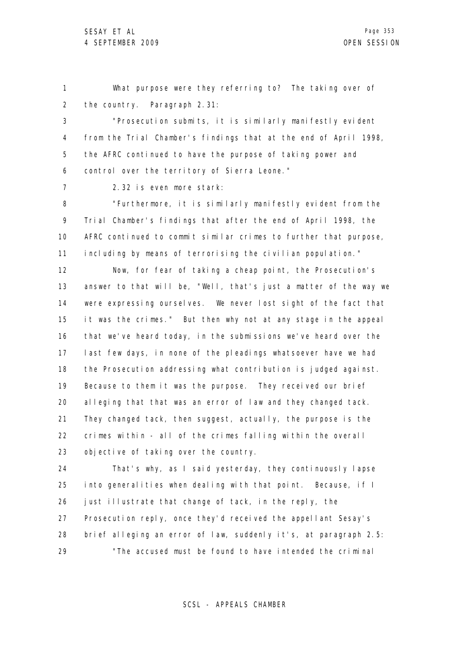1 2 What purpose were they referring to? The taking over of the country. Paragraph 2.31:

3 4 5 6 "Prosecution submits, it is similarly manifestly evident from the Trial Chamber's findings that at the end of April 1998, the AFRC continued to have the purpose of taking power and control over the territory of Sierra Leone."

7

2.32 is even more stark:

8 9 10 11 "Furthermore, it is similarly manifestly evident from the Trial Chamber's findings that after the end of April 1998, the AFRC continued to commit similar crimes to further that purpose, including by means of terrorising the civilian population."

12 13 14 15 16 17 18 19 20 21 22 23 Now, for fear of taking a cheap point, the Prosecution's answer to that will be, "Well, that's just a matter of the way we were expressing ourselves. We never lost sight of the fact that it was the crimes." But then why not at any stage in the appeal that we've heard today, in the submissions we've heard over the last few days, in none of the pleadings whatsoever have we had the Prosecution addressing what contribution is judged against. Because to them it was the purpose. They received our brief alleging that that was an error of law and they changed tack. They changed tack, then suggest, actually, the purpose is the crimes within - all of the crimes falling within the overall objective of taking over the country.

24 25 26 27 28 29 That's why, as I said yesterday, they continuously lapse into generalities when dealing with that point. Because, if I just illustrate that change of tack, in the reply, the Prosecution reply, once they'd received the appellant Sesay's brief alleging an error of law, suddenly it's, at paragraph 2.5: "The accused must be found to have intended the criminal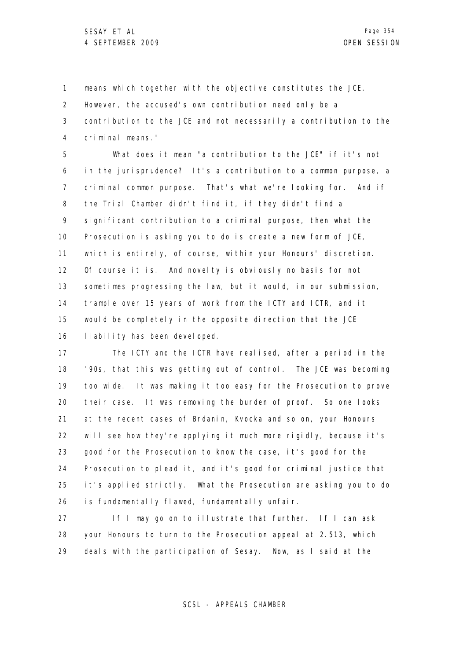1 2 3 4 means which together with the objective constitutes the JCE. However, the accused's own contribution need only be a contribution to the JCE and not necessarily a contribution to the criminal means."

5 6 7 8 9 10 11 12 13 14 15 16 What does it mean "a contribution to the JCE" if it's not in the jurisprudence? It's a contribution to a common purpose, a criminal common purpose. That's what we're looking for. And if the Trial Chamber didn't find it, if they didn't find a significant contribution to a criminal purpose, then what the Prosecution is asking you to do is create a new form of JCE, which is entirely, of course, within your Honours' discretion. Of course it is. And novelty is obviously no basis for not sometimes progressing the law, but it would, in our submission, trample over 15 years of work from the ICTY and ICTR, and it would be completely in the opposite direction that the JCE liability has been developed.

17 18 19 20 21 22 23 24 25 26 The ICTY and the ICTR have realised, after a period in the '90s, that this was getting out of control. The JCE was becoming too wide. It was making it too easy for the Prosecution to prove their case. It was removing the burden of proof. So one looks at the recent cases of Brdanin, Kvocka and so on, your Honours will see how they're applying it much more rigidly, because it's good for the Prosecution to know the case, it's good for the Prosecution to plead it, and it's good for criminal justice that it's applied strictly. What the Prosecution are asking you to do is fundamentally flawed, fundamentally unfair.

27 28 29 If I may go on to illustrate that further. If I can ask your Honours to turn to the Prosecution appeal at 2.513, which deals with the participation of Sesay. Now, as I said at the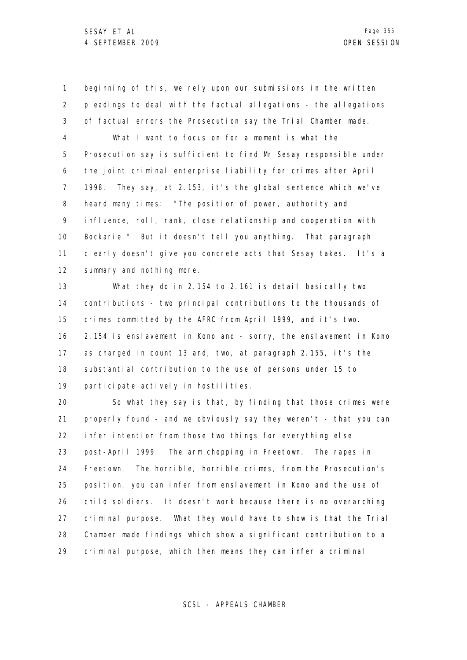1 2 3 4 5 6 7 8 9 10 11 12 beginning of this, we rely upon our submissions in the written pleadings to deal with the factual allegations - the allegations of factual errors the Prosecution say the Trial Chamber made. What I want to focus on for a moment is what the Prosecution say is sufficient to find Mr Sesay responsible under the joint criminal enterprise liability for crimes after April 1998. They say, at 2.153, it's the global sentence which we've heard many times: "The position of power, authority and influence, roll, rank, close relationship and cooperation with Bockarie." But it doesn't tell you anything. That paragraph clearly doesn't give you concrete acts that Sesay takes. It's a summary and nothing more.

13 14 15 16 17 18 19 What they do in 2.154 to 2.161 is detail basically two contributions - two principal contributions to the thousands of crimes committed by the AFRC from April 1999, and it's two. 2.154 is enslavement in Kono and - sorry, the enslavement in Kono as charged in count 13 and, two, at paragraph 2.155, it's the substantial contribution to the use of persons under 15 to participate actively in hostilities.

20 21 22 23 24 25 26 27 28 29 So what they say is that, by finding that those crimes were properly found - and we obviously say they weren't - that you can infer intention from those two things for everything else post-April 1999. The arm chopping in Freetown. The rapes in Freetown. The horrible, horrible crimes, from the Prosecution's position, you can infer from enslavement in Kono and the use of child soldiers. It doesn't work because there is no overarching criminal purpose. What they would have to show is that the Trial Chamber made findings which show a significant contribution to a criminal purpose, which then means they can infer a criminal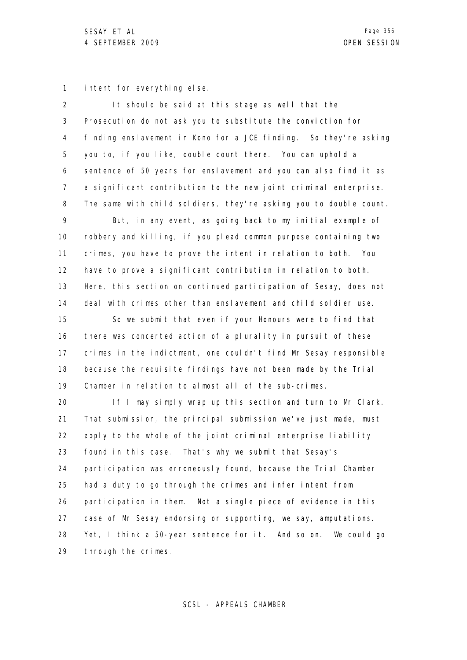1 intent for everything else.

| $\overline{2}$    | It should be said at this stage as well that the                  |
|-------------------|-------------------------------------------------------------------|
| 3                 | Prosecution do not ask you to substitute the conviction for       |
| 4                 | finding enslavement in Kono for a JCE finding. So they're asking  |
| 5                 | you to, if you like, double count there. You can uphold a         |
| 6                 | sentence of 50 years for enslavement and you can also find it as  |
| $\overline{7}$    | a significant contribution to the new joint criminal enterprise.  |
| 8                 | The same with child soldiers, they're asking you to double count. |
| 9                 | But, in any event, as going back to my initial example of         |
| 10                | robbery and killing, if you plead common purpose containing two   |
| 11                | crimes, you have to prove the intent in relation to both. You     |
| $12 \overline{ }$ | have to prove a significant contribution in relation to both.     |
| 13                | Here, this section on continued participation of Sesay, does not  |
| 14                | deal with crimes other than enslavement and child soldier use.    |
| 15                | So we submit that even if your Honours were to find that          |
| 16                | there was concerted action of a plurality in pursuit of these     |
| 17                | crimes in the indictment, one couldn't find Mr Sesay responsible  |
| 18                | because the requisite findings have not been made by the Trial    |
| 19                | Chamber in relation to almost all of the sub-crimes.              |
| 20                | If I may simply wrap up this section and turn to Mr Clark.        |
| 21                | That submission, the principal submission we've just made, must   |
| 22                | apply to the whole of the joint criminal enterprise liability     |
| 23                | found in this case. That's why we submit that Sesay's             |
| 24                | participation was erroneously found, because the Trial Chamber    |
| 25                | had a duty to go through the crimes and infer intent from         |
| 26                | participation in them. Not a single piece of evidence in this     |
| 27                | case of Mr Sesay endorsing or supporting, we say, amputations.    |
| 28                | Yet, I think a 50-year sentence for it. And so on. We could go    |
| 29                | through the crimes.                                               |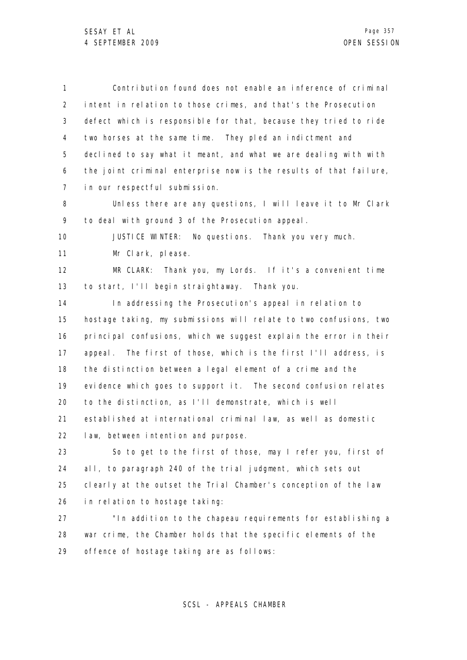1 2 3 4 5 6 7 8 9 10 11 12 13 14 15 16 17 18 19 20 21 22 23 24 25 26 Contribution found does not enable an inference of criminal intent in relation to those crimes, and that's the Prosecution defect which is responsible for that, because they tried to ride two horses at the same time. They pled an indictment and declined to say what it meant, and what we are dealing with with the joint criminal enterprise now is the results of that failure, in our respectful submission. Unless there are any questions, I will leave it to Mr Clark to deal with ground 3 of the Prosecution appeal. JUSTICE WINTER: No questions. Thank you very much. Mr Clark, please. MR CLARK: Thank you, my Lords. If it's a convenient time to start, I'll begin straightaway. Thank you. In addressing the Prosecution's appeal in relation to hostage taking, my submissions will relate to two confusions, two principal confusions, which we suggest explain the error in their appeal. The first of those, which is the first I'll address, is the distinction between a legal element of a crime and the evidence which goes to support it. The second confusion relates to the distinction, as I'll demonstrate, which is well established at international criminal law, as well as domestic law, between intention and purpose. So to get to the first of those, may I refer you, first of all, to paragraph 240 of the trial judgment, which sets out clearly at the outset the Trial Chamber's conception of the law in relation to hostage taking:

27 28 29 "In addition to the chapeau requirements for establishing a war crime, the Chamber holds that the specific elements of the offence of hostage taking are as follows: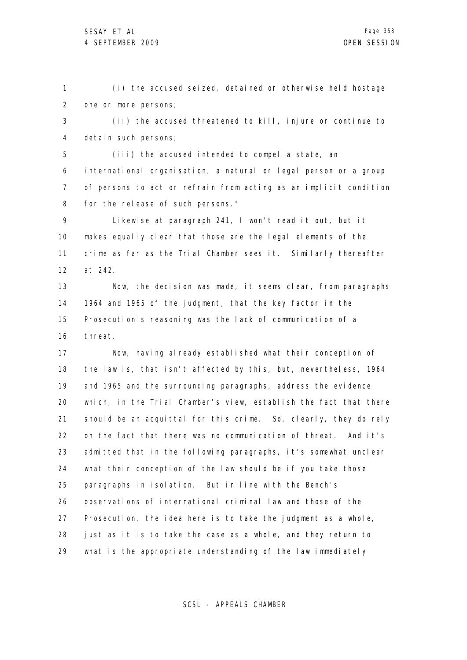1 2 (i) the accused seized, detained or otherwise held hostage one or more persons;

3 4 (ii) the accused threatened to kill, injure or continue to detain such persons;

5 6 7 8 (iii) the accused intended to compel a state, an international organisation, a natural or legal person or a group of persons to act or refrain from acting as an implicit condition for the release of such persons."

9 10 11 12 Likewise at paragraph 241, I won't read it out, but it makes equally clear that those are the legal elements of the crime as far as the Trial Chamber sees it. Similarly thereafter at 242.

13 14 15 16 Now, the decision was made, it seems clear, from paragraphs 1964 and 1965 of the judgment, that the key factor in the Prosecution's reasoning was the lack of communication of a threat.

17 18 19 20 21 22 23 24 25 26 27 28 29 Now, having already established what their conception of the law is, that isn't affected by this, but, nevertheless, 1964 and 1965 and the surrounding paragraphs, address the evidence which, in the Trial Chamber's view, establish the fact that there should be an acquittal for this crime. So, clearly, they do rely on the fact that there was no communication of threat. And it's admitted that in the following paragraphs, it's somewhat unclear what their conception of the law should be if you take those paragraphs in isolation. But in line with the Bench's observations of international criminal law and those of the Prosecution, the idea here is to take the judgment as a whole, just as it is to take the case as a whole, and they return to what is the appropriate understanding of the law immediately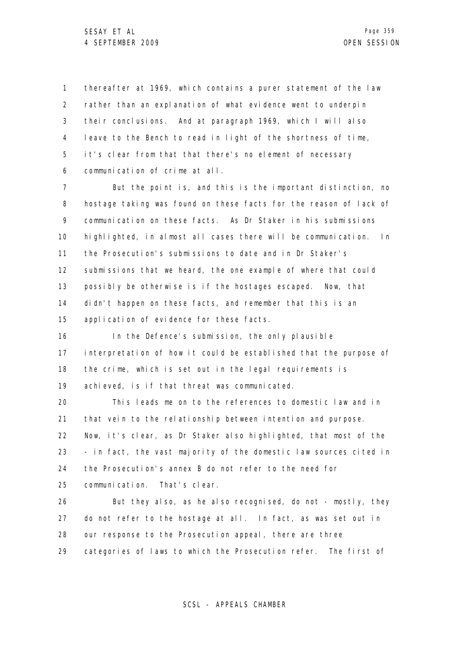1 2 3 4 5 6 thereafter at 1969, which contains a purer statement of the law rather than an explanation of what evidence went to underpin their conclusions. And at paragraph 1969, which I will also leave to the Bench to read in light of the shortness of time, it's clear from that that there's no element of necessary communication of crime at all.

7 8 9 10 11 12 13 14 15 But the point is, and this is the important distinction, no hostage taking was found on these facts for the reason of lack of communication on these facts. As Dr Staker in his submissions highlighted, in almost all cases there will be communication. In the Prosecution's submissions to date and in Dr Staker's submissions that we heard, the one example of where that could possibly be otherwise is if the hostages escaped. Now, that didn't happen on these facts, and remember that this is an application of evidence for these facts.

16 17 18 19 In the Defence's submission, the only plausible interpretation of how it could be established that the purpose of the crime, which is set out in the legal requirements is achieved, is if that threat was communicated.

20 21 22 23 24 25 This leads me on to the references to domestic law and in that vein to the relationship between intention and purpose. Now, it's clear, as Dr Staker also highlighted, that most of the - in fact, the vast majority of the domestic law sources cited in the Prosecution's annex B do not refer to the need for communication. That's clear.

26 27 28 29 But they also, as he also recognised, do not - mostly, they do not refer to the hostage at all. In fact, as was set out in our response to the Prosecution appeal, there are three categories of laws to which the Prosecution refer. The first of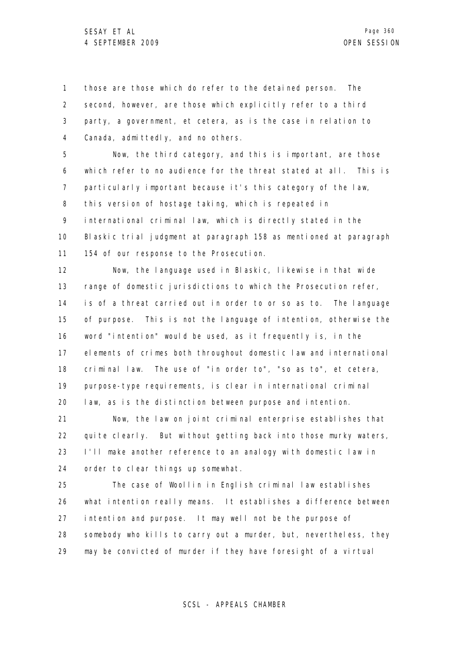1 2 3 4 those are those which do refer to the detained person. The second, however, are those which explicitly refer to a third party, a government, et cetera, as is the case in relation to Canada, admittedly, and no others.

5 6 7 8 9 10 11 Now, the third category, and this is important, are those which refer to no audience for the threat stated at all. This is particularly important because it's this category of the law, this version of hostage taking, which is repeated in international criminal law, which is directly stated in the Blaskic trial judgment at paragraph 158 as mentioned at paragraph 154 of our response to the Prosecution.

12 13 14 15 16 17 18 19 20 Now, the language used in Blaskic, likewise in that wide range of domestic jurisdictions to which the Prosecution refer, is of a threat carried out in order to or so as to. The language of purpose. This is not the language of intention, otherwise the word "intention" would be used, as it frequently is, in the elements of crimes both throughout domestic law and international criminal law. The use of "in order to", "so as to", et cetera, purpose-type requirements, is clear in international criminal law, as is the distinction between purpose and intention.

21 22 23 24 Now, the law on joint criminal enterprise establishes that quite clearly. But without getting back into those murky waters, I'll make another reference to an analogy with domestic law in order to clear things up somewhat.

25 26 27 28 29 The case of Woollin in English criminal law establishes what intention really means. It establishes a difference between intention and purpose. It may well not be the purpose of somebody who kills to carry out a murder, but, nevertheless, they may be convicted of murder if they have foresight of a virtual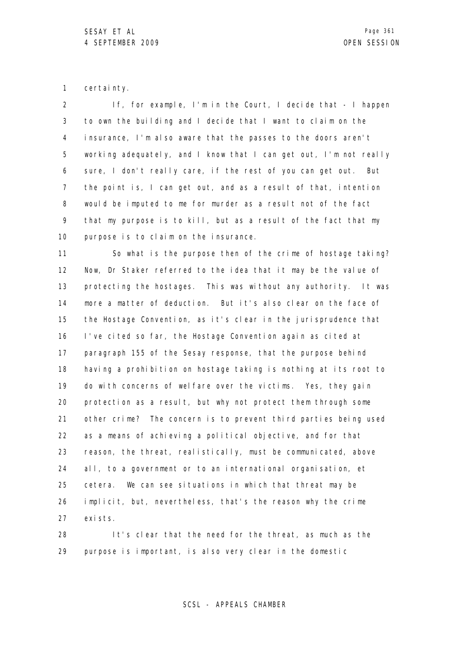1 certainty.

2 3 4 5 6 7 8 9 10 If, for example, I'm in the Court, I decide that - I happen to own the building and I decide that I want to claim on the insurance, I'm also aware that the passes to the doors aren't working adequately, and I know that I can get out, I'm not really sure, I don't really care, if the rest of you can get out. But the point is, I can get out, and as a result of that, intention would be imputed to me for murder as a result not of the fact that my purpose is to kill, but as a result of the fact that my purpose is to claim on the insurance.

11 12 13 14 15 16 17 18 19 20 21 22 23 24 25 26 27 So what is the purpose then of the crime of hostage taking? Now, Dr Staker referred to the idea that it may be the value of protecting the hostages. This was without any authority. It was more a matter of deduction. But it's also clear on the face of the Hostage Convention, as it's clear in the jurisprudence that I've cited so far, the Hostage Convention again as cited at paragraph 155 of the Sesay response, that the purpose behind having a prohibition on hostage taking is nothing at its root to do with concerns of welfare over the victims. Yes, they gain protection as a result, but why not protect them through some other crime? The concern is to prevent third parties being used as a means of achieving a political objective, and for that reason, the threat, realistically, must be communicated, above all, to a government or to an international organisation, et cetera. We can see situations in which that threat may be implicit, but, nevertheless, that's the reason why the crime exists.

28 29 It's clear that the need for the threat, as much as the purpose is important, is also very clear in the domestic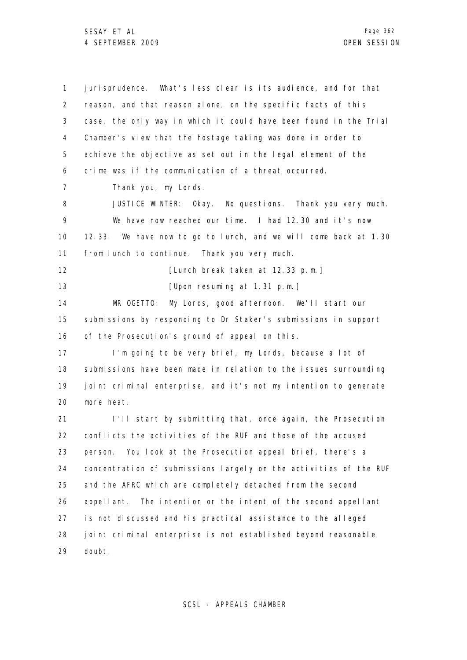1 2 3 4 5 6 7 8 9 10 11 12 13 14 15 16 17 18 19 20 21 22 23 24 25 26 27 28 29 jurisprudence. What's less clear is its audience, and for that reason, and that reason alone, on the specific facts of this case, the only way in which it could have been found in the Trial Chamber's view that the hostage taking was done in order to achieve the objective as set out in the legal element of the crime was if the communication of a threat occurred. Thank you, my Lords. JUSTICE WINTER: Okay. No questions. Thank you very much. We have now reached our time. I had 12.30 and it's now 12.33. We have now to go to lunch, and we will come back at 1.30 from lunch to continue. Thank you very much. [Lunch break taken at 12.33 p.m.] [Upon resuming at 1.31 p.m.] MR OGETTO: My Lords, good afternoon. We'll start our submissions by responding to Dr Staker's submissions in support of the Prosecution's ground of appeal on this. I'm going to be very brief, my Lords, because a lot of submissions have been made in relation to the issues surrounding joint criminal enterprise, and it's not my intention to generate more heat. I'll start by submitting that, once again, the Prosecution conflicts the activities of the RUF and those of the accused person. You look at the Prosecution appeal brief, there's a concentration of submissions largely on the activities of the RUF and the AFRC which are completely detached from the second appellant. The intention or the intent of the second appellant is not discussed and his practical assistance to the alleged joint criminal enterprise is not established beyond reasonable doubt.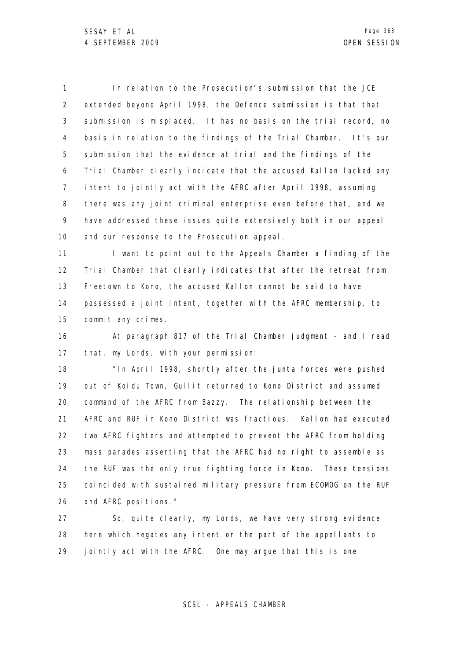1 2 3 4 5 6 7 8 9 10 In relation to the Prosecution's submission that the JCE extended beyond April 1998, the Defence submission is that that submission is misplaced. It has no basis on the trial record, no basis in relation to the findings of the Trial Chamber. It's our submission that the evidence at trial and the findings of the Trial Chamber clearly indicate that the accused Kallon lacked any intent to jointly act with the AFRC after April 1998, assuming there was any joint criminal enterprise even before that, and we have addressed these issues quite extensively both in our appeal and our response to the Prosecution appeal.

11 12 13 14 15 I want to point out to the Appeals Chamber a finding of the Trial Chamber that clearly indicates that after the retreat from Freetown to Kono, the accused Kallon cannot be said to have possessed a joint intent, together with the AFRC membership, to commit any crimes.

16 17 At paragraph 817 of the Trial Chamber judgment - and I read that, my Lords, with your permission:

18 19 20 21 22 23 24 25 26 "In April 1998, shortly after the junta forces were pushed out of Koidu Town, Gullit returned to Kono District and assumed command of the AFRC from Bazzy. The relationship between the AFRC and RUF in Kono District was fractious. Kallon had executed two AFRC fighters and attempted to prevent the AFRC from holding mass parades asserting that the AFRC had no right to assemble as the RUF was the only true fighting force in Kono. These tensions coincided with sustained military pressure from ECOMOG on the RUF and AFRC positions."

27 28 29 So, quite clearly, my Lords, we have very strong evidence here which negates any intent on the part of the appellants to jointly act with the AFRC. One may argue that this is one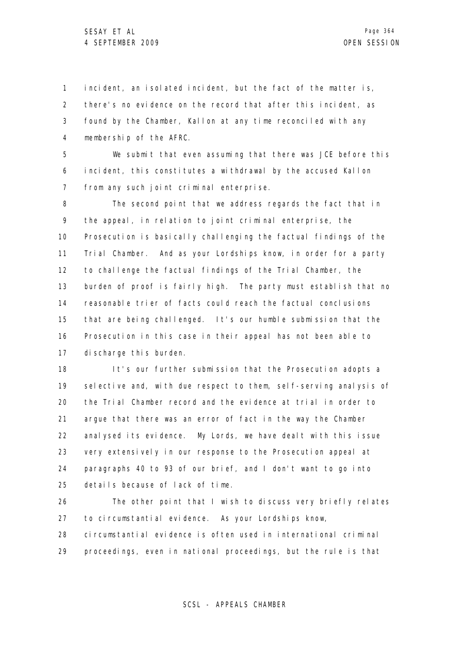1 2 3 4 incident, an isolated incident, but the fact of the matter is, there's no evidence on the record that after this incident, as found by the Chamber, Kallon at any time reconciled with any membership of the AFRC.

5 6 7 We submit that even assuming that there was JCE before this incident, this constitutes a withdrawal by the accused Kallon from any such joint criminal enterprise.

8 9 10 11 12 13 14 15 16 17 The second point that we address regards the fact that in the appeal, in relation to joint criminal enterprise, the Prosecution is basically challenging the factual findings of the Trial Chamber. And as your Lordships know, in order for a party to challenge the factual findings of the Trial Chamber, the burden of proof is fairly high. The party must establish that no reasonable trier of facts could reach the factual conclusions that are being challenged. It's our humble submission that the Prosecution in this case in their appeal has not been able to discharge this burden.

18 19 20 21 22 23 24 25 It's our further submission that the Prosecution adopts a selective and, with due respect to them, self-serving analysis of the Trial Chamber record and the evidence at trial in order to argue that there was an error of fact in the way the Chamber analysed its evidence. My Lords, we have dealt with this issue very extensively in our response to the Prosecution appeal at paragraphs 40 to 93 of our brief, and I don't want to go into details because of lack of time.

26 27 28 29 The other point that I wish to discuss very briefly relates to circumstantial evidence. As your Lordships know, circumstantial evidence is often used in international criminal proceedings, even in national proceedings, but the rule is that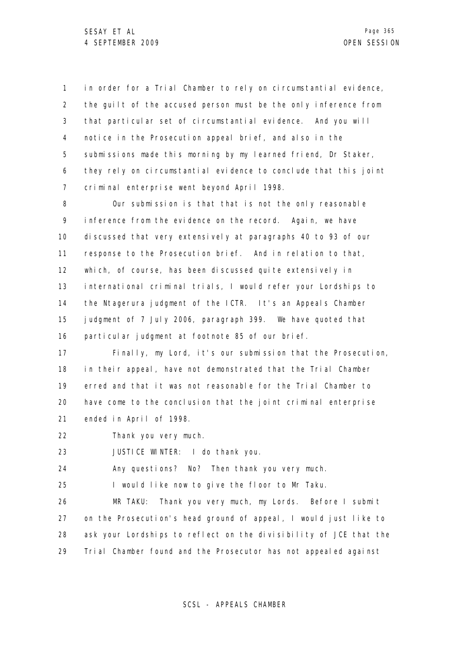1 2 3 4 5 6 7 in order for a Trial Chamber to rely on circumstantial evidence, the guilt of the accused person must be the only inference from that particular set of circumstantial evidence. And you will notice in the Prosecution appeal brief, and also in the submissions made this morning by my learned friend, Dr Staker, they rely on circumstantial evidence to conclude that this joint criminal enterprise went beyond April 1998.

8 9 10 11 12 13 14 15 16 Our submission is that that is not the only reasonable inference from the evidence on the record. Again, we have discussed that very extensively at paragraphs 40 to 93 of our response to the Prosecution brief. And in relation to that, which, of course, has been discussed quite extensively in international criminal trials, I would refer your Lordships to the Ntagerura judgment of the ICTR. It's an Appeals Chamber judgment of 7 July 2006, paragraph 399. We have quoted that particular judgment at footnote 85 of our brief.

17 18 19 20 21 Finally, my Lord, it's our submission that the Prosecution, in their appeal, have not demonstrated that the Trial Chamber erred and that it was not reasonable for the Trial Chamber to have come to the conclusion that the joint criminal enterprise ended in April of 1998.

22 Thank you very much.

23 JUSTICE WINTER: I do thank you.

24 Any questions? No? Then thank you very much.

25 I would like now to give the floor to Mr Taku.

26 27 28 29 MR TAKU: Thank you very much, my Lords. Before I submit on the Prosecution's head ground of appeal, I would just like to ask your Lordships to reflect on the divisibility of JCE that the Trial Chamber found and the Prosecutor has not appealed against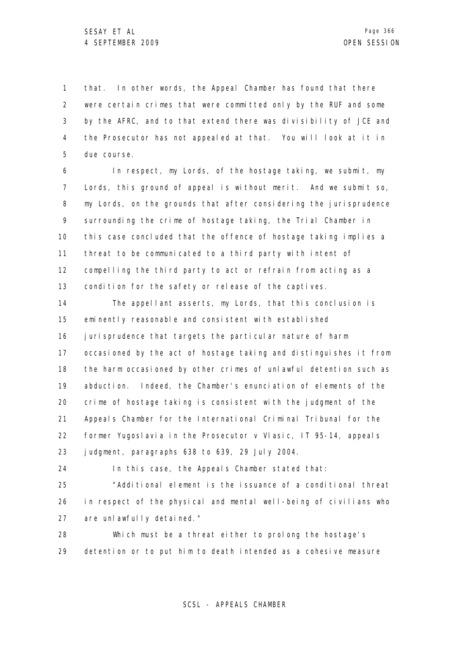1 2 3 4 5 that. In other words, the Appeal Chamber has found that there were certain crimes that were committed only by the RUF and some by the AFRC, and to that extend there was divisibility of JCE and the Prosecutor has not appealed at that. You will look at it in due course.

6 7 8 9 10 11 12 13 In respect, my Lords, of the hostage taking, we submit, my Lords, this ground of appeal is without merit. And we submit so, my Lords, on the grounds that after considering the jurisprudence surrounding the crime of hostage taking, the Trial Chamber in this case concluded that the offence of hostage taking implies a threat to be communicated to a third party with intent of compelling the third party to act or refrain from acting as a condition for the safety or release of the captives.

14 15 16 17 18 19 20 21 22 23 The appellant asserts, my Lords, that this conclusion is eminently reasonable and consistent with established jurisprudence that targets the particular nature of harm occasioned by the act of hostage taking and distinguishes it from the harm occasioned by other crimes of unlawful detention such as abduction. Indeed, the Chamber's enunciation of elements of the crime of hostage taking is consistent with the judgment of the Appeals Chamber for the International Criminal Tribunal for the former Yugoslavia in the Prosecutor v Vlasic, IT 95-14, appeals judgment, paragraphs 638 to 639, 29 July 2004.

24

In this case, the Appeals Chamber stated that:

25 26 27 "Additional element is the issuance of a conditional threat in respect of the physical and mental well-being of civilians who are unlawfully detained."

28 29 Which must be a threat either to prolong the hostage's detention or to put him to death intended as a cohesive measure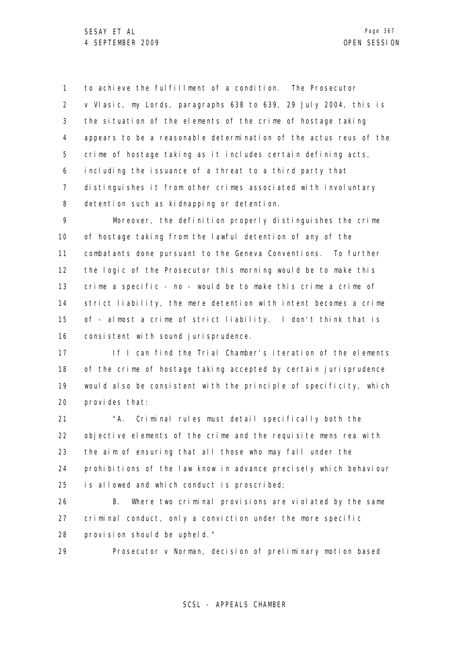1 2 3 4 5 6 7 8 to achieve the fulfillment of a condition. The Prosecutor v Vlasic, my Lords, paragraphs 638 to 639, 29 July 2004, this is the situation of the elements of the crime of hostage taking appears to be a reasonable determination of the actus reus of the crime of hostage taking as it includes certain defining acts, including the issuance of a threat to a third party that distinguishes it from other crimes associated with involuntary detention such as kidnapping or detention.

9 10 11 12 13 14 15 16 Moreover, the definition properly distinguishes the crime of hostage taking from the lawful detention of any of the combatants done pursuant to the Geneva Conventions. To further the logic of the Prosecutor this morning would be to make this crime a specific - no - would be to make this crime a crime of strict liability, the mere detention with intent becomes a crime of - almost a crime of strict liability. I don't think that is consistent with sound jurisprudence.

17 18 19 20 If I can find the Trial Chamber's iteration of the elements of the crime of hostage taking accepted by certain jurisprudence would also be consistent with the principle of specificity, which provides that:

21 22 23 24 25 "A. Criminal rules must detail specifically both the objective elements of the crime and the requisite mens rea with the aim of ensuring that all those who may fall under the prohibitions of the law know in advance precisely which behaviour is allowed and which conduct is proscribed;

26 27 28 B. Where two criminal provisions are violated by the same criminal conduct, only a conviction under the more specific provision should be upheld."

29 Prosecutor v Norman, decision of preliminary motion based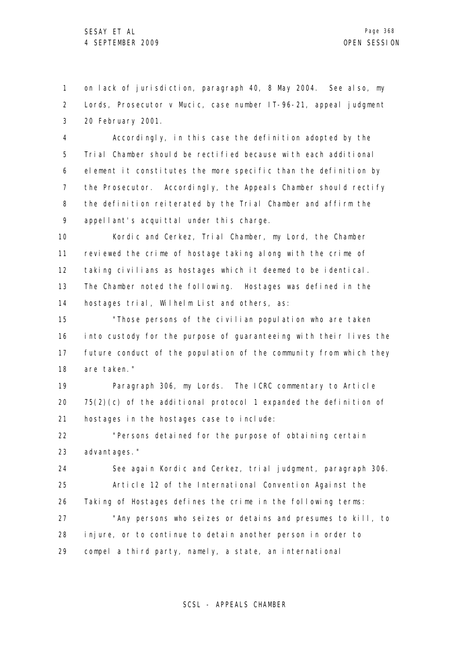1 2 3 on lack of jurisdiction, paragraph 40, 8 May 2004. See also, my Lords, Prosecutor v Mucic, case number IT-96-21, appeal judgment 20 February 2001.

4 5 6 7 8 9 Accordingly, in this case the definition adopted by the Trial Chamber should be rectified because with each additional element it constitutes the more specific than the definition by the Prosecutor. Accordingly, the Appeals Chamber should rectify the definition reiterated by the Trial Chamber and affirm the appellant's acquittal under this charge.

10 11 12 13 14 Kordic and Cerkez, Trial Chamber, my Lord, the Chamber reviewed the crime of hostage taking along with the crime of taking civilians as hostages which it deemed to be identical. The Chamber noted the following. Hostages was defined in the hostages trial, Wilhelm List and others, as:

15 16 17 18 "Those persons of the civilian population who are taken into custody for the purpose of guaranteeing with their lives the future conduct of the population of the community from which they are taken."

19 20 21 Paragraph 306, my Lords. The ICRC commentary to Article 75(2)(c) of the additional protocol 1 expanded the definition of hostages in the hostages case to include:

22 23 "Persons detained for the purpose of obtaining certain advantages."

24 25 26 See again Kordic and Cerkez, trial judgment, paragraph 306. Article 12 of the International Convention Against the Taking of Hostages defines the crime in the following terms:

27 28 29 "Any persons who seizes or detains and presumes to kill, to injure, or to continue to detain another person in order to compel a third party, namely, a state, an international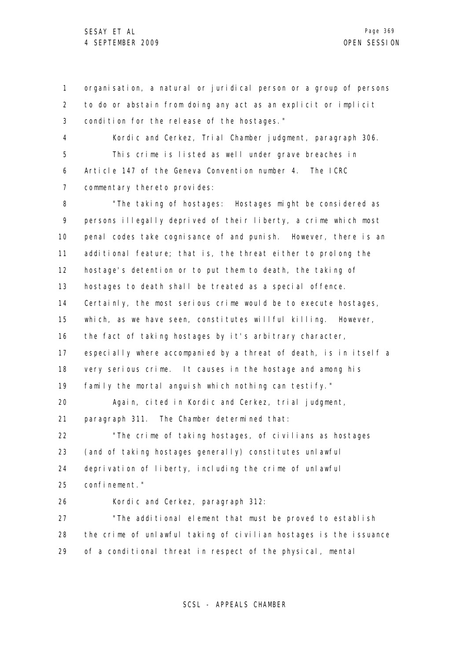1 2 3 4 5 6 7 8 9 10 11 12 13 14 15 16 17 18 19 20 21 22 23 24 25 26 27 28 29 organisation, a natural or juridical person or a group of persons to do or abstain from doing any act as an explicit or implicit condition for the release of the hostages." Kordic and Cerkez, Trial Chamber judgment, paragraph 306. This crime is listed as well under grave breaches in Article 147 of the Geneva Convention number 4. The ICRC commentary thereto provides: "The taking of hostages: Hostages might be considered as persons illegally deprived of their liberty, a crime which most penal codes take cognisance of and punish. However, there is an additional feature; that is, the threat either to prolong the hostage's detention or to put them to death, the taking of hostages to death shall be treated as a special offence. Certainly, the most serious crime would be to execute hostages, which, as we have seen, constitutes willful killing. However, the fact of taking hostages by it's arbitrary character, especially where accompanied by a threat of death, is in itself a very serious crime. It causes in the hostage and among his family the mortal anguish which nothing can testify." Again, cited in Kordic and Cerkez, trial judgment, paragraph 311. The Chamber determined that: "The crime of taking hostages, of civilians as hostages (and of taking hostages generally) constitutes unlawful deprivation of liberty, including the crime of unlawful confinement." Kordic and Cerkez, paragraph 312: "The additional element that must be proved to establish the crime of unlawful taking of civilian hostages is the issuance of a conditional threat in respect of the physical, mental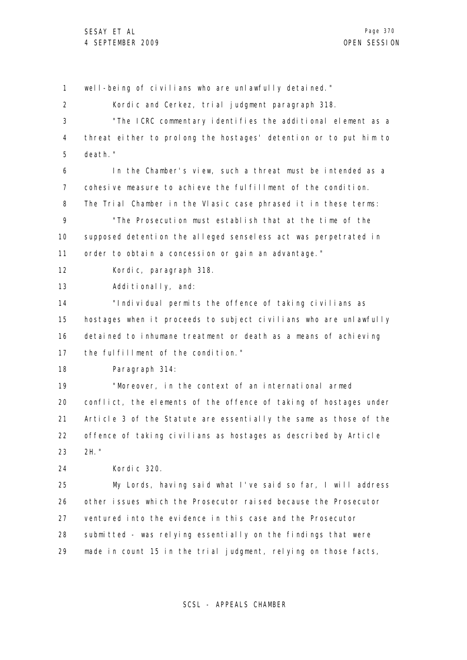1 2 3 4 5 6 7 8 9 10 11 12 13 14 15 16 17 18 19 20 21 22 23 24 25 26 27 28 29 well-being of civilians who are unlawfully detained." Kordic and Cerkez, trial judgment paragraph 318. "The ICRC commentary identifies the additional element as a threat either to prolong the hostages' detention or to put him to death." In the Chamber's view, such a threat must be intended as a cohesive measure to achieve the fulfillment of the condition. The Trial Chamber in the Vlasic case phrased it in these terms: "The Prosecution must establish that at the time of the supposed detention the alleged senseless act was perpetrated in order to obtain a concession or gain an advantage." Kordic, paragraph 318. Additionally, and: "Individual permits the offence of taking civilians as hostages when it proceeds to subject civilians who are unlawfully detained to inhumane treatment or death as a means of achieving the fulfillment of the condition." Paragraph 314: "Moreover, in the context of an international armed conflict, the elements of the offence of taking of hostages under Article 3 of the Statute are essentially the same as those of the offence of taking civilians as hostages as described by Article 2H." Kordic 320. My Lords, having said what I've said so far, I will address other issues which the Prosecutor raised because the Prosecutor ventured into the evidence in this case and the Prosecutor submitted - was relying essentially on the findings that were made in count 15 in the trial judgment, relying on those facts,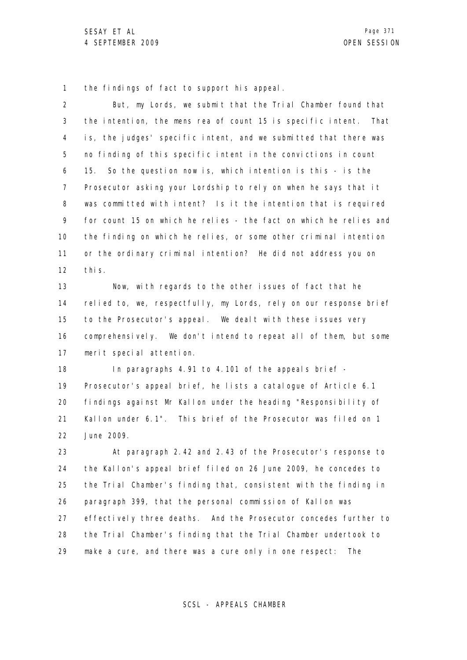1 the findings of fact to support his appeal.

| $\overline{2}$ | But, my Lords, we submit that the Trial Chamber found that          |
|----------------|---------------------------------------------------------------------|
| 3              | the intention, the mens rea of count 15 is specific intent.<br>That |
| 4              | is, the judges' specific intent, and we submitted that there was    |
| 5              | no finding of this specific intent in the convictions in count      |
| 6              | So the question now is, which intention is this - is the<br>15.     |
| 7              | Prosecutor asking your Lordship to rely on when he says that it     |
| 8              | was committed with intent? Is it the intention that is required     |
| 9              | for count 15 on which he relies - the fact on which he relies and   |
| 10             | the finding on which he relies, or some other criminal intention    |
| 11             | or the ordinary criminal intention? He did not address you on       |
| 12             | thi s.                                                              |
| 13             | Now, with regards to the other issues of fact that he               |
| 14             | relied to, we, respectfully, my Lords, rely on our response brief   |
| 15             | to the Prosecutor's appeal. We dealt with these issues very         |
| 16             | comprehensively. We don't intend to repeat all of them, but some    |
| 17             | merit special attention.                                            |
| 18             | In paragraphs 4.91 to 4.101 of the appeals brief -                  |
| 19             | Prosecutor's appeal brief, he lists a catalogue of Article 6.1      |
| 20             | findings against Mr Kallon under the heading "Responsibility of     |
| 21             | Kallon under 6.1". This brief of the Prosecutor was filed on 1      |
| 22             | June 2009.                                                          |
| 23             | At paragraph 2.42 and 2.43 of the Prosecutor's response to          |
| 24             | the Kallon's appeal brief filed on 26 June 2009, he concedes to     |
| 25             | the Trial Chamber's finding that, consistent with the finding in    |
| 26             | paragraph 399, that the personal commission of Kallon was           |
| 27             | effectively three deaths. And the Prosecutor concedes further to    |
| 28             | the Trial Chamber's finding that the Trial Chamber undertook to     |
| 29             | make a cure, and there was a cure only in one respect: The          |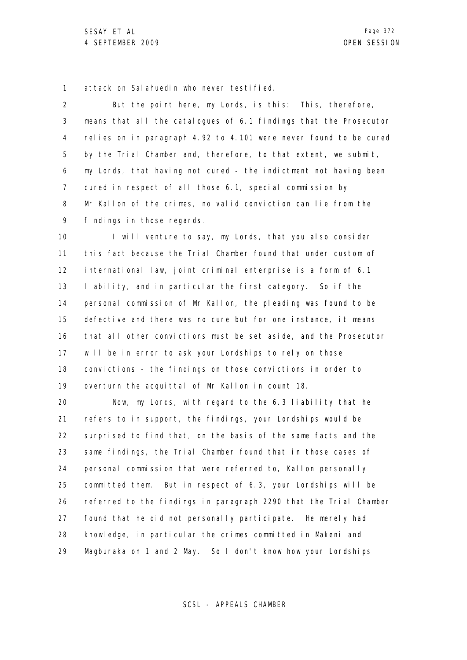1 attack on Salahuedin who never testified.

2 3 4 5 6 7 8 9 But the point here, my Lords, is this: This, therefore, means that all the catalogues of 6.1 findings that the Prosecutor relies on in paragraph 4.92 to 4.101 were never found to be cured by the Trial Chamber and, therefore, to that extent, we submit, my Lords, that having not cured - the indictment not having been cured in respect of all those 6.1, special commission by Mr Kallon of the crimes, no valid conviction can lie from the findings in those regards.

10 11 12 13 14 15 16 17 18 19 I will venture to say, my Lords, that you also consider this fact because the Trial Chamber found that under custom of international law, joint criminal enterprise is a form of 6.1 liability, and in particular the first category. So if the personal commission of Mr Kallon, the pleading was found to be defective and there was no cure but for one instance, it means that all other convictions must be set aside, and the Prosecutor will be in error to ask your Lordships to rely on those convictions - the findings on those convictions in order to overturn the acquittal of Mr Kallon in count 18.

20 21 22 23 24 25 26 27 28 29 Now, my Lords, with regard to the 6.3 liability that he refers to in support, the findings, your Lordships would be surprised to find that, on the basis of the same facts and the same findings, the Trial Chamber found that in those cases of personal commission that were referred to, Kallon personally committed them. But in respect of 6.3, your Lordships will be referred to the findings in paragraph 2290 that the Trial Chamber found that he did not personally participate. He merely had knowledge, in particular the crimes committed in Makeni and Magburaka on 1 and 2 May. So I don't know how your Lordships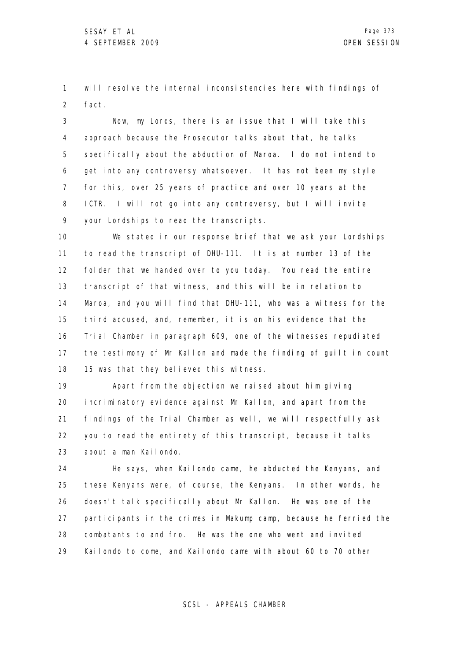1 2 will resolve the internal inconsistencies here with findings of fact.

3 4 5 6 7 8 9 Now, my Lords, there is an issue that I will take this approach because the Prosecutor talks about that, he talks specifically about the abduction of Maroa. I do not intend to get into any controversy whatsoever. It has not been my style for this, over 25 years of practice and over 10 years at the ICTR. I will not go into any controversy, but I will invite your Lordships to read the transcripts.

10 11 12 13 14 15 16 17 18 We stated in our response brief that we ask your Lordships to read the transcript of DHU-111. It is at number 13 of the folder that we handed over to you today. You read the entire transcript of that witness, and this will be in relation to Maroa, and you will find that DHU-111, who was a witness for the third accused, and, remember, it is on his evidence that the Trial Chamber in paragraph 609, one of the witnesses repudiated the testimony of Mr Kallon and made the finding of guilt in count 15 was that they believed this witness.

19 20 21 22 23 Apart from the objection we raised about him giving incriminatory evidence against Mr Kallon, and apart from the findings of the Trial Chamber as well, we will respectfully ask you to read the entirety of this transcript, because it talks about a man Kailondo.

24 25 26 27 28 29 He says, when Kailondo came, he abducted the Kenyans, and these Kenyans were, of course, the Kenyans. In other words, he doesn't talk specifically about Mr Kallon. He was one of the participants in the crimes in Makump camp, because he ferried the combatants to and fro. He was the one who went and invited Kailondo to come, and Kailondo came with about 60 to 70 other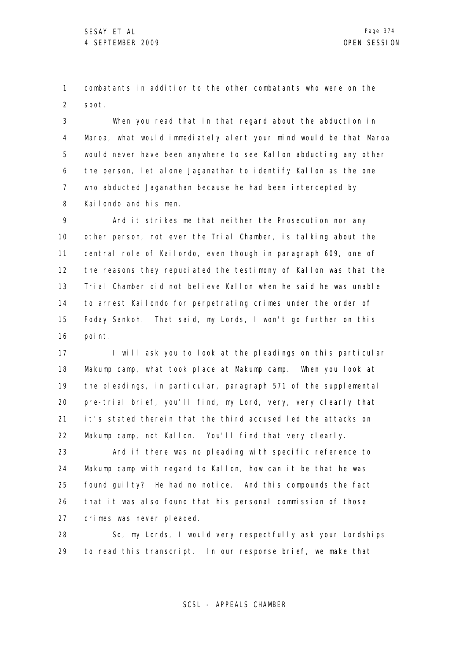1 2 combatants in addition to the other combatants who were on the spot.

3 4 5 6 7 8 When you read that in that regard about the abduction in Maroa, what would immediately alert your mind would be that Maroa would never have been anywhere to see Kallon abducting any other the person, let alone Jaganathan to identify Kallon as the one who abducted Jaganathan because he had been intercepted by Kailondo and his men.

9 10 11 12 13 14 15 16 And it strikes me that neither the Prosecution nor any other person, not even the Trial Chamber, is talking about the central role of Kailondo, even though in paragraph 609, one of the reasons they repudiated the testimony of Kallon was that the Trial Chamber did not believe Kallon when he said he was unable to arrest Kailondo for perpetrating crimes under the order of Foday Sankoh. That said, my Lords, I won't go further on this point.

17 18 19 20 21 22 I will ask you to look at the pleadings on this particular Makump camp, what took place at Makump camp. When you look at the pleadings, in particular, paragraph 571 of the supplemental pre-trial brief, you'll find, my Lord, very, very clearly that it's stated therein that the third accused led the attacks on Makump camp, not Kallon. You'll find that very clearly.

23 24 25 26 27 And if there was no pleading with specific reference to Makump camp with regard to Kallon, how can it be that he was found guilty? He had no notice. And this compounds the fact that it was also found that his personal commission of those crimes was never pleaded.

28 29 So, my Lords, I would very respectfully ask your Lordships to read this transcript. In our response brief, we make that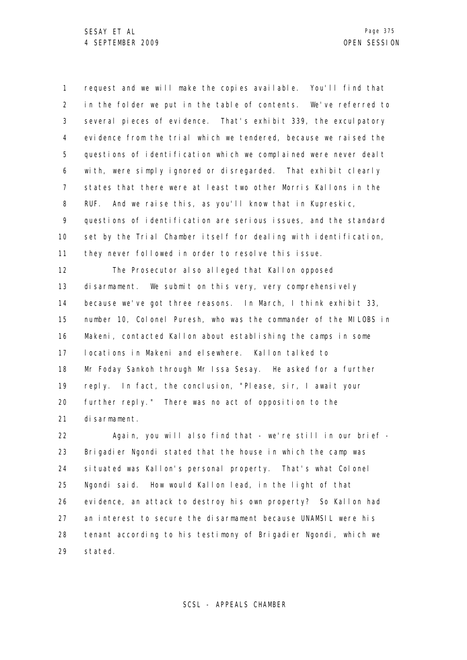1 2 3 4 5 6 7 8 9 10 11 12 13 14 15 request and we will make the copies available. You'll find that in the folder we put in the table of contents. We've referred to several pieces of evidence. That's exhibit 339, the exculpatory evidence from the trial which we tendered, because we raised the questions of identification which we complained were never dealt with, were simply ignored or disregarded. That exhibit clearly states that there were at least two other Morris Kallons in the RUF. And we raise this, as you'll know that in Kupreskic, questions of identification are serious issues, and the standard set by the Trial Chamber itself for dealing with identification, they never followed in order to resolve this issue. The Prosecutor also alleged that Kallon opposed disarmament. We submit on this very, very comprehensively because we've got three reasons. In March, I think exhibit 33, number 10, Colonel Puresh, who was the commander of the MILOBS in

16 17 18 19 20 21 Makeni, contacted Kallon about establishing the camps in some locations in Makeni and elsewhere. Kallon talked to Mr Foday Sankoh through Mr Issa Sesay. He asked for a further reply. In fact, the conclusion, "Please, sir, I await your further reply." There was no act of opposition to the disarmament.

22 23 24 25 26 27 28 29 Again, you will also find that - we're still in our brief - Brigadier Ngondi stated that the house in which the camp was situated was Kallon's personal property. That's what Colonel Ngondi said. How would Kallon lead, in the light of that evidence, an attack to destroy his own property? So Kallon had an interest to secure the disarmament because UNAMSIL were his tenant according to his testimony of Brigadier Ngondi, which we stated.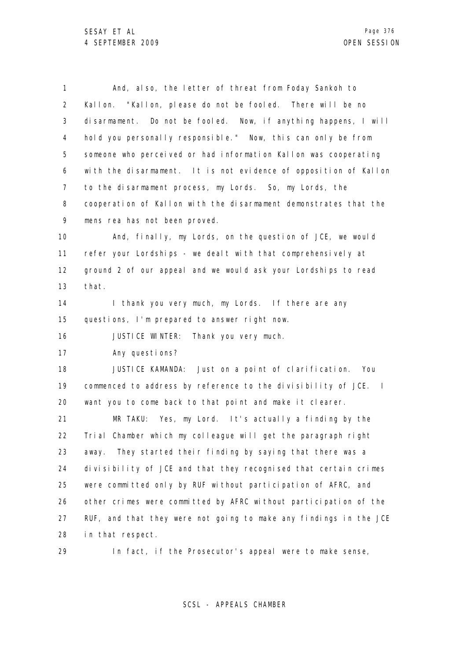| $\mathbf{1}$   | And, also, the letter of threat from Foday Sankoh to              |
|----------------|-------------------------------------------------------------------|
| $\overline{2}$ | Kallon. "Kallon, please do not be fooled. There will be no        |
| 3              | disarmament. Do not be fooled. Now, if anything happens, I will   |
| 4              | hold you personally responsible." Now, this can only be from      |
| 5              | someone who perceived or had information Kallon was cooperating   |
| 6              | with the disarmament. It is not evidence of opposition of Kallon  |
| 7              | to the disarmament process, my Lords. So, my Lords, the           |
| 8              | cooperation of Kallon with the disarmament demonstrates that the  |
| 9              | mens rea has not been proved.                                     |
| 10             | And, finally, my Lords, on the question of JCE, we would          |
| 11             | refer your Lordships - we dealt with that comprehensively at      |
| $12 \,$        | ground 2 of our appeal and we would ask your Lordships to read    |
| 13             | that.                                                             |
| 14             | I thank you very much, my Lords. If there are any                 |
| 15             | questions, I'm prepared to answer right now.                      |
| 16             | JUSTICE WINTER: Thank you very much.                              |
| 17             | Any questions?                                                    |
| 18             | JUSTICE KAMANDA: Just on a point of clarification. You            |
| 19             | commenced to address by reference to the divisibility of JCE. I   |
| 20             | want you to come back to that point and make it clearer.          |
| 21             | MR TAKU: Yes, my Lord. It's actually a finding by the             |
| 22             | Trial Chamber which my colleague will get the paragraph right     |
| 23             | They started their finding by saying that there was a<br>away.    |
| 24             | divisibility of JCE and that they recognised that certain crimes  |
| 25             | were committed only by RUF without participation of AFRC, and     |
| 26             | other crimes were committed by AFRC without participation of the  |
| 27             | RUF, and that they were not going to make any findings in the JCE |
| 28             | in that respect.                                                  |
| 29             | In fact, if the Prosecutor's appeal were to make sense,           |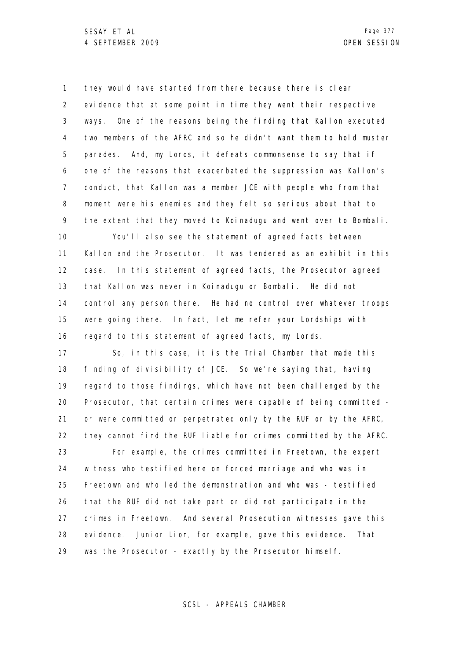1 2 3 4 5 6 7 8 9 10 11 12 13 14 15 16 17 18 19 20 21 22 23 24 25 26 27 28 they would have started from there because there is clear evidence that at some point in time they went their respective ways. One of the reasons being the finding that Kallon executed two members of the AFRC and so he didn't want them to hold muster parades. And, my Lords, it defeats commonsense to say that if one of the reasons that exacerbated the suppression was Kallon's conduct, that Kallon was a member JCE with people who from that moment were his enemies and they felt so serious about that to the extent that they moved to Koinadugu and went over to Bombali. You'll also see the statement of agreed facts between Kallon and the Prosecutor. It was tendered as an exhibit in this case. In this statement of agreed facts, the Prosecutor agreed that Kallon was never in Koinadugu or Bombali. He did not control any person there. He had no control over whatever troops were going there. In fact, let me refer your Lordships with regard to this statement of agreed facts, my Lords. So, in this case, it is the Trial Chamber that made this finding of divisibility of JCE. So we're saying that, having regard to those findings, which have not been challenged by the Prosecutor, that certain crimes were capable of being committed or were committed or perpetrated only by the RUF or by the AFRC, they cannot find the RUF liable for crimes committed by the AFRC. For example, the crimes committed in Freetown, the expert witness who testified here on forced marriage and who was in Freetown and who led the demonstration and who was - testified that the RUF did not take part or did not participate in the crimes in Freetown. And several Prosecution witnesses gave this evidence. Junior Lion, for example, gave this evidence. That

29 was the Prosecutor - exactly by the Prosecutor himself.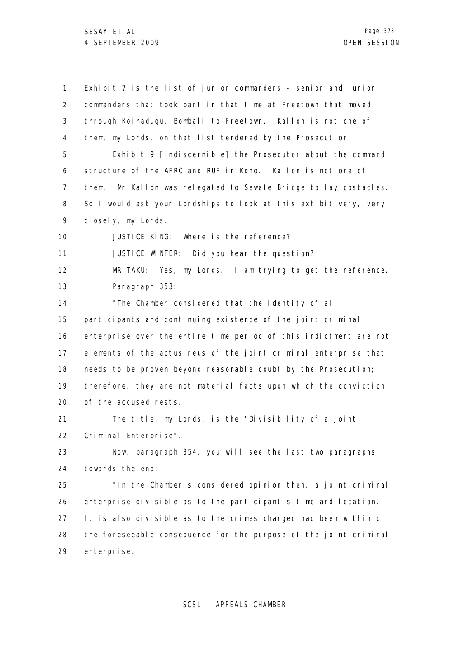1 2 3 4 5 6 7 8 9 10 11 12 13 14 15 16 17 18 19 20 21 22 23 24 25 26 27 28 29 Exhibit 7 is the list of junior commanders - senior and junior commanders that took part in that time at Freetown that moved through Koinadugu, Bombali to Freetown. Kallon is not one of them, my Lords, on that list tendered by the Prosecution. Exhibit 9 [indiscernible] the Prosecutor about the command structure of the AFRC and RUF in Kono. Kallon is not one of them. Mr Kallon was relegated to Sewafe Bridge to lay obstacles. So I would ask your Lordships to look at this exhibit very, very closely, my Lords. JUSTICE KING: Where is the reference? JUSTICE WINTER: Did you hear the question? MR TAKU: Yes, my Lords. I am trying to get the reference. Paragraph 353: "The Chamber considered that the identity of all participants and continuing existence of the joint criminal enterprise over the entire time period of this indictment are not elements of the actus reus of the joint criminal enterprise that needs to be proven beyond reasonable doubt by the Prosecution; therefore, they are not material facts upon which the conviction of the accused rests." The title, my Lords, is the "Divisibility of a Joint Criminal Enterprise". Now, paragraph 354, you will see the last two paragraphs towards the end: "In the Chamber's considered opinion then, a joint criminal enterprise divisible as to the participant's time and location. It is also divisible as to the crimes charged had been within or the foreseeable consequence for the purpose of the joint criminal enterprise."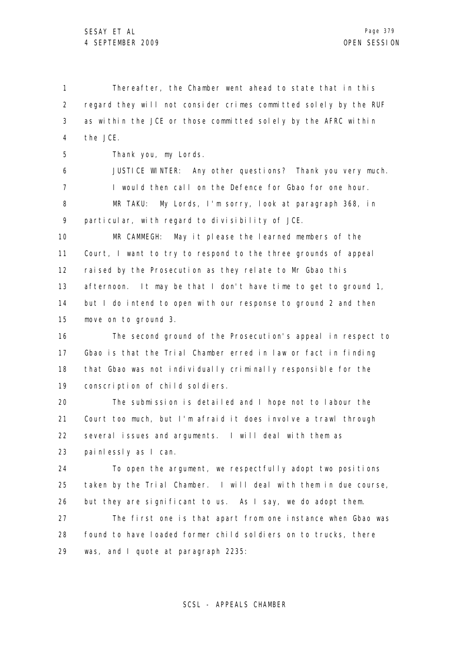1 2 3 4 5 6 7 8 9 10 11 12 13 14 15 16 17 18 19 20 21 22 23 24 Thereafter, the Chamber went ahead to state that in this regard they will not consider crimes committed solely by the RUF as within the JCE or those committed solely by the AFRC within the JCE. Thank you, my Lords. JUSTICE WINTER: Any other questions? Thank you very much. I would then call on the Defence for Gbao for one hour. MR TAKU: My Lords, I'm sorry, look at paragraph 368, in particular, with regard to divisibility of JCE. MR CAMMEGH: May it please the learned members of the Court, I want to try to respond to the three grounds of appeal raised by the Prosecution as they relate to Mr Gbao this afternoon. It may be that I don't have time to get to ground 1, but I do intend to open with our response to ground 2 and then move on to ground 3. The second ground of the Prosecution's appeal in respect to Gbao is that the Trial Chamber erred in law or fact in finding that Gbao was not individually criminally responsible for the conscription of child soldiers. The submission is detailed and I hope not to labour the Court too much, but I'm afraid it does involve a trawl through several issues and arguments. I will deal with them as painlessly as I can. To open the argument, we respectfully adopt two positions

25 26 27 28 taken by the Trial Chamber. I will deal with them in due course, but they are significant to us. As I say, we do adopt them. The first one is that apart from one instance when Gbao was found to have loaded former child soldiers on to trucks, there

29 was, and I quote at paragraph 2235: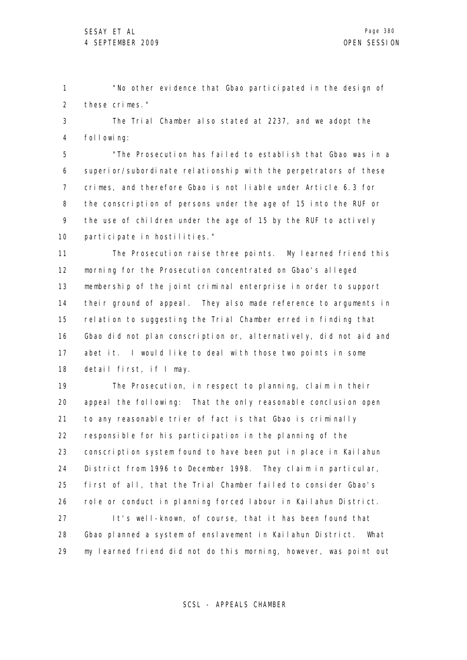1 2 "No other evidence that Gbao participated in the design of these crimes."

3 4 The Trial Chamber also stated at 2237, and we adopt the following:

5 6 7 8 9 10 "The Prosecution has failed to establish that Gbao was in a superior/subordinate relationship with the perpetrators of these crimes, and therefore Gbao is not liable under Article 6.3 for the conscription of persons under the age of 15 into the RUF or the use of children under the age of 15 by the RUF to actively participate in hostilities."

11 12 13 14 15 16 17 18 The Prosecution raise three points. My learned friend this morning for the Prosecution concentrated on Gbao's alleged membership of the joint criminal enterprise in order to support their ground of appeal. They also made reference to arguments in relation to suggesting the Trial Chamber erred in finding that Gbao did not plan conscription or, alternatively, did not aid and abet it. I would like to deal with those two points in some detail first, if I may.

19 20 21 22 23 24 25 26 27 28 The Prosecution, in respect to planning, claim in their appeal the following: That the only reasonable conclusion open to any reasonable trier of fact is that Gbao is criminally responsible for his participation in the planning of the conscription system found to have been put in place in Kailahun District from 1996 to December 1998. They claim in particular, first of all, that the Trial Chamber failed to consider Gbao's role or conduct in planning forced labour in Kailahun District. It's well-known, of course, that it has been found that Gbao planned a system of enslavement in Kailahun District. What

29 my learned friend did not do this morning, however, was point out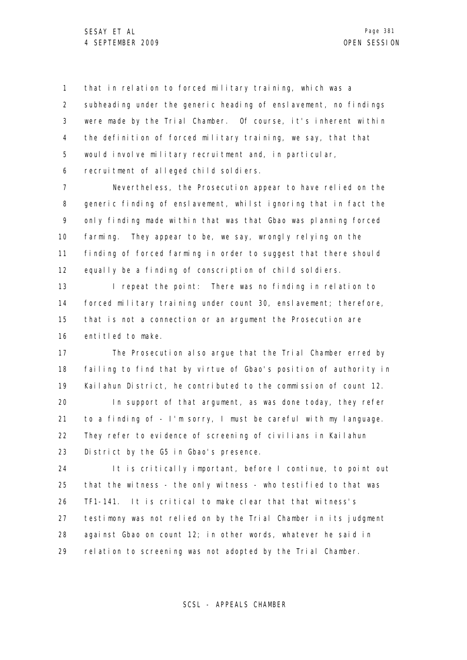1 2 3 4 5 6 that in relation to forced military training, which was a subheading under the generic heading of enslavement, no findings were made by the Trial Chamber. Of course, it's inherent within the definition of forced military training, we say, that that would involve military recruitment and, in particular, recruitment of alleged child soldiers.

7 8 9 10 11 12 Nevertheless, the Prosecution appear to have relied on the generic finding of enslavement, whilst ignoring that in fact the only finding made within that was that Gbao was planning forced farming. They appear to be, we say, wrongly relying on the finding of forced farming in order to suggest that there should equally be a finding of conscription of child soldiers.

13 14 15 16 I repeat the point: There was no finding in relation to forced military training under count 30, enslavement; therefore, that is not a connection or an argument the Prosecution are entitled to make.

17 18 19 The Prosecution also argue that the Trial Chamber erred by failing to find that by virtue of Gbao's position of authority in Kailahun District, he contributed to the commission of count 12.

20 21 22 23 In support of that argument, as was done today, they refer to a finding of - I'm sorry, I must be careful with my language. They refer to evidence of screening of civilians in Kailahun District by the G5 in Gbao's presence.

24 25 26 27 28 29 It is critically important, before I continue, to point out that the witness - the only witness - who testified to that was TF1-141. It is critical to make clear that that witness's testimony was not relied on by the Trial Chamber in its judgment against Gbao on count 12; in other words, whatever he said in relation to screening was not adopted by the Trial Chamber.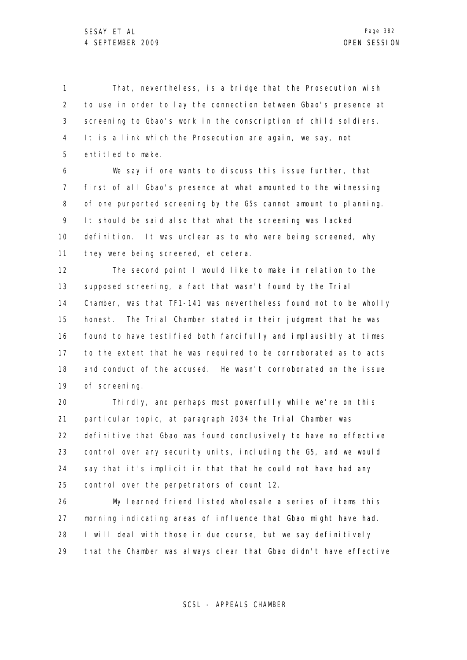1 2 3 4 5 That, nevertheless, is a bridge that the Prosecution wish to use in order to lay the connection between Gbao's presence at screening to Gbao's work in the conscription of child soldiers. It is a link which the Prosecution are again, we say, not entitled to make.

6 7 8 9 10 11 We say if one wants to discuss this issue further, that first of all Gbao's presence at what amounted to the witnessing of one purported screening by the G5s cannot amount to planning. It should be said also that what the screening was lacked definition. It was unclear as to who were being screened, why they were being screened, et cetera.

12 13 14 15 16 17 18 19 The second point I would like to make in relation to the supposed screening, a fact that wasn't found by the Trial Chamber, was that TF1-141 was nevertheless found not to be wholly honest. The Trial Chamber stated in their judgment that he was found to have testified both fancifully and implausibly at times to the extent that he was required to be corroborated as to acts and conduct of the accused. He wasn't corroborated on the issue of screening.

20 21 22 23 24 25 Thirdly, and perhaps most powerfully while we're on this particular topic, at paragraph 2034 the Trial Chamber was definitive that Gbao was found conclusively to have no effective control over any security units, including the G5, and we would say that it's implicit in that that he could not have had any control over the perpetrators of count 12.

26 27 28 29 My learned friend listed wholesale a series of items this morning indicating areas of influence that Gbao might have had. I will deal with those in due course, but we say definitively that the Chamber was always clear that Gbao didn't have effective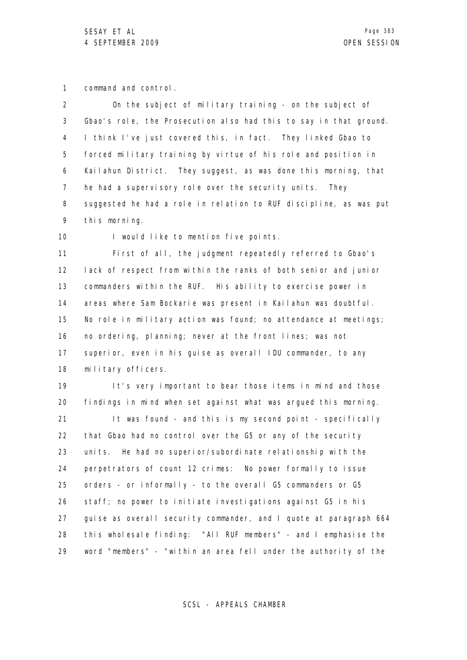1 command and control.

| $\overline{2}$ | On the subject of military training - on the subject of           |
|----------------|-------------------------------------------------------------------|
| 3              | Gbao's role, the Prosecution also had this to say in that ground. |
| 4              | I think I've just covered this, in fact. They linked Gbao to      |
| 5              | forced military training by virtue of his role and position in    |
| 6              | Kailahun District. They suggest, as was done this morning, that   |
| 7              | he had a supervisory role over the security units.<br>They        |
| 8              | suggested he had a role in relation to RUF discipline, as was put |
| 9              | this morning.                                                     |
| 10             | I would like to mention five points.                              |
| 11             | First of all, the judgment repeatedly referred to Gbao's          |
| 12             | lack of respect from within the ranks of both senior and junior   |
| 13             | commanders within the RUF. His ability to exercise power in       |
| 14             | areas where Sam Bockarie was present in Kailahun was doubtful.    |
| 15             | No role in military action was found; no attendance at meetings;  |
| 16             | no ordering, planning; never at the front lines; was not          |
| 17             | superior, even in his guise as overall IDU commander, to any      |
| 18             | military officers.                                                |
| 19             | It's very important to bear those items in mind and those         |
| 20             | findings in mind when set against what was argued this morning.   |
| 21             | It was found - and this is my second point - specifically         |
| 22             | that Gbao had no control over the G5 or any of the security       |
|                |                                                                   |

23 24 25 26 27 28 29 units. He had no superior/subordinate relationship with the perpetrators of count 12 crimes: No power formally to issue orders - or informally - to the overall G5 commanders or G5 staff; no power to initiate investigations against G5 in his guise as overall security commander, and I quote at paragraph 664 this wholesale finding: "All RUF members" - and I emphasise the word "members" - "within an area fell under the authority of the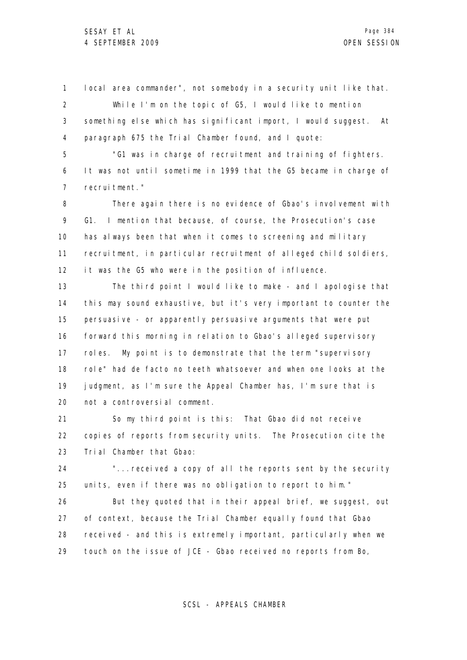1 2 3 4 local area commander", not somebody in a security unit like that. While I'm on the topic of G5, I would like to mention something else which has significant import, I would suggest. At paragraph 675 the Trial Chamber found, and I quote:

5 6 7 "G1 was in charge of recruitment and training of fighters. It was not until sometime in 1999 that the G5 became in charge of recruitment."

8 9 10 11 12 There again there is no evidence of Gbao's involvement with G1. I mention that because, of course, the Prosecution's case has always been that when it comes to screening and military recruitment, in particular recruitment of alleged child soldiers, it was the G5 who were in the position of influence.

13 14 15 16 17 18 19 20 The third point I would like to make - and I apologise that this may sound exhaustive, but it's very important to counter the persuasive - or apparently persuasive arguments that were put forward this morning in relation to Gbao's alleged supervisory roles. My point is to demonstrate that the term "supervisory role" had de facto no teeth whatsoever and when one looks at the judgment, as I'm sure the Appeal Chamber has, I'm sure that is not a controversial comment.

21 22 23 So my third point is this: That Gbao did not receive copies of reports from security units. The Prosecution cite the Trial Chamber that Gbao:

24 25 "... received a copy of all the reports sent by the security units, even if there was no obligation to report to him."

26 27 28 29 But they quoted that in their appeal brief, we suggest, out of context, because the Trial Chamber equally found that Gbao received - and this is extremely important, particularly when we touch on the issue of JCE - Gbao received no reports from Bo,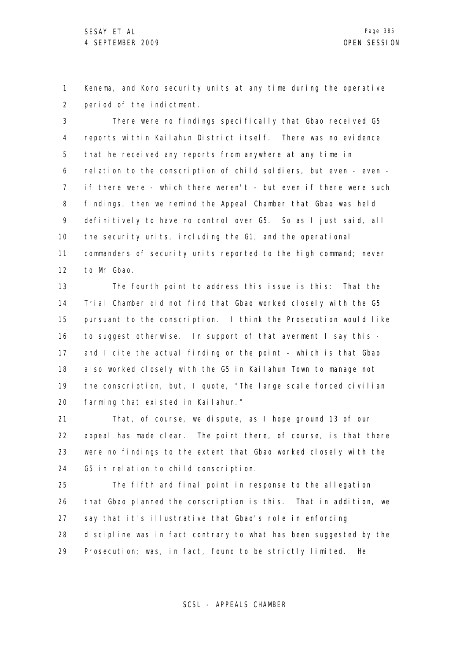1 2 Kenema, and Kono security units at any time during the operative period of the indictment.

3 4 5 6 7 8 9 10 11 12 There were no findings specifically that Gbao received G5 reports within Kailahun District itself. There was no evidence that he received any reports from anywhere at any time in relation to the conscription of child soldiers, but even - even if there were - which there weren't - but even if there were such findings, then we remind the Appeal Chamber that Gbao was held definitively to have no control over G5. So as I just said, all the security units, including the G1, and the operational commanders of security units reported to the high command; never to Mr Gbao.

13 14 15 16 17 18 19 20 The fourth point to address this issue is this: That the Trial Chamber did not find that Gbao worked closely with the G5 pursuant to the conscription. I think the Prosecution would like to suggest otherwise. In support of that averment I say this and I cite the actual finding on the point - which is that Gbao also worked closely with the G5 in Kailahun Town to manage not the conscription, but, I quote, "The large scale forced civilian farming that existed in Kailahun."

21 22 23 24 That, of course, we dispute, as I hope ground 13 of our appeal has made clear. The point there, of course, is that there were no findings to the extent that Gbao worked closely with the G5 in relation to child conscription.

25 26 27 28 29 The fifth and final point in response to the allegation that Gbao planned the conscription is this. That in addition, we say that it's illustrative that Gbao's role in enforcing discipline was in fact contrary to what has been suggested by the Prosecution; was, in fact, found to be strictly limited. He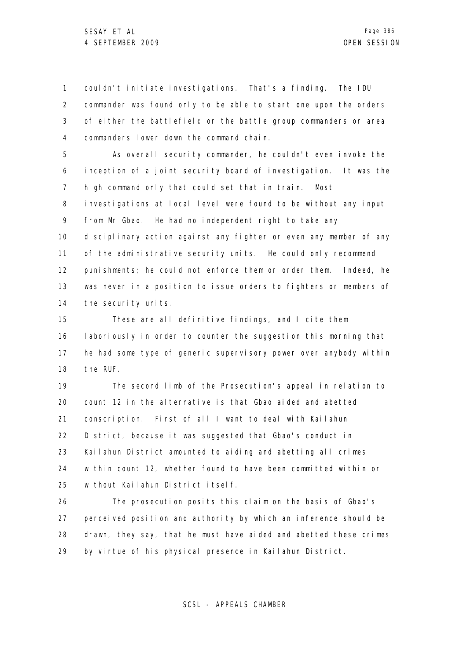1 2 3 4 couldn't initiate investigations. That's a finding. The IDU commander was found only to be able to start one upon the orders of either the battlefield or the battle group commanders or area commanders lower down the command chain.

5 6 7 8 9 10 11 12 13 14 As overall security commander, he couldn't even invoke the inception of a joint security board of investigation. It was the high command only that could set that in train. Most investigations at local level were found to be without any input from Mr Gbao. He had no independent right to take any disciplinary action against any fighter or even any member of any of the administrative security units. He could only recommend punishments; he could not enforce them or order them. Indeed, he was never in a position to issue orders to fighters or members of the security units.

15 16 17 18 These are all definitive findings, and I cite them laboriously in order to counter the suggestion this morning that he had some type of generic supervisory power over anybody within the RUF.

19 20 21 22 23 24 25 The second limb of the Prosecution's appeal in relation to count 12 in the alternative is that Gbao aided and abetted conscription. First of all I want to deal with Kailahun District, because it was suggested that Gbao's conduct in Kailahun District amounted to aiding and abetting all crimes within count 12, whether found to have been committed within or without Kailahun District itself.

26 27 28 29 The prosecution posits this claim on the basis of Gbao's perceived position and authority by which an inference should be drawn, they say, that he must have aided and abetted these crimes by virtue of his physical presence in Kailahun District.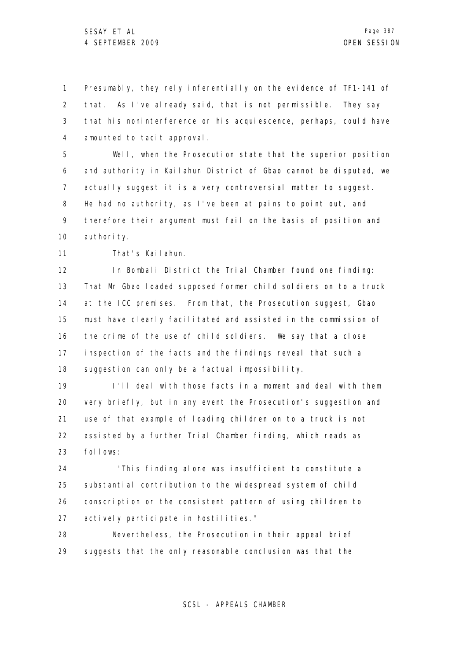1 2 3 4 Presumably, they rely inferentially on the evidence of TF1-141 of that. As I've already said, that is not permissible. They say that his noninterference or his acquiescence, perhaps, could have amounted to tacit approval.

5 6 7 8 9 10 Well, when the Prosecution state that the superior position and authority in Kailahun District of Gbao cannot be disputed, we actually suggest it is a very controversial matter to suggest. He had no authority, as I've been at pains to point out, and therefore their argument must fail on the basis of position and authority.

11 That's Kailahun.

12 13 14 15 16 17 18 In Bombali District the Trial Chamber found one finding: That Mr Gbao loaded supposed former child soldiers on to a truck at the ICC premises. From that, the Prosecution suggest, Gbao must have clearly facilitated and assisted in the commission of the crime of the use of child soldiers. We say that a close inspection of the facts and the findings reveal that such a suggestion can only be a factual impossibility.

19 20 21 22 23 I'll deal with those facts in a moment and deal with them very briefly, but in any event the Prosecution's suggestion and use of that example of loading children on to a truck is not assisted by a further Trial Chamber finding, which reads as follows:

24 25 26 27 "This finding alone was insufficient to constitute a substantial contribution to the widespread system of child conscription or the consistent pattern of using children to actively participate in hostilities."

28 29 Nevertheless, the Prosecution in their appeal brief suggests that the only reasonable conclusion was that the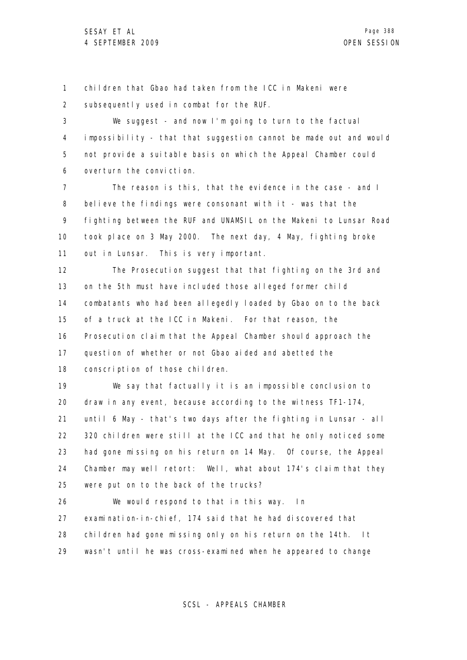1 2 children that Gbao had taken from the ICC in Makeni were subsequently used in combat for the RUF.

3 4 5 6 We suggest - and now I'm going to turn to the factual impossibility - that that suggestion cannot be made out and would not provide a suitable basis on which the Appeal Chamber could overturn the conviction.

7 8 9 10 11 The reason is this, that the evidence in the case - and I believe the findings were consonant with  $it - was that the$ fighting between the RUF and UNAMSIL on the Makeni to Lunsar Road took place on 3 May 2000. The next day, 4 May, fighting broke out in Lunsar. This is very important.

12 13 14 15 16 17 18 The Prosecution suggest that that fighting on the 3rd and on the 5th must have included those alleged former child combatants who had been allegedly loaded by Gbao on to the back of a truck at the ICC in Makeni. For that reason, the Prosecution claim that the Appeal Chamber should approach the question of whether or not Gbao aided and abetted the conscription of those children.

19 20 21 22 23 24 25 We say that factually it is an impossible conclusion to draw in any event, because according to the witness TF1-174, until 6 May - that's two days after the fighting in Lunsar - all 320 children were still at the ICC and that he only noticed some had gone missing on his return on 14 May. Of course, the Appeal Chamber may well retort: Well, what about 174's claim that they were put on to the back of the trucks?

26 27 28 29 We would respond to that in this way. In examination-in-chief, 174 said that he had discovered that children had gone missing only on his return on the 14th. It wasn't until he was cross-examined when he appeared to change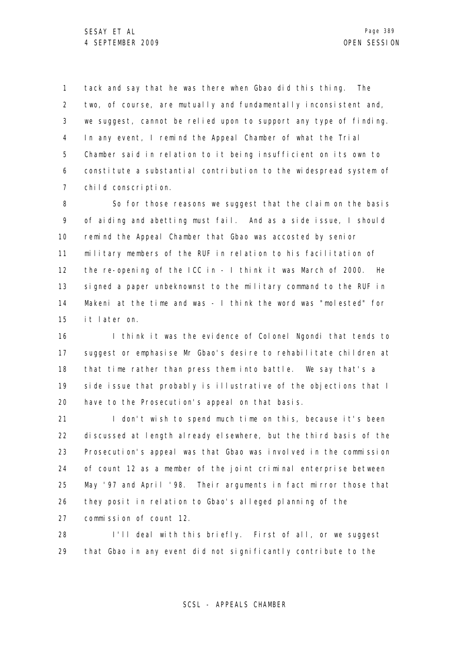1 2 3 4 5 6 7 tack and say that he was there when Gbao did this thing. The two, of course, are mutually and fundamentally inconsistent and, we suggest, cannot be relied upon to support any type of finding. In any event, I remind the Appeal Chamber of what the Trial Chamber said in relation to it being insufficient on its own to constitute a substantial contribution to the widespread system of child conscription.

8 9 10 11 12 13 14 15 So for those reasons we suggest that the claim on the basis of aiding and abetting must fail. And as a side issue, I should remind the Appeal Chamber that Gbao was accosted by senior military members of the RUF in relation to his facilitation of the re-opening of the ICC in - I think it was March of 2000. He signed a paper unbeknownst to the military command to the RUF in Makeni at the time and was - I think the word was "molested" for it later on.

16 17 18 19 20 I think it was the evidence of Colonel Ngondi that tends to suggest or emphasise Mr Gbao's desire to rehabilitate children at that time rather than press them into battle. We say that's a side issue that probably is illustrative of the objections that I have to the Prosecution's appeal on that basis.

21 22 23 24 25 26 27 I don't wish to spend much time on this, because it's been discussed at length already elsewhere, but the third basis of the Prosecution's appeal was that Gbao was involved in the commission of count 12 as a member of the joint criminal enterprise between May '97 and April '98. Their arguments in fact mirror those that they posit in relation to Gbao's alleged planning of the commission of count 12.

28 29 I'll deal with this briefly. First of all, or we suggest that Gbao in any event did not significantly contribute to the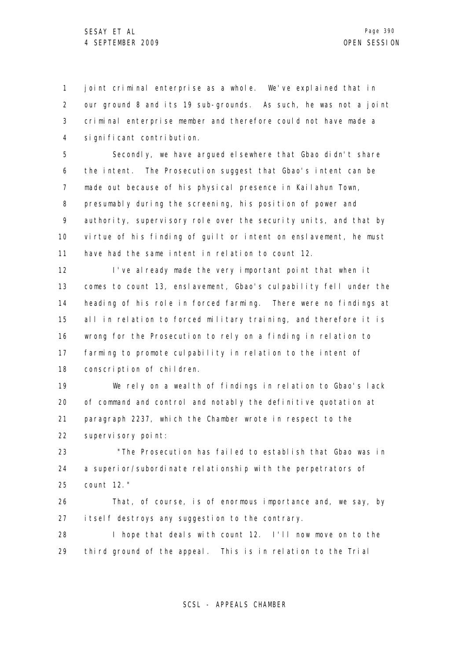1 2 3 4 joint criminal enterprise as a whole. We've explained that in our ground 8 and its 19 sub-grounds. As such, he was not a joint criminal enterprise member and therefore could not have made a significant contribution.

5 6 7 8 9 10 11 Secondly, we have argued elsewhere that Gbao didn't share the intent. The Prosecution suggest that Gbao's intent can be made out because of his physical presence in Kailahun Town, presumably during the screening, his position of power and authority, supervisory role over the security units, and that by virtue of his finding of guilt or intent on enslavement, he must have had the same intent in relation to count 12.

12 13 14 15 16 17 18 I've already made the very important point that when it comes to count 13, enslavement, Gbao's culpability fell under the heading of his role in forced farming. There were no findings at all in relation to forced military training, and therefore it is wrong for the Prosecution to rely on a finding in relation to farming to promote culpability in relation to the intent of conscription of children.

19 20 21 22 We rely on a wealth of findings in relation to Gbao's lack of command and control and notably the definitive quotation at paragraph 2237, which the Chamber wrote in respect to the supervisory point:

23 24 25 "The Prosecution has failed to establish that Gbao was in a superior/subordinate relationship with the perpetrators of count 12."

26 27 That, of course, is of enormous importance and, we say, by itself destroys any suggestion to the contrary.

28 29 I hope that deals with count 12. I'll now move on to the third ground of the appeal. This is in relation to the Trial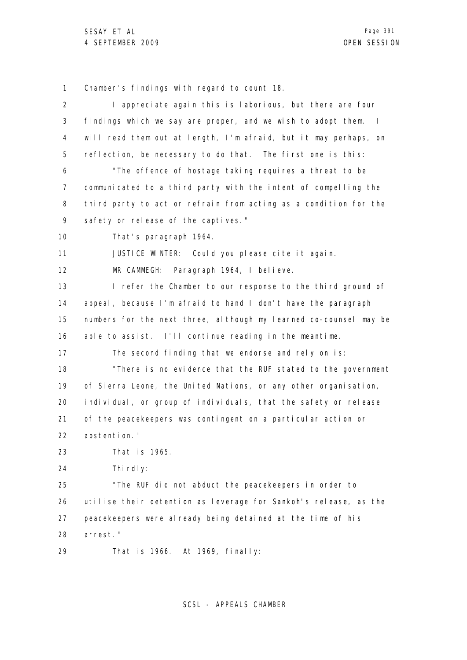1 2 3 4 5 6 7 8 9 10 11 12 13 14 15 16 17 18 19 20 21 22 23 24 25 26 27 28 29 Chamber's findings with regard to count 18. I appreciate again this is laborious, but there are four findings which we say are proper, and we wish to adopt them. I will read them out at length, I'm afraid, but it may perhaps, on reflection, be necessary to do that. The first one is this: "The offence of hostage taking requires a threat to be communicated to a third party with the intent of compelling the third party to act or refrain from acting as a condition for the safety or release of the captives." That's paragraph 1964. JUSTICE WINTER: Could you please cite it again. MR CAMMEGH: Paragraph 1964, I believe. I refer the Chamber to our response to the third ground of appeal, because I'm afraid to hand I don't have the paragraph numbers for the next three, although my learned co-counsel may be able to assist. I'll continue reading in the meantime. The second finding that we endorse and rely on is: "There is no evidence that the RUF stated to the government of Sierra Leone, the United Nations, or any other organisation, individual, or group of individuals, that the safety or release of the peacekeepers was contingent on a particular action or abstention." That is 1965. Thi rdl v: "The RUF did not abduct the peacekeepers in order to utilise their detention as leverage for Sankoh's release, as the peacekeepers were already being detained at the time of his arrest." That is 1966. At 1969, finally: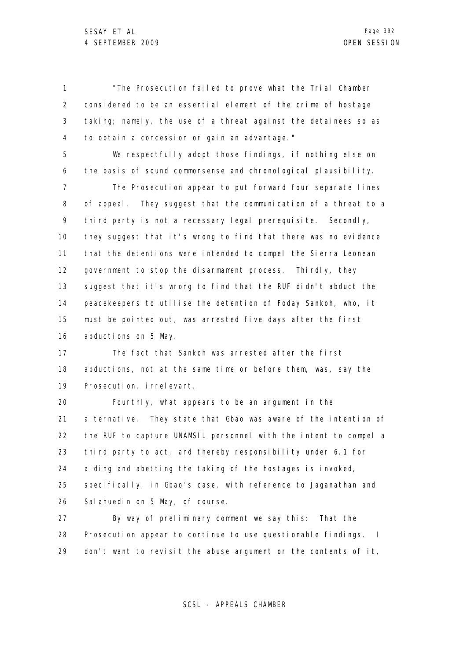1 2 3 4 "The Prosecution failed to prove what the Trial Chamber considered to be an essential element of the crime of hostage taking; namely, the use of a threat against the detainees so as to obtain a concession or gain an advantage."

5 6 We respectfully adopt those findings, if nothing else on the basis of sound commonsense and chronological plausibility.

7 8 9 10 11 12 13 14 15 16 The Prosecution appear to put forward four separate lines of appeal. They suggest that the communication of a threat to a third party is not a necessary legal prerequisite. Secondly, they suggest that it's wrong to find that there was no evidence that the detentions were intended to compel the Sierra Leonean government to stop the disarmament process. Thirdly, they suggest that it's wrong to find that the RUF didn't abduct the peacekeepers to utilise the detention of Foday Sankoh, who, it must be pointed out, was arrested five days after the first abductions on 5 May.

17 18 19 The fact that Sankoh was arrested after the first abductions, not at the same time or before them, was, say the Prosecution, irrelevant.

20 21 22 23 24 25 26 Fourthly, what appears to be an argument in the alternative. They state that Gbao was aware of the intention of the RUF to capture UNAMSIL personnel with the intent to compel a third party to act, and thereby responsibility under 6.1 for aiding and abetting the taking of the hostages is invoked, specifically, in Gbao's case, with reference to Jaganathan and Sal ahuedin on 5 May, of course.

27 28 29 By way of preliminary comment we say this: That the Prosecution appear to continue to use questionable findings. I don't want to revisit the abuse argument or the contents of it,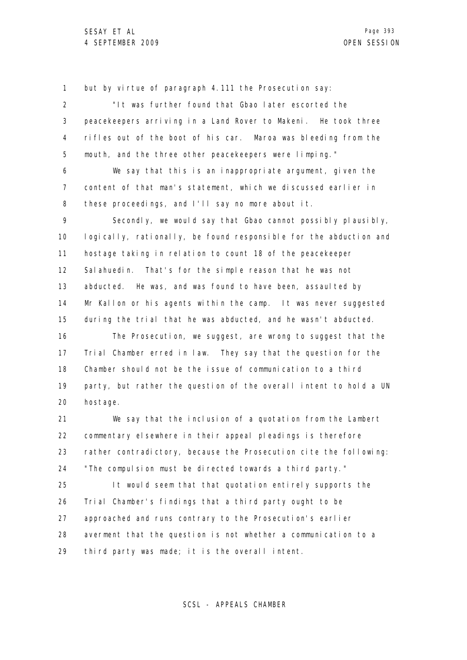1 2 3 4 5 6 7 8 9 10 11 12 13 14 15 16 17 18 19 20 21 22 23 24 25 26 27 but by virtue of paragraph 4.111 the Prosecution say: "It was further found that Gbao later escorted the peacekeepers arriving in a Land Rover to Makeni. He took three rifles out of the boot of his car. Maroa was bleeding from the mouth, and the three other peacekeepers were limping." We say that this is an inappropriate argument, given the content of that man's statement, which we discussed earlier in these proceedings, and I'll say no more about it. Secondly, we would say that Gbao cannot possibly plausibly, logically, rationally, be found responsible for the abduction and hostage taking in relation to count 18 of the peacekeeper Salahuedin. That's for the simple reason that he was not abducted. He was, and was found to have been, assaulted by Mr Kallon or his agents within the camp. It was never suggested during the trial that he was abducted, and he wasn't abducted. The Prosecution, we suggest, are wrong to suggest that the Trial Chamber erred in law. They say that the question for the Chamber should not be the issue of communication to a third party, but rather the question of the overall intent to hold a UN hostage. We say that the inclusion of a quotation from the Lambert commentary elsewhere in their appeal pleadings is therefore rather contradictory, because the Prosecution cite the following: "The compulsion must be directed towards a third party." It would seem that that quotation entirely supports the Trial Chamber's findings that a third party ought to be approached and runs contrary to the Prosecution's earlier

28 29 averment that the question is not whether a communication to a third party was made; it is the overall intent.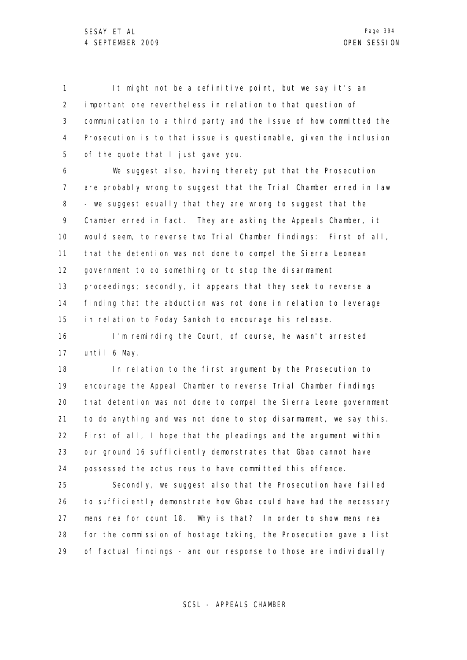1 2 3 4 5 It might not be a definitive point, but we say it's an important one nevertheless in relation to that question of communication to a third party and the issue of how committed the Prosecution is to that issue is questionable, given the inclusion of the quote that I just gave you.

6 7 8 9 10 11 12 13 14 15 We suggest also, having thereby put that the Prosecution are probably wrong to suggest that the Trial Chamber erred in law - we suggest equally that they are wrong to suggest that the Chamber erred in fact. They are asking the Appeals Chamber, it would seem, to reverse two Trial Chamber findings: First of all, that the detention was not done to compel the Sierra Leonean government to do something or to stop the disarmament proceedings; secondly, it appears that they seek to reverse a finding that the abduction was not done in relation to leverage in relation to Foday Sankoh to encourage his release.

16 17 I'm reminding the Court, of course, he wasn't arrested until 6 May.

18 19 20 21 22 23 24 In relation to the first argument by the Prosecution to encourage the Appeal Chamber to reverse Trial Chamber findings that detention was not done to compel the Sierra Leone government to do anything and was not done to stop disarmament, we say this. First of all, I hope that the pleadings and the argument within our ground 16 sufficiently demonstrates that Gbao cannot have possessed the actus reus to have committed this offence.

25 26 27 28 29 Secondly, we suggest also that the Prosecution have failed to sufficiently demonstrate how Gbao could have had the necessary mens rea for count 18. Why is that? In order to show mens rea for the commission of hostage taking, the Prosecution gave a list of factual findings - and our response to those are individually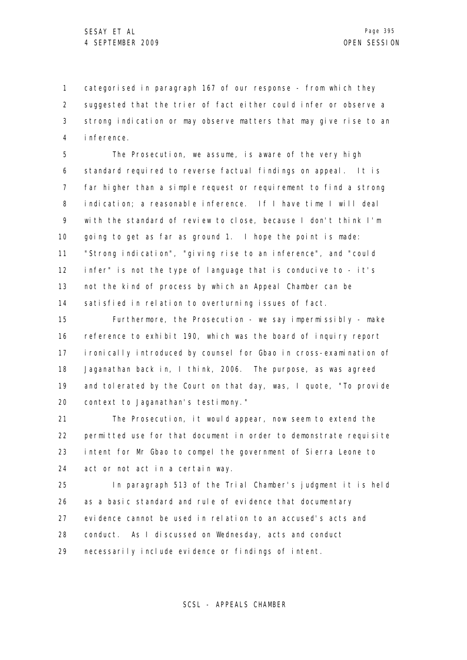1 2 3 4 categorised in paragraph 167 of our response - from which they suggested that the trier of fact either could infer or observe a strong indication or may observe matters that may give rise to an inference.

5 6 7 8 9 10 11 12 13 14 The Prosecution, we assume, is aware of the very high standard required to reverse factual findings on appeal. It is far higher than a simple request or requirement to find a strong indication; a reasonable inference. If I have time I will deal with the standard of review to close, because I don't think I'm going to get as far as ground 1. I hope the point is made: "Strong indication", "giving rise to an inference", and "could infer" is not the type of language that is conducive to - it's not the kind of process by which an Appeal Chamber can be satisfied in relation to overturning issues of fact.

15 16 17 18 19 20 Furthermore, the Prosecution - we say impermissibly - make reference to exhibit 190, which was the board of inquiry report ironically introduced by counsel for Gbao in cross-examination of Jaganathan back in, I think, 2006. The purpose, as was agreed and tolerated by the Court on that day, was, I quote, "To provide context to Jaganathan's testimony."

21 22 23 24 The Prosecution, it would appear, now seem to extend the permitted use for that document in order to demonstrate requisite intent for Mr Gbao to compel the government of Sierra Leone to act or not act in a certain way.

25 26 27 28 29 In paragraph 513 of the Trial Chamber's judgment it is held as a basic standard and rule of evidence that documentary evidence cannot be used in relation to an accused's acts and conduct. As I discussed on Wednesday, acts and conduct necessarily include evidence or findings of intent.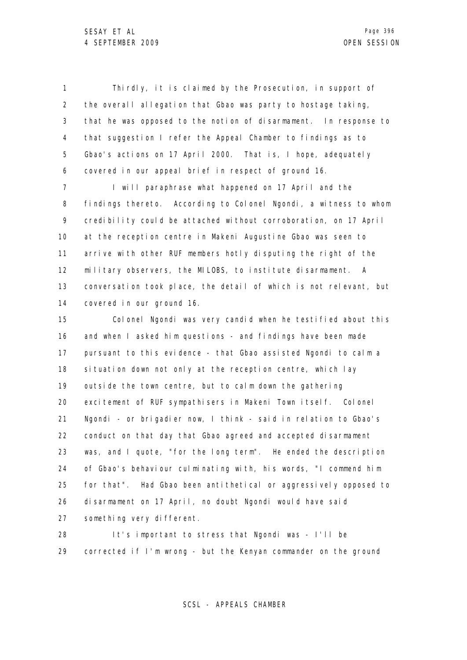1 2 3 4 5 6 Thirdly, it is claimed by the Prosecution, in support of the overall allegation that Gbao was party to hostage taking, that he was opposed to the notion of disarmament. In response to that suggestion I refer the Appeal Chamber to findings as to Gbao's actions on 17 April 2000. That is, I hope, adequately covered in our appeal brief in respect of ground 16.

7 8 9 10 11 12 13 14 I will paraphrase what happened on 17 April and the findings thereto. According to Colonel Ngondi, a witness to whom credibility could be attached without corroboration, on 17 April at the reception centre in Makeni Augustine Gbao was seen to arrive with other RUF members hotly disputing the right of the military observers, the MILOBS, to institute disarmament. A conversation took place, the detail of which is not relevant, but covered in our ground 16.

15 16 17 18 19 20 21 22 23 24 25 26 27 Colonel Ngondi was very candid when he testified about this and when I asked him questions - and findings have been made pursuant to this evidence - that Gbao assisted Ngondi to calm a situation down not only at the reception centre, which lay outside the town centre, but to calm down the gathering excitement of RUF sympathisers in Makeni Town itself. Colonel Ngondi - or brigadier now, I think - said in relation to Gbao's conduct on that day that Gbao agreed and accepted disarmament was, and I quote, "for the long term". He ended the description of Gbao's behaviour culminating with, his words, "I commend him for that". Had Gbao been antithetical or aggressively opposed to disarmament on 17 April, no doubt Ngondi would have said something very different.

28 29 It's important to stress that Ngondi was - I'll be corrected if I'm wrong - but the Kenyan commander on the ground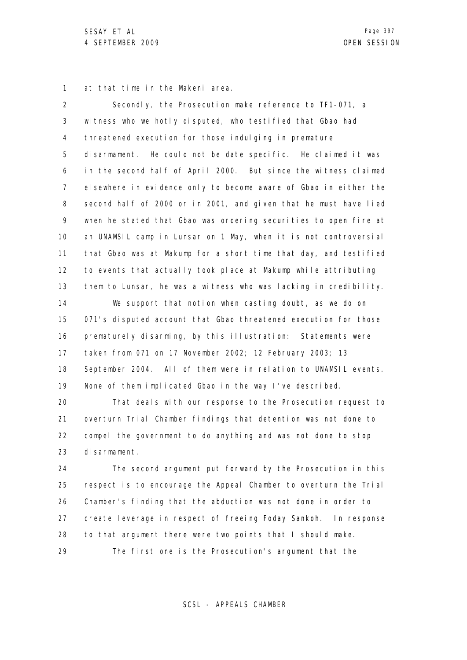1 at that time in the Makeni area.

| $\overline{2}$ | Secondly, the Prosecution make reference to TF1-071, a            |
|----------------|-------------------------------------------------------------------|
| 3              | witness who we hotly disputed, who testified that Gbao had        |
| 4              | threatened execution for those indulging in premature             |
| 5              | disarmament. He could not be date specific. He claimed it was     |
| 6              | in the second half of April 2000. But since the witness claimed   |
| 7              | el sewhere in evidence only to become aware of Gbao in either the |
| 8              | second half of 2000 or in 2001, and given that he must have lied  |
| 9              | when he stated that Gbao was ordering securities to open fire at  |
| 10             | an UNAMSIL camp in Lunsar on 1 May, when it is not controversial  |
| 11             | that Gbao was at Makump for a short time that day, and testified  |
| 12             | to events that actually took place at Makump while attributing    |
| 13             | them to Lunsar, he was a witness who was lacking in credibility.  |
| 14             | We support that notion when casting doubt, as we do on            |
| 15             | 071's disputed account that Gbao threatened execution for those   |
| 16             | prematurely disarming, by this illustration: Statements were      |
| 17             | taken from 071 on 17 November 2002; 12 February 2003; 13          |
| 18             | September 2004. All of them were in relation to UNAMSIL events.   |
| 19             | None of them implicated Gbao in the way I've described.           |
| 20             | That deals with our response to the Prosecution request to        |
| 21             | overturn Trial Chamber findings that detention was not done to    |
| 22             | compel the government to do anything and was not done to stop     |
| 23             | di sarmament.                                                     |
| 24             | The second argument put forward by the Prosecution in this        |
| 25             | respect is to encourage the Appeal Chamber to overturn the Trial  |
| 26             | Chamber's finding that the abduction was not done in order to     |

27 create leverage in respect of freeing Foday Sankoh. In response

28 to that argument there were two points that I should make.

29 The first one is the Prosecution's argument that the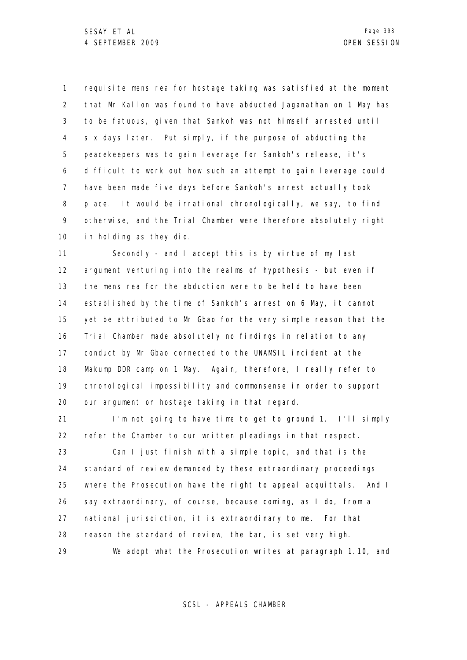1 2 3 4 5 6 7 8 9 10 requisite mens rea for hostage taking was satisfied at the moment that Mr Kallon was found to have abducted Jaganathan on 1 May has to be fatuous, given that Sankoh was not himself arrested until six days later. Put simply, if the purpose of abducting the peacekeepers was to gain leverage for Sankoh's release, it's difficult to work out how such an attempt to gain leverage could have been made five days before Sankoh's arrest actually took place. It would be irrational chronologically, we say, to find otherwise, and the Trial Chamber were therefore absolutely right in holding as they did.

11 12 13 14 15 16 17 18 19 20 Secondly - and I accept this is by virtue of my last argument venturing into the realms of hypothesis - but even if the mens rea for the abduction were to be held to have been established by the time of Sankoh's arrest on 6 May, it cannot yet be attributed to Mr Gbao for the very simple reason that the Trial Chamber made absolutely no findings in relation to any conduct by Mr Gbao connected to the UNAMSIL incident at the Makump DDR camp on 1 May. Again, therefore, I really refer to chronological impossibility and commonsense in order to support our argument on hostage taking in that regard.

21 22 23 24 25 26 27 28 29 I'm not going to have time to get to ground 1. I'll simply refer the Chamber to our written pleadings in that respect. Can I just finish with a simple topic, and that is the standard of review demanded by these extraordinary proceedings where the Prosecution have the right to appeal acquittals. And I say extraordinary, of course, because coming, as I do, from a national jurisdiction, it is extraordinary to me. For that reason the standard of review, the bar, is set very high. We adopt what the Prosecution writes at paragraph 1.10, and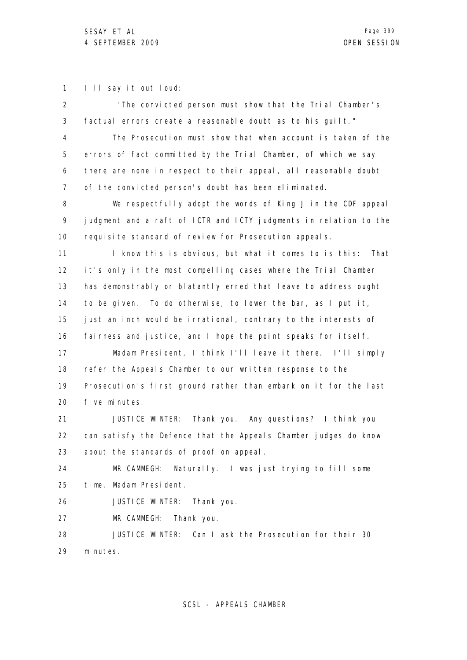1 I'll say it out loud:

| $\overline{2}$ | "The convicted person must show that the Trial Chamber's          |
|----------------|-------------------------------------------------------------------|
| 3              | factual errors create a reasonable doubt as to his guilt."        |
| 4              | The Prosecution must show that when account is taken of the       |
| 5              | errors of fact committed by the Trial Chamber, of which we say    |
| 6              | there are none in respect to their appeal, all reasonable doubt   |
| 7              | of the convicted person's doubt has been eliminated.              |
| 8              | We respectfully adopt the words of King J in the CDF appeal       |
| 9              | judgment and a raft of ICTR and ICTY judgments in relation to the |
| 10             | requisite standard of review for Prosecution appeals.             |
| 11             | I know this is obvious, but what it comes to is this:<br>That     |
| 12             | it's only in the most compelling cases where the Trial Chamber    |
| 13             | has demonstrably or blatantly erred that leave to address ought   |
| 14             | to be given. To do otherwise, to lower the bar, as I put it,      |
| 15             | just an inch would be irrational, contrary to the interests of    |
| 16             | fairness and justice, and I hope the point speaks for itself.     |
| 17             | Madam President, I think I'll leave it there. I'll simply         |
| 18             | refer the Appeals Chamber to our written response to the          |
| 19             | Prosecution's first ground rather than embark on it for the last  |
| 20             | five minutes.                                                     |
| 21             | JUSTICE WINTER: Thank you. Any questions? I think you             |
| 22             | can satisfy the Defence that the Appeals Chamber judges do know   |
| 23             | about the standards of proof on appeal.                           |
| 24             | MR CAMMEGH:<br>Naturally. I was just trying to fill some          |
| 25             | time, Madam President.                                            |
| 26             | <b>JUSTICE WINTER:</b><br>Thank you.                              |
| 27             | MR CAMMEGH:<br>Thank you.                                         |
| 28             | <b>JUSTICE WINTER:</b><br>Can I ask the Prosecution for their 30  |
| 29             | mi nutes.                                                         |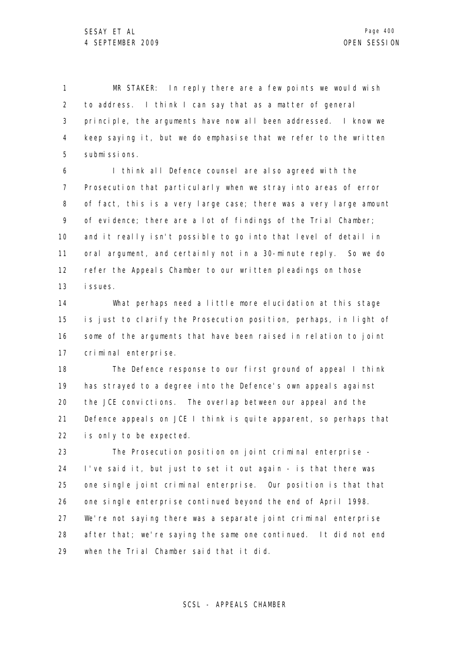1 2 3 4 5 MR STAKER: In reply there are a few points we would wish to address. I think I can say that as a matter of general principle, the arguments have now all been addressed. I know we keep saying it, but we do emphasise that we refer to the written submissions.

6 7 8 9 10 11 12 13 I think all Defence counsel are also agreed with the Prosecution that particularly when we stray into areas of error of fact, this is a very large case; there was a very large amount of evidence; there are a lot of findings of the Trial Chamber; and it really isn't possible to go into that level of detail in oral argument, and certainly not in a 30-minute reply. So we do refer the Appeals Chamber to our written pleadings on those issues.

14 15 16 17 What perhaps need a little more elucidation at this stage is just to clarify the Prosecution position, perhaps, in light of some of the arguments that have been raised in relation to joint criminal enterprise.

18 19 20 21 22 The Defence response to our first ground of appeal I think has strayed to a degree into the Defence's own appeals against the JCE convictions. The overlap between our appeal and the Defence appeals on JCE I think is quite apparent, so perhaps that is only to be expected.

23 24 25 26 27 28 29 The Prosecution position on joint criminal enterprise - I've said it, but just to set it out again - is that there was one single joint criminal enterprise. Our position is that that one single enterprise continued beyond the end of April 1998. We're not saying there was a separate joint criminal enterprise after that; we're saying the same one continued. It did not end when the Trial Chamber said that it did.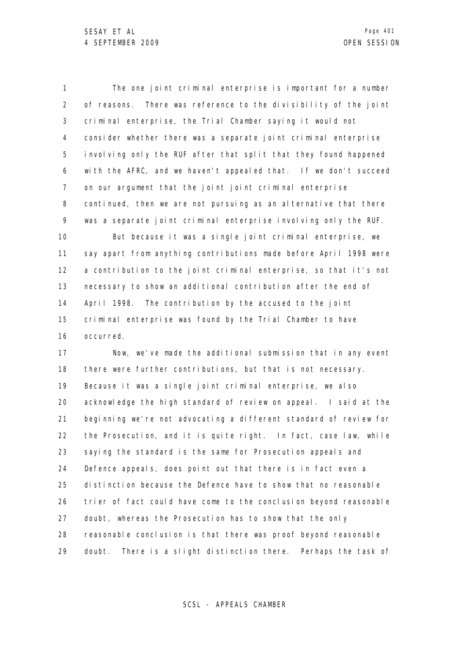1 2 3 4 5 6 7 8 9 10 11 12 13 14 15 16 The one joint criminal enterprise is important for a number of reasons. There was reference to the divisibility of the joint criminal enterprise, the Trial Chamber saying it would not consider whether there was a separate joint criminal enterprise involving only the RUF after that split that they found happened with the AFRC, and we haven't appealed that. If we don't succeed on our argument that the joint joint criminal enterprise continued, then we are not pursuing as an alternative that there was a separate joint criminal enterprise involving only the RUF. But because it was a single joint criminal enterprise, we say apart from anything contributions made before April 1998 were a contribution to the joint criminal enterprise, so that it's not necessary to show an additional contribution after the end of April 1998. The contribution by the accused to the joint criminal enterprise was found by the Trial Chamber to have occurred.

17 18 19 20 21 22 23 24 25 26 27 28 29 Now, we've made the additional submission that in any event there were further contributions, but that is not necessary. Because it was a single joint criminal enterprise, we also acknowledge the high standard of review on appeal. I said at the beginning we're not advocating a different standard of review for the Prosecution, and it is quite right. In fact, case law, while saying the standard is the same for Prosecution appeals and Defence appeals, does point out that there is in fact even a distinction because the Defence have to show that no reasonable trier of fact could have come to the conclusion beyond reasonable doubt, whereas the Prosecution has to show that the only reasonable conclusion is that there was proof beyond reasonable doubt. There is a slight distinction there. Perhaps the task of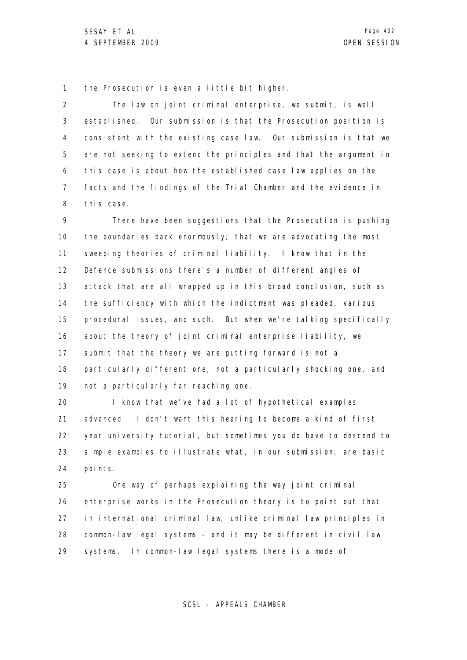1 the Prosecution is even a little bit higher.

2 3 4 5 6 7 8 The law on joint criminal enterprise, we submit, is well established. Our submission is that the Prosecution position is consistent with the existing case law. Our submission is that we are not seeking to extend the principles and that the argument in this case is about how the established case law applies on the facts and the findings of the Trial Chamber and the evidence in this case.

9 10 11 12 13 14 15 16 17 18 19 There have been suggestions that the Prosecution is pushing the boundaries back enormously; that we are advocating the most sweeping theories of criminal liability. I know that in the Defence submissions there's a number of different angles of attack that are all wrapped up in this broad conclusion, such as the sufficiency with which the indictment was pleaded, various procedural issues, and such. But when we're talking specifically about the theory of joint criminal enterprise liability, we submit that the theory we are putting forward is not a particularly different one, not a particularly shocking one, and not a particularly far reaching one.

20 21 22 23 24 I know that we've had a lot of hypothetical examples advanced. I don't want this hearing to become a kind of first year university tutorial, but sometimes you do have to descend to simple examples to illustrate what, in our submission, are basic points.

25 26 27 28 29 One way of perhaps explaining the way joint criminal enterprise works in the Prosecution theory is to point out that in international criminal law, unlike criminal law principles in common-law legal systems - and it may be different in civil law systems. In common-law legal systems there is a mode of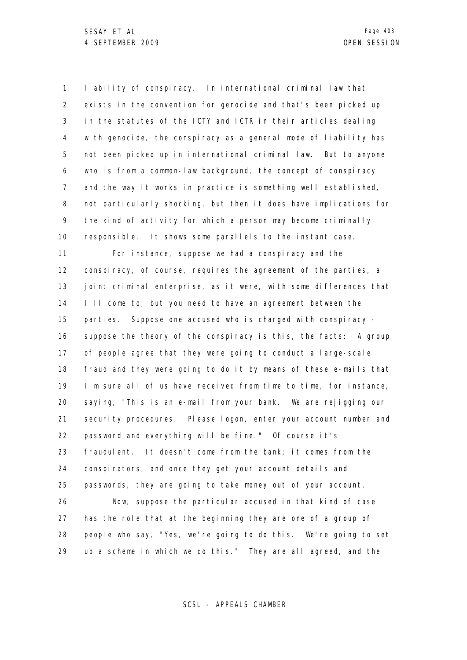1 2 3 4 5 6 7 8 9 10 11 12 liability of conspiracy. In international criminal law that exists in the convention for genocide and that's been picked up in the statutes of the ICTY and ICTR in their articles dealing with genocide, the conspiracy as a general mode of liability has not been picked up in international criminal law. But to anyone who is from a common-law background, the concept of conspiracy and the way it works in practice is something well established, not particularly shocking, but then it does have implications for the kind of activity for which a person may become criminally responsible. It shows some parallels to the instant case. For instance, suppose we had a conspiracy and the conspiracy, of course, requires the agreement of the parties, a

13 14 15 16 17 18 19 20 21 22 23 24 25 26 27 28 29 joint criminal enterprise, as it were, with some differences that I'll come to, but you need to have an agreement between the parties. Suppose one accused who is charged with conspiracy suppose the theory of the conspiracy is this, the facts: A group of people agree that they were going to conduct a large-scale fraud and they were going to do it by means of these e-mails that I'm sure all of us have received from time to time, for instance, saying, "This is an e-mail from your bank. We are rejigging our security procedures. Please logon, enter your account number and password and everything will be fine." Of course it's fraudulent. It doesn't come from the bank; it comes from the conspirators, and once they get your account details and passwords, they are going to take money out of your account. Now, suppose the particular accused in that kind of case has the role that at the beginning they are one of a group of people who say, "Yes, we're going to do this. We're going to set up a scheme in which we do this." They are all agreed, and the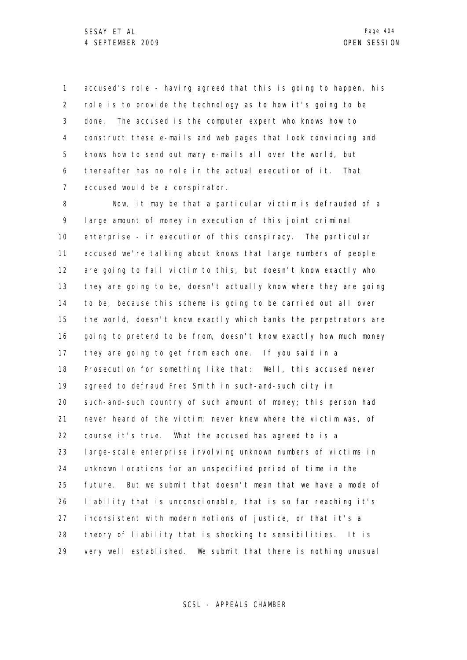1 2 3 4 5 6 7 accused's role - having agreed that this is going to happen, his role is to provide the technology as to how it's going to be done. The accused is the computer expert who knows how to construct these e-mails and web pages that look convincing and knows how to send out many e-mails all over the world, but thereafter has no role in the actual execution of it. That accused would be a conspirator.

8 9 10 11 12 13 14 15 16 17 18 19 20 21 22 23 24 25 26 27 28 29 Now, it may be that a particular victim is defrauded of a large amount of money in execution of this joint criminal enterprise - in execution of this conspiracy. The particular accused we're talking about knows that large numbers of people are going to fall victim to this, but doesn't know exactly who they are going to be, doesn't actually know where they are going to be, because this scheme is going to be carried out all over the world, doesn't know exactly which banks the perpetrators are going to pretend to be from, doesn't know exactly how much money they are going to get from each one. If you said in a Prosecution for something like that: Well, this accused never agreed to defraud Fred Smith in such-and-such city in such-and-such country of such amount of money; this person had never heard of the victim; never knew where the victim was, of course it's true. What the accused has agreed to is a large-scale enterprise involving unknown numbers of victims in unknown locations for an unspecified period of time in the future. But we submit that doesn't mean that we have a mode of liability that is unconscionable, that is so far reaching it's inconsistent with modern notions of justice, or that it's a theory of liability that is shocking to sensibilities. It is very well established. We submit that there is nothing unusual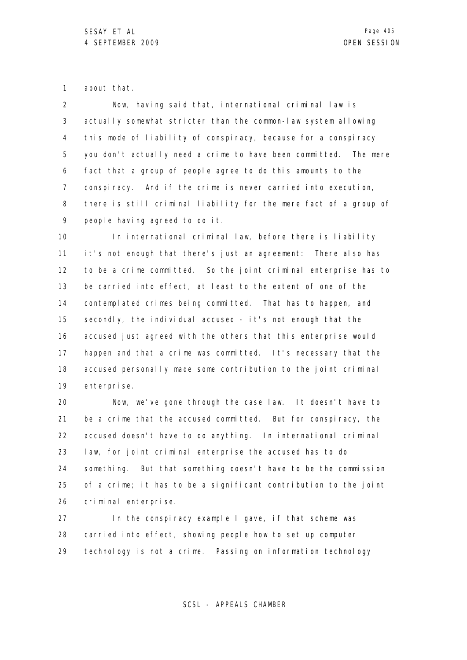1 about that.

2 3 4 5 6 7 8 9 Now, having said that, international criminal law is actually somewhat stricter than the common-law system allowing this mode of liability of conspiracy, because for a conspiracy you don't actually need a crime to have been committed. The mere fact that a group of people agree to do this amounts to the conspiracy. And if the crime is never carried into execution, there is still criminal liability for the mere fact of a group of people having agreed to do it.

10 11 12 13 14 15 16 17 18 19 In international criminal law, before there is liability it's not enough that there's just an agreement: There also has to be a crime committed. So the joint criminal enterprise has to be carried into effect, at least to the extent of one of the contemplated crimes being committed. That has to happen, and secondly, the individual accused - it's not enough that the accused just agreed with the others that this enterprise would happen and that a crime was committed. It's necessary that the accused personally made some contribution to the joint criminal enterprise.

20 21 22 23 24 25 26 Now, we've gone through the case law. It doesn't have to be a crime that the accused committed. But for conspiracy, the accused doesn't have to do anything. In international criminal law, for joint criminal enterprise the accused has to do something. But that something doesn't have to be the commission of a crime; it has to be a significant contribution to the joint criminal enterprise.

27 28 29 In the conspiracy example I gave, if that scheme was carried into effect, showing people how to set up computer technology is not a crime. Passing on information technology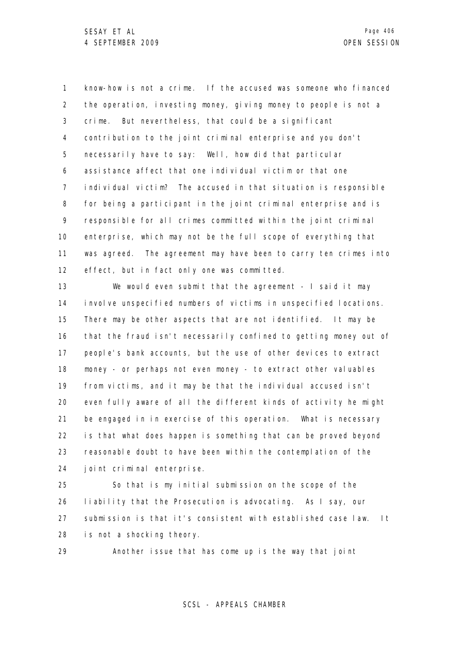1 2 3 4 5 6 7 8 9 10 11 12 know-how is not a crime. If the accused was someone who financed the operation, investing money, giving money to people is not a crime. But nevertheless, that could be a significant contribution to the joint criminal enterprise and you don't necessarily have to say: Well, how did that particular assistance affect that one individual victim or that one individual victim? The accused in that situation is responsible for being a participant in the joint criminal enterprise and is responsible for all crimes committed within the joint criminal enterprise, which may not be the full scope of everything that was agreed. The agreement may have been to carry ten crimes into effect, but in fact only one was committed.

13 14 15 16 17 18 19 20 21 22 23 24 We would even submit that the agreement - I said it may involve unspecified numbers of victims in unspecified locations. There may be other aspects that are not identified. It may be that the fraud isn't necessarily confined to getting money out of people's bank accounts, but the use of other devices to extract money - or perhaps not even money - to extract other valuables from victims, and it may be that the individual accused isn't even fully aware of all the different kinds of activity he might be engaged in in exercise of this operation. What is necessary is that what does happen is something that can be proved beyond reasonable doubt to have been within the contemplation of the joint criminal enterprise.

25 26 27 28 So that is my initial submission on the scope of the liability that the Prosecution is advocating. As I say, our submission is that it's consistent with established case law. It is not a shocking theory.

29 Another issue that has come up is the way that joint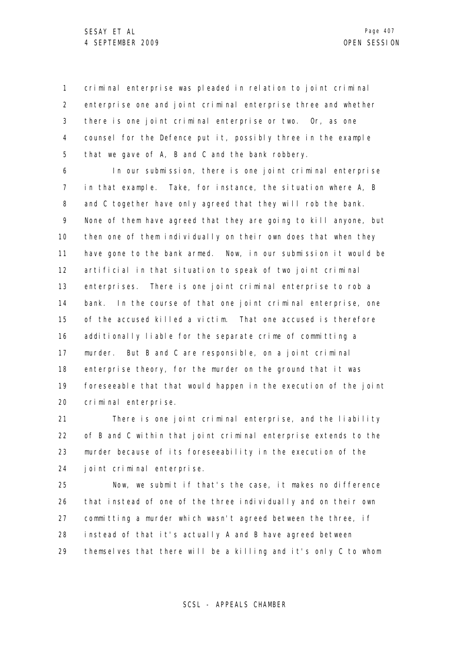1 2 3 4 5 criminal enterprise was pleaded in relation to joint criminal enterprise one and joint criminal enterprise three and whether there is one joint criminal enterprise or two. Or, as one counsel for the Defence put it, possibly three in the example that we gave of A, B and C and the bank robbery.

6 7 8 9 10 11 12 13 14 15 16 17 18 19 20 In our submission, there is one joint criminal enterprise in that example. Take, for instance, the situation where A, B and C together have only agreed that they will rob the bank. None of them have agreed that they are going to kill anyone, but then one of them individually on their own does that when they have gone to the bank armed. Now, in our submission it would be artificial in that situation to speak of two joint criminal enterprises. There is one joint criminal enterprise to rob a bank. In the course of that one joint criminal enterprise, one of the accused killed a victim. That one accused is therefore additionally liable for the separate crime of committing a murder. But B and C are responsible, on a joint criminal enterprise theory, for the murder on the ground that it was foreseeable that that would happen in the execution of the joint criminal enterprise.

21 22 23 24 There is one joint criminal enterprise, and the liability of B and C within that joint criminal enterprise extends to the murder because of its foreseeability in the execution of the joint criminal enterprise.

25 26 27 28 29 Now, we submit if that's the case, it makes no difference that instead of one of the three individually and on their own committing a murder which wasn't agreed between the three, if instead of that it's actually A and B have agreed between themselves that there will be a killing and it's only C to whom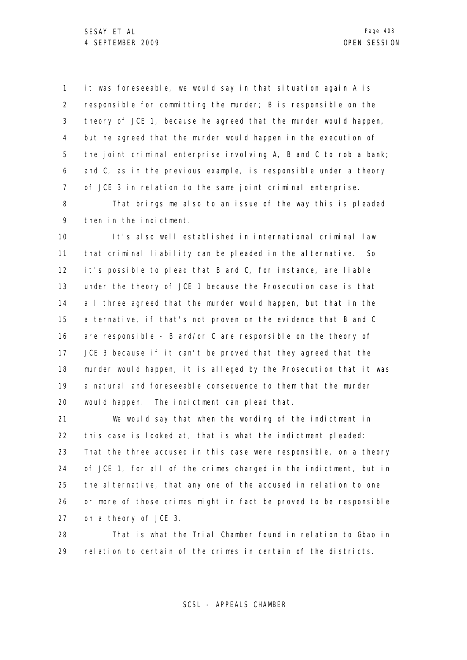1 2 3 4 5 6 7 it was foreseeable, we would say in that situation again A is responsible for committing the murder; B is responsible on the theory of JCE 1, because he agreed that the murder would happen, but he agreed that the murder would happen in the execution of the joint criminal enterprise involving A, B and C to rob a bank; and C, as in the previous example, is responsible under a theory of JCE 3 in relation to the same joint criminal enterprise.

8 9 That brings me also to an issue of the way this is pleaded then in the indictment.

10 11 12 13 14 15 16 17 18 19 20 It's also well established in international criminal law that criminal liability can be pleaded in the alternative. So it's possible to plead that B and C, for instance, are liable under the theory of JCE 1 because the Prosecution case is that all three agreed that the murder would happen, but that in the alternative, if that's not proven on the evidence that B and C are responsible - B and/or C are responsible on the theory of JCE 3 because if it can't be proved that they agreed that the murder would happen, it is alleged by the Prosecution that it was a natural and foreseeable consequence to them that the murder would happen. The indictment can plead that.

21 22 23 24 25 26 27 We would say that when the wording of the indictment in this case is looked at, that is what the indictment pleaded: That the three accused in this case were responsible, on a theory of JCE 1, for all of the crimes charged in the indictment, but in the alternative, that any one of the accused in relation to one or more of those crimes might in fact be proved to be responsible on a theory of JCE 3.

28 29 That is what the Trial Chamber found in relation to Gbao in relation to certain of the crimes in certain of the districts.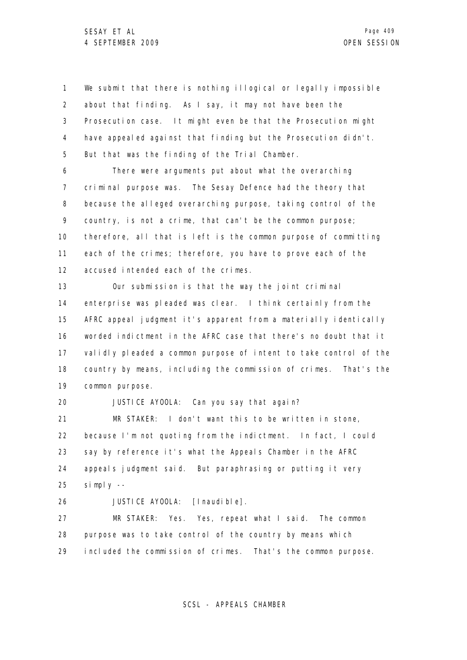1 2 3 4 5 We submit that there is nothing illogical or legally impossible about that finding. As I say, it may not have been the Prosecution case. It might even be that the Prosecution might have appealed against that finding but the Prosecution didn't. But that was the finding of the Trial Chamber.

6 7 8 9 10 11 12 There were arguments put about what the overarching criminal purpose was. The Sesay Defence had the theory that because the alleged overarching purpose, taking control of the country, is not a crime, that can't be the common purpose; therefore, all that is left is the common purpose of committing each of the crimes; therefore, you have to prove each of the accused intended each of the crimes.

13 14 15 16 17 18 19 Our submission is that the way the joint criminal enterprise was pleaded was clear. I think certainly from the AFRC appeal judgment it's apparent from a materially identically worded indictment in the AFRC case that there's no doubt that it validly pleaded a common purpose of intent to take control of the country by means, including the commission of crimes. That's the common purpose.

20 JUSTICE AYOOLA: Can you say that again?

21 22 23 24 25 MR STAKER: I don't want this to be written in stone, because I'm not quoting from the indictment. In fact, I could say by reference it's what the Appeals Chamber in the AFRC appeals judgment said. But paraphrasing or putting it very simply --

26

JUSTICE AYOOLA: [Inaudible].

27 28 29 MR STAKER: Yes. Yes, repeat what I said. The common purpose was to take control of the country by means which included the commission of crimes. That's the common purpose.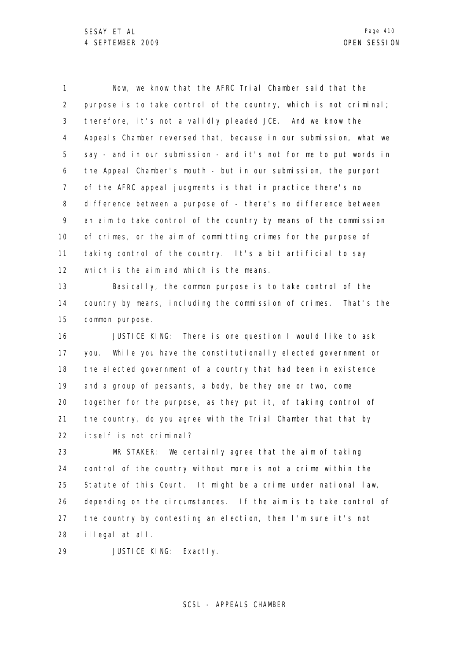1 2 3 4 5 6 7 8 9 10 11 12 13 14 15 16 17 18 19 20 21 22 23 24 25 26 27 28 Now, we know that the AFRC Trial Chamber said that the purpose is to take control of the country, which is not criminal; therefore, it's not a validly pleaded JCE. And we know the Appeals Chamber reversed that, because in our submission, what we say - and in our submission - and it's not for me to put words in the Appeal Chamber's mouth - but in our submission, the purport of the AFRC appeal judgments is that in practice there's no difference between a purpose of - there's no difference between an aim to take control of the country by means of the commission of crimes, or the aim of committing crimes for the purpose of taking control of the country. It's a bit artificial to say which is the aim and which is the means. Basically, the common purpose is to take control of the country by means, including the commission of crimes. That's the common purpose. JUSTICE KING: There is one question I would like to ask you. While you have the constitutionally elected government or the elected government of a country that had been in existence and a group of peasants, a body, be they one or two, come together for the purpose, as they put it, of taking control of the country, do you agree with the Trial Chamber that that by itself is not criminal? MR STAKER: We certainly agree that the aim of taking control of the country without more is not a crime within the Statute of this Court. It might be a crime under national law, depending on the circumstances. If the aim is to take control of the country by contesting an election, then I'm sure it's not illegal at all.

29 JUSTICE KING: Exactly.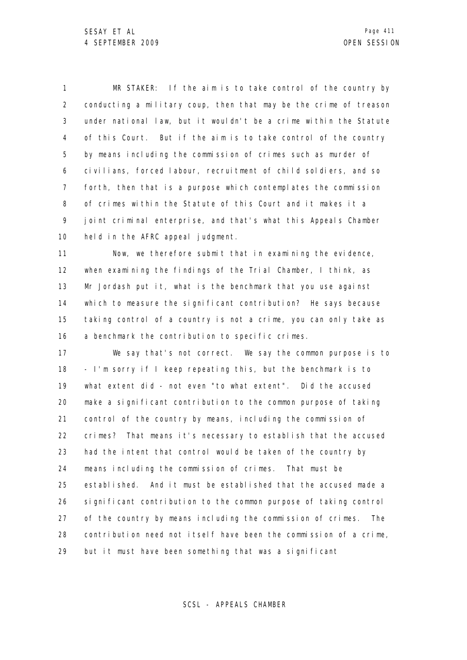1 2 3 4 5 6 7 8 9 10 MR STAKER: If the aim is to take control of the country by conducting a military coup, then that may be the crime of treason under national law, but it wouldn't be a crime within the Statute of this Court. But if the aim is to take control of the country by means including the commission of crimes such as murder of civilians, forced labour, recruitment of child soldiers, and so forth, then that is a purpose which contemplates the commission of crimes within the Statute of this Court and it makes it a joint criminal enterprise, and that's what this Appeals Chamber held in the AFRC appeal judgment.

11 12 13 14 15 16 Now, we therefore submit that in examining the evidence, when examining the findings of the Trial Chamber, I think, as Mr Jordash put it, what is the benchmark that you use against which to measure the significant contribution? He says because taking control of a country is not a crime, you can only take as a benchmark the contribution to specific crimes.

17 18 19 20 21 22 23 24 25 26 27 28 29 We say that's not correct. We say the common purpose is to - I'm sorry if I keep repeating this, but the benchmark is to what extent did - not even "to what extent". Did the accused make a significant contribution to the common purpose of taking control of the country by means, including the commission of crimes? That means it's necessary to establish that the accused had the intent that control would be taken of the country by means including the commission of crimes. That must be established. And it must be established that the accused made a significant contribution to the common purpose of taking control of the country by means including the commission of crimes. The contribution need not itself have been the commission of a crime, but it must have been something that was a significant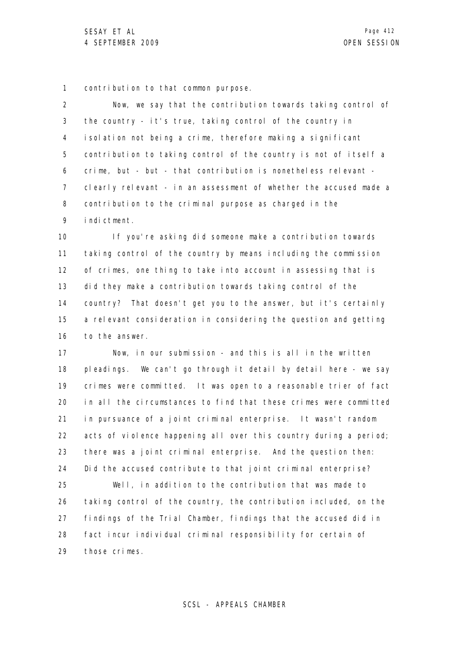1 contribution to that common purpose.

2 3 4 5 6 7 8 9 Now, we say that the contribution towards taking control of the country - it's true, taking control of the country in isolation not being a crime, therefore making a significant contribution to taking control of the country is not of itself a crime, but - but - that contribution is nonetheless relevant clearly relevant - in an assessment of whether the accused made a contribution to the criminal purpose as charged in the indictment.

10 11 12 13 14 15 16 If you're asking did someone make a contribution towards taking control of the country by means including the commission of crimes, one thing to take into account in assessing that is did they make a contribution towards taking control of the country? That doesn't get you to the answer, but it's certainly a relevant consideration in considering the question and getting to the answer.

17 18 19 20 21 22 23 24 25 26 27 28 29 Now, in our submission - and this is all in the written pleadings. We can't go through it detail by detail here - we say crimes were committed. It was open to a reasonable trier of fact in all the circumstances to find that these crimes were committed in pursuance of a joint criminal enterprise. It wasn't random acts of violence happening all over this country during a period; there was a joint criminal enterprise. And the question then: Did the accused contribute to that joint criminal enterprise? Well, in addition to the contribution that was made to taking control of the country, the contribution included, on the findings of the Trial Chamber, findings that the accused did in fact incur individual criminal responsibility for certain of those crimes.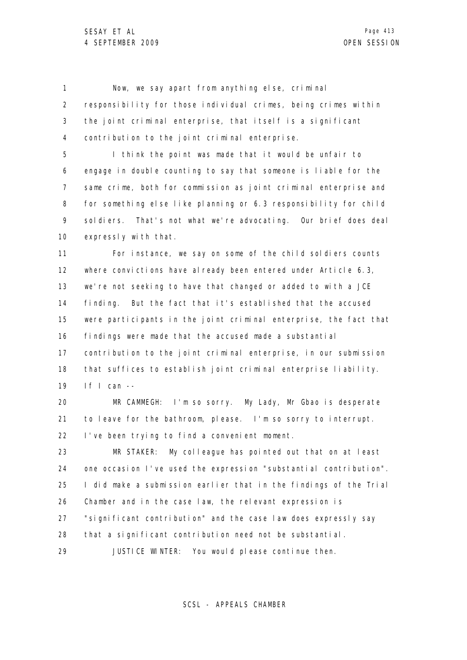1 2 3 4 Now, we say apart from anything else, criminal responsibility for those individual crimes, being crimes within the joint criminal enterprise, that itself is a significant contribution to the joint criminal enterprise.

5 6 7 8 9 10 I think the point was made that it would be unfair to engage in double counting to say that someone is liable for the same crime, both for commission as joint criminal enterprise and for something else like planning or 6.3 responsibility for child soldiers. That's not what we're advocating. Our brief does deal expressly with that.

11 12 13 14 15 16 17 18 19 For instance, we say on some of the child soldiers counts where convictions have already been entered under Article 6.3, we're not seeking to have that changed or added to with a JCE finding. But the fact that it's established that the accused were participants in the joint criminal enterprise, the fact that findings were made that the accused made a substantial contribution to the joint criminal enterprise, in our submission that suffices to establish joint criminal enterprise liability. If I can --

20 21 22 MR CAMMEGH: I'm so sorry. My Lady, Mr Gbao is desperate to leave for the bathroom, please. I'm so sorry to interrupt. I've been trying to find a convenient moment.

23 24 25 26 27 28 MR STAKER: My colleague has pointed out that on at least one occasion I've used the expression "substantial contribution". I did make a submission earlier that in the findings of the Trial Chamber and in the case law, the relevant expression is "significant contribution" and the case law does expressly say that a significant contribution need not be substantial.

29 JUSTICE WINTER: You would please continue then.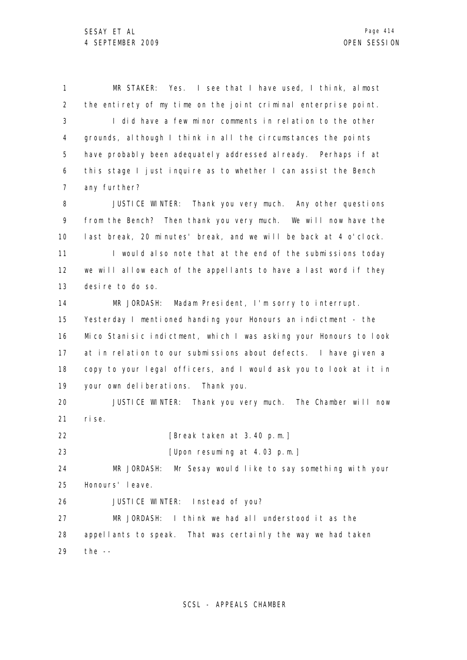1 2 3 4 5 6 7 8 MR STAKER: Yes. I see that I have used, I think, almost the entirety of my time on the joint criminal enterprise point. I did have a few minor comments in relation to the other grounds, although I think in all the circumstances the points have probably been adequately addressed already. Perhaps if at this stage I just inquire as to whether I can assist the Bench any further? JUSTICE WINTER: Thank you very much. Any other questions

9 10 11 12 13 from the Bench? Then thank you very much. We will now have the last break, 20 minutes' break, and we will be back at 4 o'clock. I would also note that at the end of the submissions today we will allow each of the appellants to have a last word if they desire to do so.

14 15 16 17 18 19 MR JORDASH: Madam President, I'm sorry to interrupt. Yesterday I mentioned handing your Honours an indictment - the Mico Stanisic indictment, which I was asking your Honours to look at in relation to our submissions about defects. I have given a copy to your legal officers, and I would ask you to look at it in your own deliberations. Thank you.

20 21 JUSTICE WINTER: Thank you very much. The Chamber will now rise.

22 [Break taken at 3.40 p.m.]

23 [Upon resuming at 4.03 p.m.]

24 25 MR JORDASH: Mr Sesay would like to say something with your Honours' leave.

26 JUSTICE WINTER: Instead of you?

27 28 29 MR JORDASH: I think we had all understood it as the appellants to speak. That was certainly the way we had taken the  $-$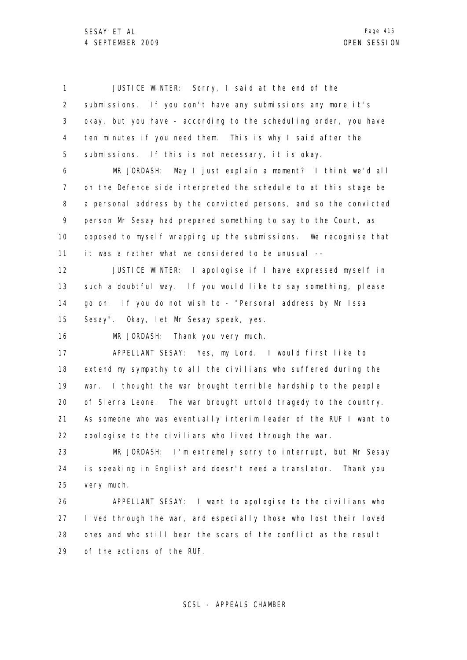1 2 3 4 5 6 7 8 9 10 11 12 13 14 15 16 17 18 19 20 21 22 23 24 25 26 27 28 29 JUSTICE WINTER: Sorry, I said at the end of the submissions. If you don't have any submissions any more it's okay, but you have - according to the scheduling order, you have ten minutes if you need them. This is why I said after the submissions. If this is not necessary, it is okay. MR JORDASH: May I just explain a moment? I think we'd all on the Defence side interpreted the schedule to at this stage be a personal address by the convicted persons, and so the convicted person Mr Sesay had prepared something to say to the Court, as opposed to myself wrapping up the submissions. We recognise that it was a rather what we considered to be unusual -- JUSTICE WINTER: I apologise if I have expressed myself in such a doubtful way. If you would like to say something, please go on. If you do not wish to - "Personal address by Mr Issa Sesay". Okay, let Mr Sesay speak, yes. MR JORDASH: Thank you very much. APPELLANT SESAY: Yes, my Lord. I would first like to extend my sympathy to all the civilians who suffered during the war. I thought the war brought terrible hardship to the people of Sierra Leone. The war brought untold tragedy to the country. As someone who was eventually interim leader of the RUF I want to apologise to the civilians who lived through the war. MR JORDASH: I'm extremely sorry to interrupt, but Mr Sesay is speaking in English and doesn't need a translator. Thank you very much. APPELLANT SESAY: I want to apologise to the civilians who lived through the war, and especially those who lost their loved ones and who still bear the scars of the conflict as the result of the actions of the RUF.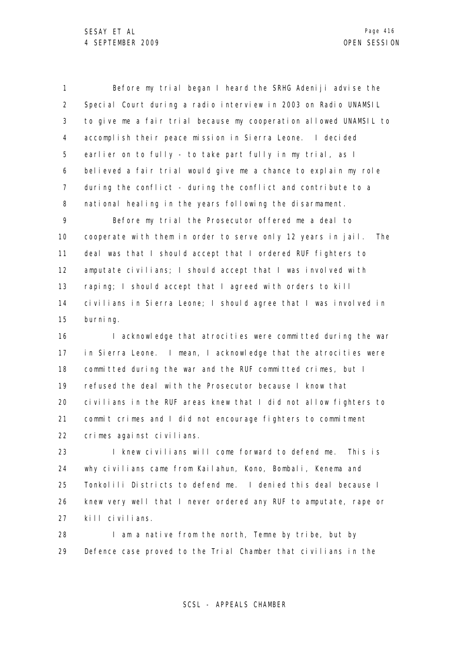1 2 3 4 5 6 7 8 Before my trial began I heard the SRHG Adeniji advise the Special Court during a radio interview in 2003 on Radio UNAMSIL to give me a fair trial because my cooperation allowed UNAMSIL to accomplish their peace mission in Sierra Leone. I decided earlier on to fully - to take part fully in my trial, as I believed a fair trial would give me a chance to explain my role during the conflict - during the conflict and contribute to a national healing in the years following the disarmament.

9 10 11 12 13 14 15 Before my trial the Prosecutor offered me a deal to cooperate with them in order to serve only 12 years in jail. The deal was that I should accept that I ordered RUF fighters to amputate civilians; I should accept that I was involved with raping; I should accept that I agreed with orders to kill civilians in Sierra Leone; I should agree that I was involved in burning.

16 17 18 19 20 21 22 I acknowledge that atrocities were committed during the war in Sierra Leone. I mean, I acknowledge that the atrocities were committed during the war and the RUF committed crimes, but I refused the deal with the Prosecutor because I know that civilians in the RUF areas knew that I did not allow fighters to commit crimes and I did not encourage fighters to commitment crimes against civilians.

23 24 25 26 27 I knew civilians will come forward to defend me. This is why civilians came from Kailahun, Kono, Bombali, Kenema and Tonkolili Districts to defend me. I denied this deal because I knew very well that I never ordered any RUF to amputate, rape or kill civilians.

28 29 I am a native from the north, Temne by tribe, but by Defence case proved to the Trial Chamber that civilians in the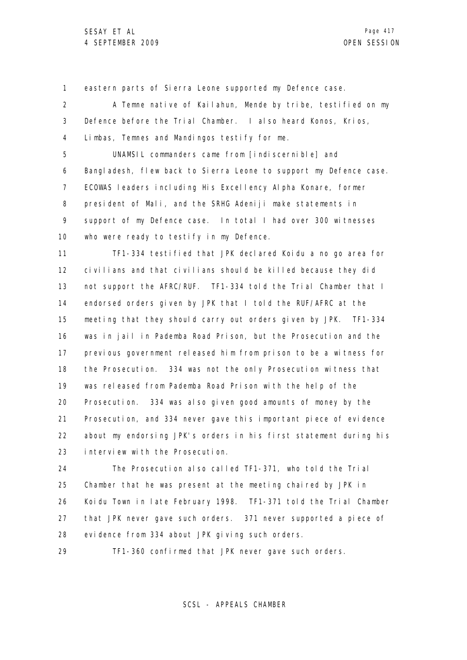1 eastern parts of Sierra Leone supported my Defence case.

2 3 4 A Temne native of Kailahun, Mende by tribe, testified on my Defence before the Trial Chamber. I also heard Konos, Krios, Limbas, Temnes and Mandingos testify for me.

5 6 7 8 9 10 UNAMSIL commanders came from [indiscernible] and Bangladesh, flew back to Sierra Leone to support my Defence case. ECOWAS leaders including His Excellency Alpha Konare, former president of Mali, and the SRHG Adeniji make statements in support of my Defence case. In total I had over 300 witnesses who were ready to testify in my Defence.

11 12 13 14 15 16 17 18 19 20 21 22 23 TF1-334 testified that JPK declared Koidu a no go area for civilians and that civilians should be killed because they did not support the AFRC/RUF. TF1-334 told the Trial Chamber that I endorsed orders given by JPK that I told the RUF/AFRC at the meeting that they should carry out orders given by JPK. TF1-334 was in jail in Pademba Road Prison, but the Prosecution and the previous government released him from prison to be a witness for the Prosecution. 334 was not the only Prosecution witness that was released from Pademba Road Prison with the help of the Prosecution. 334 was also given good amounts of money by the Prosecution, and 334 never gave this important piece of evidence about my endorsing JPK's orders in his first statement during his interview with the Prosecution.

24 25 26 27 28 The Prosecution also called TF1-371, who told the Trial Chamber that he was present at the meeting chaired by JPK in Koidu Town in late February 1998. TF1-371 told the Trial Chamber that JPK never gave such orders. 371 never supported a piece of evidence from 334 about JPK giving such orders.

29 TF1-360 confirmed that JPK never gave such orders.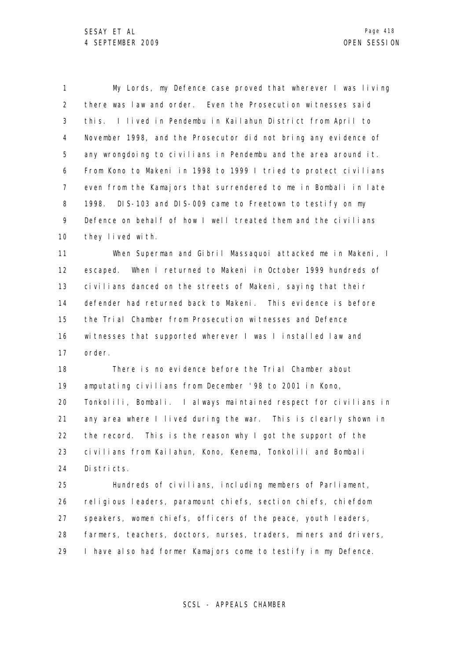1 2 3 4 5 6 7 8 9 10 My Lords, my Defence case proved that wherever I was living there was law and order. Even the Prosecution witnesses said this. I lived in Pendembu in Kailahun District from April to November 1998, and the Prosecutor did not bring any evidence of any wrongdoing to civilians in Pendembu and the area around it. From Kono to Makeni in 1998 to 1999 I tried to protect civilians even from the Kamajors that surrendered to me in Bombali in late 1998. DIS-103 and DIS-009 came to Freetown to testify on my Defence on behalf of how I well treated them and the civilians they lived with.

11 12 13 14 15 16 17 When Superman and Gibril Massaquoi attacked me in Makeni, I escaped. When I returned to Makeni in October 1999 hundreds of civilians danced on the streets of Makeni, saying that their defender had returned back to Makeni. This evidence is before the Trial Chamber from Prosecution witnesses and Defence witnesses that supported wherever I was I installed law and order.

18 19 20 21 22 23 24 There is no evidence before the Trial Chamber about amputating civilians from December '98 to 2001 in Kono, Tonkolili, Bombali. I always maintained respect for civilians in any area where I lived during the war. This is clearly shown in the record. This is the reason why I got the support of the civilians from Kailahun, Kono, Kenema, Tonkolili and Bombali Districts.

25 26 27 28 29 Hundreds of civilians, including members of Parliament, religious leaders, paramount chiefs, section chiefs, chiefdom speakers, women chiefs, officers of the peace, youth leaders, farmers, teachers, doctors, nurses, traders, miners and drivers, I have also had former Kamajors come to testify in my Defence.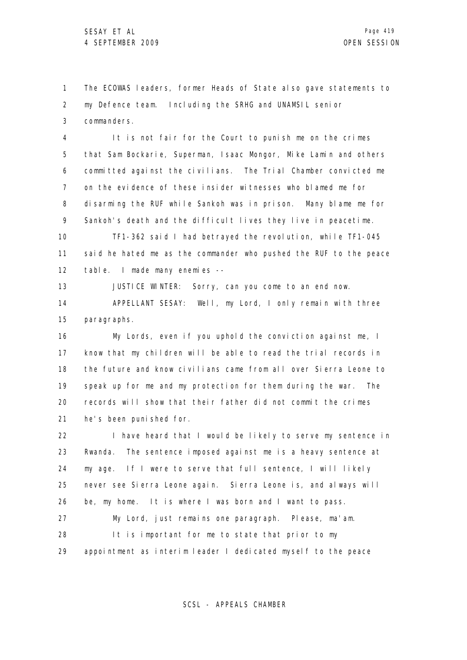1 2 3 The ECOWAS leaders, former Heads of State also gave statements to my Defence team. Including the SRHG and UNAMSIL senior commanders.

4 5 6 7 8 9 It is not fair for the Court to punish me on the crimes that Sam Bockarie, Superman, Isaac Mongor, Mike Lamin and others committed against the civilians. The Trial Chamber convicted me on the evidence of these insider witnesses who blamed me for disarming the RUF while Sankoh was in prison. Many blame me for Sankoh's death and the difficult lives they live in peacetime.

10 11 12 TF1-362 said I had betrayed the revolution, while TF1-045 said he hated me as the commander who pushed the RUF to the peace table. I made many enemies --

13 14 15 JUSTICE WINTER: Sorry, can you come to an end now. APPELLANT SESAY: Well, my Lord, I only remain with three paragraphs.

16 17 18 19 20 21 My Lords, even if you uphold the conviction against me, I know that my children will be able to read the trial records in the future and know civilians came from all over Sierra Leone to speak up for me and my protection for them during the war. The records will show that their father did not commit the crimes he's been punished for.

22 23 24 25 26 27 I have heard that I would be likely to serve my sentence in Rwanda. The sentence imposed against me is a heavy sentence at my age. If I were to serve that full sentence, I will likely never see Sierra Leone again. Sierra Leone is, and always will be, my home. It is where I was born and I want to pass. My Lord, just remains one paragraph. Please, ma'am.

28 29 It is important for me to state that prior to my appointment as interim leader I dedicated myself to the peace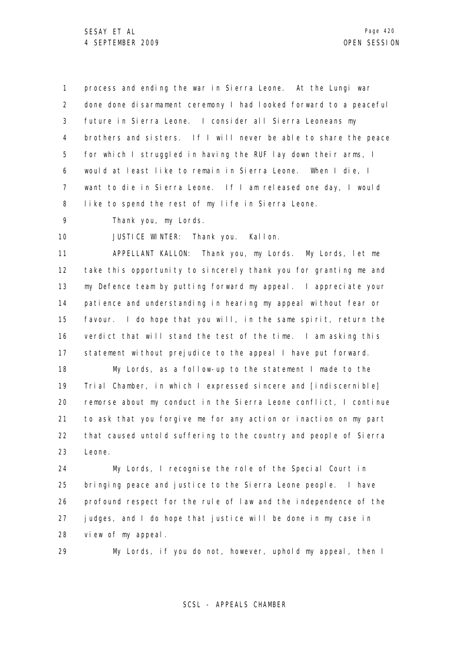1 2 3 4 5 6 7 8 process and ending the war in Sierra Leone. At the Lungi war done done disarmament ceremony I had looked forward to a peaceful future in Sierra Leone. I consider all Sierra Leoneans my brothers and sisters. If I will never be able to share the peace for which I struggled in having the RUF lay down their arms, I would at least like to remain in Sierra Leone. When I die, I want to die in Sierra Leone. If I am released one day, I would like to spend the rest of my life in Sierra Leone.

9 Thank you, my Lords.

10 JUSTICE WINTER: Thank you. Kallon.

11 12 13 14 15 16 17 APPELLANT KALLON: Thank you, my Lords. My Lords, let me take this opportunity to sincerely thank you for granting me and my Defence team by putting forward my appeal. I appreciate your patience and understanding in hearing my appeal without fear or favour. I do hope that you will, in the same spirit, return the verdict that will stand the test of the time. I am asking this statement without prejudice to the appeal I have put forward.

18 19 20 21 22 23 My Lords, as a follow-up to the statement I made to the Trial Chamber, in which I expressed sincere and [indiscernible] remorse about my conduct in the Sierra Leone conflict, I continue to ask that you forgive me for any action or inaction on my part that caused untold suffering to the country and people of Sierra Leone.

24 25 26 27 28 My Lords, I recognise the role of the Special Court in bringing peace and justice to the Sierra Leone people. I have profound respect for the rule of law and the independence of the judges, and I do hope that justice will be done in my case in view of my appeal.

29 My Lords, if you do not, however, uphold my appeal, then I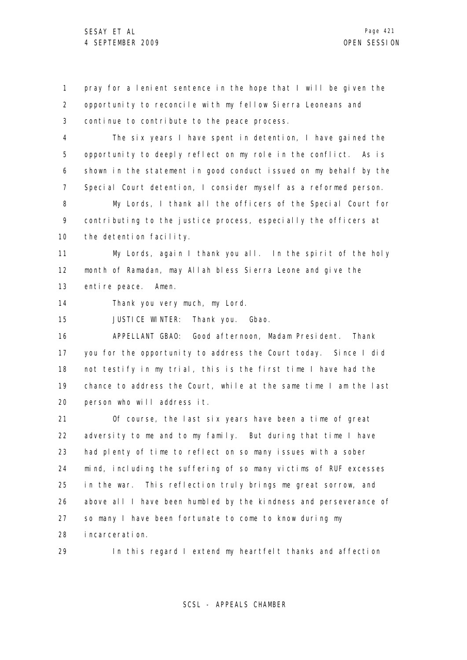1 2 3 pray for a lenient sentence in the hope that I will be given the opportunity to reconcile with my fellow Sierra Leoneans and continue to contribute to the peace process.

4 5 6 7 The six years I have spent in detention, I have gained the opportunity to deeply reflect on my role in the conflict. As is shown in the statement in good conduct issued on my behalf by the Special Court detention, I consider myself as a reformed person.

8 9 10 My Lords, I thank all the officers of the Special Court for contributing to the justice process, especially the officers at the detention facility.

11 12 13 My Lords, again I thank you all. In the spirit of the holy month of Ramadan, may Allah bless Sierra Leone and give the entire peace. Amen.

14 Thank you very much, my Lord.

15 JUSTICE WINTER: Thank you. Gbao.

16 17 18 19 20 APPELLANT GBAO: Good afternoon, Madam President. Thank you for the opportunity to address the Court today. Since I did not testify in my trial, this is the first time I have had the chance to address the Court, while at the same time I am the last person who will address it.

21 22 23 24 25 26 27 28 Of course, the last six years have been a time of great adversity to me and to my family. But during that time I have had plenty of time to reflect on so many issues with a sober mind, including the suffering of so many victims of RUF excesses in the war. This reflection truly brings me great sorrow, and above all I have been humbled by the kindness and perseverance of so many I have been fortunate to come to know during my incarceration.

29

In this regard I extend my heartfelt thanks and affection